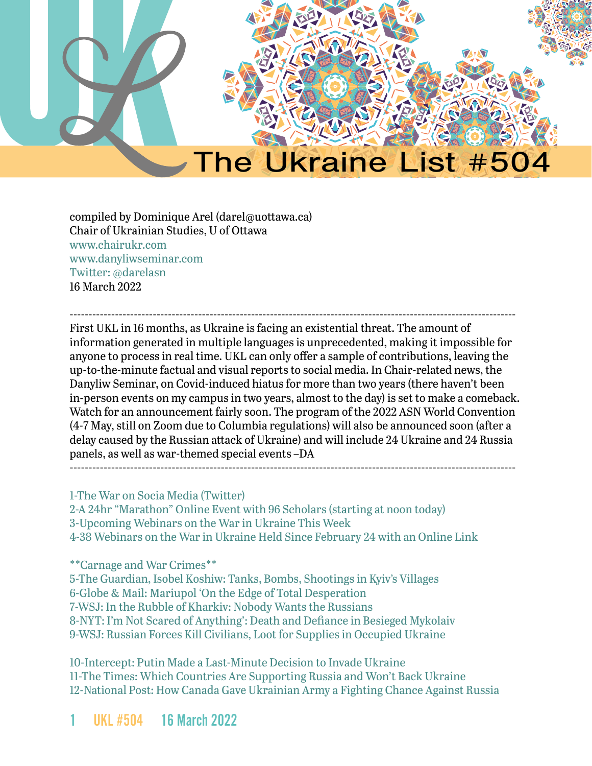

compiled by Dominique Arel (darel@uottawa.ca) Chair of Ukrainian Studies, U of Ottawa [www.chairukr.com](http://www.chairukr.com) [www.danyliwseminar.com](http://www.danyliwseminar.com) [Twitter: @darelasn](mailto:%20%40darelasn?subject=) 16 March 2022

<span id="page-0-0"></span>---------------------------------------------------------------------------------------------------------------------- First UKL in 16 months, as Ukraine is facing an existential threat. The amount of information generated in multiple languages is unprecedented, making it impossible for anyone to process in real time. UKL can only offer a sample of contributions, leaving the up-to-the-minute factual and visual reports to social media. In Chair-related news, the Danyliw Seminar, on Covid-induced hiatus for more than two years (there haven't been in-person events on my campus in two years, almost to the day) is set to make a comeback. Watch for an announcement fairly soon. The program of the 2022 ASN World Convention (4-7 May, still on Zoom due to Columbia regulations) will also be announced soon (after a delay caused by the Russian attack of Ukraine) and will include 24 Ukraine and 24 Russia panels, as well as war-themed special events –DA ----------------------------------------------------------------------------------------------------------------------

[1-The War on Socia Media \(Twitter\)](#page-1-0)

[2-A 24hr "Marathon" Online Event with 96 Scholars \(starting at noon today\)](#page-2-0) [3-Upcoming Webinars on the War in Ukraine This Week](#page-2-1) [4-38 Webinars on the War in Ukraine Held Since February 24 with an Online Link](#page-4-0)

\*\*Carnage and War Crimes\*\*

[5-The Guardian, Isobel Koshiw: Tanks, Bombs, Shootings in Kyiv's Villages](#page-10-0) [6-Globe & Mail: Mariupol 'On the Edge of Total Desperation](#page-12-0) [7-WSJ: In the Rubble of Kharkiv: Nobody Wants the Russians](#page-14-0) [8-NYT: I'm Not Scared of Anything': Death and Defiance in Besieged Mykolaiv](#page-20-0) [9-WSJ: Russian Forces Kill Civilians, Loot for Supplies in Occupied Ukraine](#page-27-0)

[10-Intercept: Putin Made a Last-Minute Decision to Invade Ukraine](#page-31-0) [11-The Times: Which Countries Are Supporting Russia and Won't Back Ukraine](#page-34-0) [12-National Post: How Canada Gave Ukrainian Army a Fighting Chance Against Russia](#page-37-0)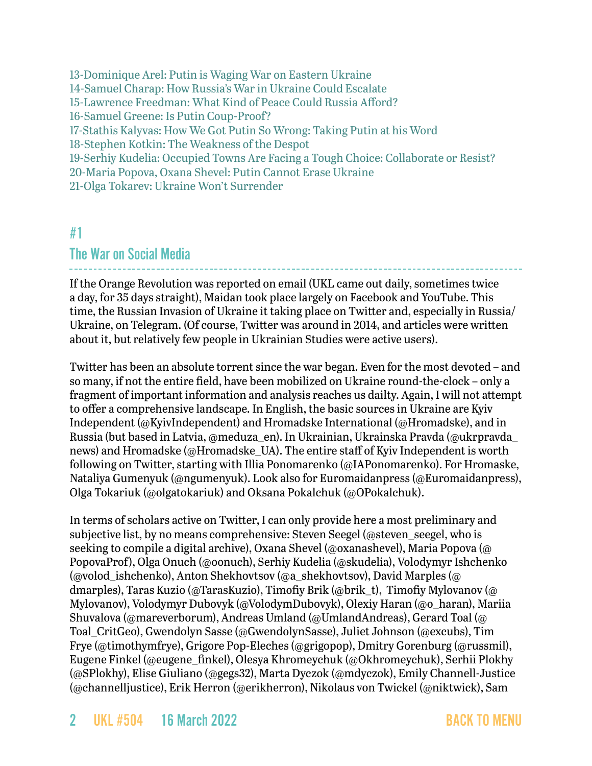[13-Dominique Arel: Putin is Waging War on Eastern Ukraine](#page-39-0) [14-Samuel Charap: How Russia's War in Ukraine Could Escalate](#page-41-0) [15-Lawrence Freedman: What Kind of Peace Could Russia Afford?](#page-44-0) [16-Samuel Greene: Is Putin Coup-Proof?](#page-49-0) [17-Stathis Kalyvas: How We Got Putin So Wrong: Taking Putin at his Word](#page-51-0) [18-Stephen Kotkin: The Weakness of the Despot](#page-53-0) [19-Serhiy Kudelia: Occupied Towns Are Facing a Tough Choice: Collaborate or Resist?](#page-63-0) [20-Maria Popova, Oxana Shevel: Putin Cannot Erase Ukraine](#page-68-0) [21-Olga Tokarev: Ukraine Won't Surrender](#page-71-0)

## <span id="page-1-0"></span>#1

## The War on Social Media

If the Orange Revolution was reported on email (UKL came out daily, sometimes twice a day, for 35 days straight), Maidan took place largely on Facebook and YouTube. This time, the Russian Invasion of Ukraine it taking place on Twitter and, especially in Russia/ Ukraine, on Telegram. (Of course, Twitter was around in 2014, and articles were written about it, but relatively few people in Ukrainian Studies were active users).

Twitter has been an absolute torrent since the war began. Even for the most devoted – and so many, if not the entire field, have been mobilized on Ukraine round-the-clock – only a fragment of important information and analysis reaches us dailty. Again, I will not attempt to offer a comprehensive landscape. In English, the basic sources in Ukraine are Kyiv Independent (@KyivIndependent) and Hromadske International (@Hromadske), and in Russia (but based in Latvia, @meduza\_en). In Ukrainian, Ukrainska Pravda (@ukrpravda\_ news) and Hromadske (@Hromadske\_UA). The entire staff of Kyiv Independent is worth following on Twitter, starting with Illia Ponomarenko (@IAPonomarenko). For Hromaske, Nataliya Gumenyuk (@ngumenyuk). Look also for Euromaidanpress (@Euromaidanpress), Olga Tokariuk (@olgatokariuk) and Oksana Pokalchuk (@OPokalchuk).

In terms of scholars active on Twitter, I can only provide here a most preliminary and subjective list, by no means comprehensive: Steven Seegel (@steven\_seegel, who is seeking to compile a digital archive), Oxana Shevel (@oxanashevel), Maria Popova (@ PopovaProf), Olga Onuch (@oonuch), Serhiy Kudelia (@skudelia), Volodymyr Ishchenko (@volod\_ishchenko), Anton Shekhovtsov (@a\_shekhovtsov), David Marples (@ dmarples), Taras Kuzio (@TarasKuzio), Timofiy Brik (@brik\_t), Timofiy Mylovanov (@ Mylovanov), Volodymyr Dubovyk (@VolodymDubovyk), Olexiy Haran (@o\_haran), Mariia Shuvalova (@mareverborum), Andreas Umland (@UmlandAndreas), Gerard Toal (@ Toal\_CritGeo), Gwendolyn Sasse (@GwendolynSasse), Juliet Johnson (@excubs), Tim Frye (@timothymfrye), Grigore Pop-Eleches (@grigopop), Dmitry Gorenburg (@russmil), Eugene Finkel (@eugene\_finkel), Olesya Khromeychuk (@Okhromeychuk), Serhii Plokhy (@SPlokhy), Elise Giuliano (@gegs32), Marta Dyczok (@mdyczok), Emily Channell-Justice (@channelljustice), Erik Herron (@erikherron), Nikolaus von Twickel (@niktwick), Sam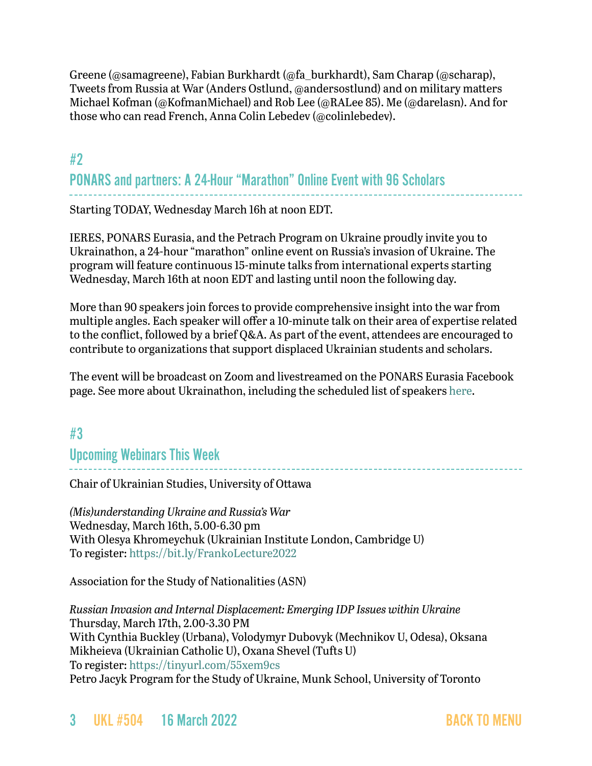Greene (@samagreene), Fabian Burkhardt (@fa\_burkhardt), Sam Charap (@scharap), Tweets from Russia at War (Anders Ostlund, @andersostlund) and on military matters Michael Kofman (@KofmanMichael) and Rob Lee (@RALee 85). Me (@darelasn). And for those who can read French, Anna Colin Lebedev (@colinlebedev).

# <span id="page-2-0"></span>#2

PONARS and partners: A 24-Hour "Marathon" Online Event with 96 Scholars

Starting TODAY, Wednesday March 16h at noon EDT.

IERES, PONARS Eurasia, and the Petrach Program on Ukraine proudly invite you to Ukrainathon, a 24-hour "marathon" online event on Russia's invasion of Ukraine. The program will feature continuous 15-minute talks from international experts starting Wednesday, March 16th at noon EDT and lasting until noon the following day.

More than 90 speakers join forces to provide comprehensive insight into the war from multiple angles. Each speaker will offer a 10-minute talk on their area of expertise related to the conflict, followed by a brief Q&A. As part of the event, attendees are encouraged to contribute to organizations that support displaced Ukrainian students and scholars.

The event will be broadcast on [Zoom](https://www.eventbrite.com/e/295399918107) and livestreamed on the [PONARS Eurasia Facebook](https://www.facebook.com/PONARSEurasia)  [page.](https://www.facebook.com/PONARSEurasia) See more about Ukrainathon, including the scheduled list of speakers [here](https://www.ponarseurasia.org/ukrainathon-march-16-17/).

## <span id="page-2-1"></span>#3

Upcoming Webinars This Week

Chair of Ukrainian Studies, University of Ottawa

*(Mis)understanding Ukraine and Russia's War* Wednesday, March 16th, 5.00-6.30 pm With Olesya Khromeychuk (Ukrainian Institute London, Cambridge U) To register: <https://bit.ly/FrankoLecture2022>

Association for the Study of Nationalities (ASN)

*Russian Invasion and Internal Displacement: Emerging IDP Issues within Ukraine* Thursday, March 17th, 2.00-3.30 PM With Cynthia Buckley (Urbana), Volodymyr Dubovyk (Mechnikov U, Odesa), Oksana Mikheieva (Ukrainian Catholic U), Oxana Shevel (Tufts U) To register: <https://tinyurl.com/55xem9cs> Petro Jacyk Program for the Study of Ukraine, Munk School, University of Toronto

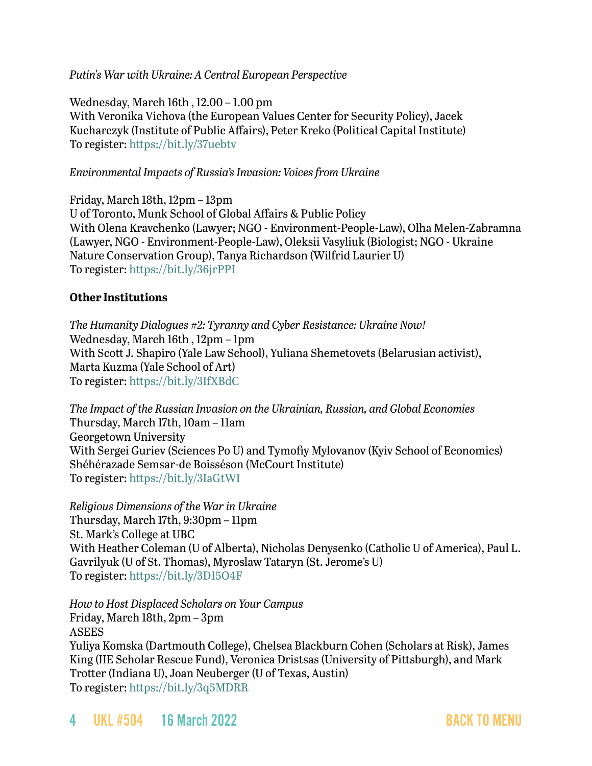*Putin's War with Ukraine: A Central European Perspective*

Wednesday, March 16th , 12.00 – 1.00 pm With Veronika Vichova (the European Values Center for Security Policy), Jacek Kucharczyk (Institute of Public Affairs), Peter Kreko (Political Capital Institute) To register: <https://bit.ly/37uebtv>

#### *Environmental Impacts of Russia's Invasion: Voices from Ukraine*

Friday, March 18th, 12pm – 13pm U of Toronto, Munk School of Global Affairs & Public Policy With Olena Kravchenko (Lawyer; NGO - Environment-People-Law), Olha Melen-Zabramna (Lawyer, NGO - Environment-People-Law), Oleksii Vasyliuk (Biologist; NGO - Ukraine Nature Conservation Group), Tanya Richardson (Wilfrid Laurier U) To register: <https://bit.ly/36jrPPI>

#### **Other Institutions**

*The Humanity Dialogues #2: Tyranny and Cyber Resistance: Ukraine Now!* Wednesday, March 16th , 12pm – 1pm With Scott J. Shapiro (Yale Law School), Yuliana Shemetovets (Belarusian activist), Marta Kuzma (Yale School of Art) To register: <https://bit.ly/3IfXBdC>

*The Impact of the Russian Invasion on the Ukrainian, Russian, and Global Economies* Thursday, March 17th, 10am – 11am Georgetown University With Sergei Guriev (Sciences Po U) and Tymofiy Mylovanov (Kyiv School of Economics) Shéhérazade Semsar-de Boisséson (McCourt Institute) To register: <https://bit.ly/3IaGtWI>

*Religious Dimensions of the War in Ukraine* Thursday, March 17th, 9:30pm – 11pm [St. Mark's College at UBC](https://www.eventbrite.ca/o/st-marks-college-at-ubc-8166169828) With Heather Coleman (U of Alberta), Nicholas Denysenko (Catholic U of America), Paul L. Gavrilyuk (U of St. Thomas), Myroslaw Tataryn (St. Jerome's U) To register: <https://bit.ly/3D15O4F>

*How to Host Displaced Scholars on Your Campus* Friday, March 18th, 2pm – 3pm ASEES Yuliya Komska (Dartmouth College), Chelsea Blackburn Cohen (Scholars at Risk), James King (IIE Scholar Rescue Fund), Veronica Dristsas (University of Pittsburgh), and Mark Trotter (Indiana U), Joan Neuberger (U of Texas, Austin) To register: <https://bit.ly/3q5MDRR>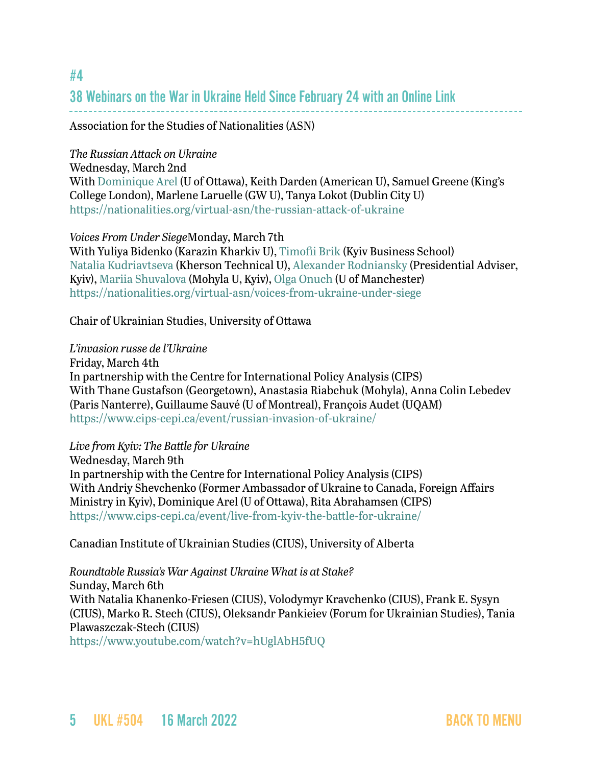# <span id="page-4-0"></span>#4 38 Webinars on the War in Ukraine Held Since February 24 with an Online Link

#### Association for the Studies of Nationalities (ASN)

#### *The Russian Attack on Ukraine*

Wednesday, March 2nd With [Dominique Arel](https://nationalities.org/about/board-of-directors/dominique-arel) (U of Ottawa), Keith Darden (American U), Samuel Greene (King's College London), Marlene Laruelle (GW U), Tanya Lokot (Dublin City U) <https://nationalities.org/virtual-asn/the-russian-attack-of-ukraine>

*Voices From Under Siege*Monday, March 7th

With Yuliya Bidenko (Karazin Kharkiv U), [Timofii Brik](https://tymobrik.com) (Kyiv Business School) [Natalia Kudriavtseva](https://scholar.google.co.uk/citations?user=rMRqNL8AAAAJ&hl=en&oi=ao) (Kherson Technical U), [Alexander Rodniansky](https://scholar.google.co.uk/citations?user=ZTixNJgAA) (Presidential Adviser, Kyiv), [Mariia Shuvalova](https://scholar.google.co.uk/citations?user=cVBWmNQAAAAJ&hl=en&oi=sra) (Mohyla U, Kyiv), [Olga Onuch](https://nationalities.org/convention/2022-convention/program-committee/olga-onuch) (U of Manchester) <https://nationalities.org/virtual-asn/voices-from-ukraine-under-siege>

#### Chair of Ukrainian Studies, University of Ottawa

#### *L'invasion russe de l'Ukraine*

Friday, March 4th In partnership with the Centre for International Policy Analysis (CIPS) With Thane Gustafson (Georgetown), Anastasia Riabchuk (Mohyla), Anna Colin Lebedev (Paris Nanterre), Guillaume Sauvé (U of Montreal), François Audet (UQAM) <https://www.cips-cepi.ca/event/russian-invasion-of-ukraine/>

#### *Live from Kyiv: The Battle for Ukraine*

Wednesday, March 9th In partnership with the Centre for International Policy Analysis (CIPS) With Andriy Shevchenko (Former Ambassador of Ukraine to Canada, Foreign Affairs Ministry in Kyiv), Dominique Arel (U of Ottawa), Rita Abrahamsen (CIPS) <https://www.cips-cepi.ca/event/live-from-kyiv-the-battle-for-ukraine/>

Canadian Institute of Ukrainian Studies (CIUS), University of Alberta

*Roundtable Russia's War Against Ukraine What is at Stake?* Sunday, March 6th With Natalia Khanenko-Friesen (CIUS), Volodymyr Kravchenko (CIUS), Frank E. Sysyn (CIUS), Marko R. Stech (CIUS), Oleksandr Pankieiev (Forum for Ukrainian Studies), Tania Plawaszczak-Stech (CIUS) <https://www.youtube.com/watch?v=hUglAbH5fUQ>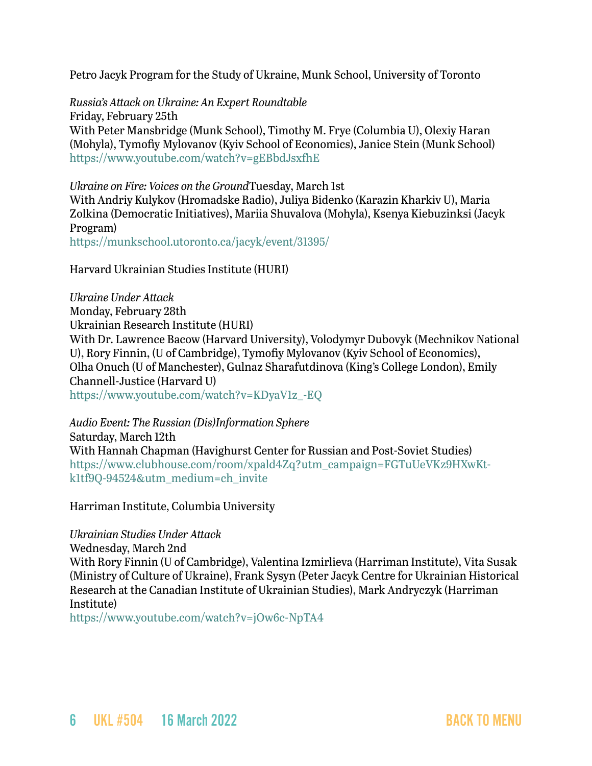Petro Jacyk Program for the Study of Ukraine, Munk School, University of Toronto

*Russia's Attack on Ukraine: An Expert Roundtable* Friday, February 25th With Peter Mansbridge (Munk School), Timothy M. Frye (Columbia U), Olexiy Haran (Mohyla), Tymofiy Mylovanov (Kyiv School of Economics), Janice Stein (Munk School) <https://www.youtube.com/watch?v=gEBbdJsxfhE>

*Ukraine on Fire: Voices on the Ground*Tuesday, March 1st With Andriy Kulykov (Hromadske Radio), Juliya Bidenko (Karazin Kharkiv U), Maria Zolkina (Democratic Initiatives), Mariia Shuvalova (Mohyla), Ksenya Kiebuzinksi (Jacyk Program) <https://munkschool.utoronto.ca/jacyk/event/31395/>

Harvard Ukrainian Studies Institute (HURI)

*Ukraine Under Attack* Monday, February 28th Ukrainian Research Institute (HURI) With Dr. Lawrence Bacow (Harvard University), Volodymyr Dubovyk (Mechnikov National U), Rory Finnin, (U of Cambridge), Tymofiy Mylovanov (Kyiv School of Economics), Olha Onuch (U of Manchester), Gulnaz Sharafutdinova (King's College London), Emily Channell-Justice (Harvard U) [https://www.youtube.com/watch?v=KDyaV1z\\_-EQ](https://www.youtube.com/watch?v=KDyaV1z_-EQ)

*Audio Event: The Russian (Dis)Information Sphere* Saturday, March 12th With Hannah Chapman (Havighurst Center for Russian and Post-Soviet Studies) [https://www.clubhouse.com/room/xpald4Zq?utm\\_campaign=FGTuUeVKz9HXwKt](https://www.clubhouse.com/room/xpald4Zq?utm_campaign=FGTuUeVKz9HXwKt-k1tf9Q-94524&utm_medium=ch_invite)[k1tf9Q-94524&utm\\_medium=ch\\_invite](https://www.clubhouse.com/room/xpald4Zq?utm_campaign=FGTuUeVKz9HXwKt-k1tf9Q-94524&utm_medium=ch_invite)

Harriman Institute, Columbia University

*Ukrainian Studies Under Attack* 

Wednesday, March 2nd With Rory Finnin (U of Cambridge), Valentina Izmirlieva (Harriman Institute), Vita Susak (Ministry of Culture of Ukraine), Frank Sysyn (Peter Jacyk Centre for Ukrainian Historical Research at the Canadian Institute of Ukrainian Studies), Mark Andryczyk (Harriman Institute)

<https://www.youtube.com/watch?v=jOw6c-NpTA4>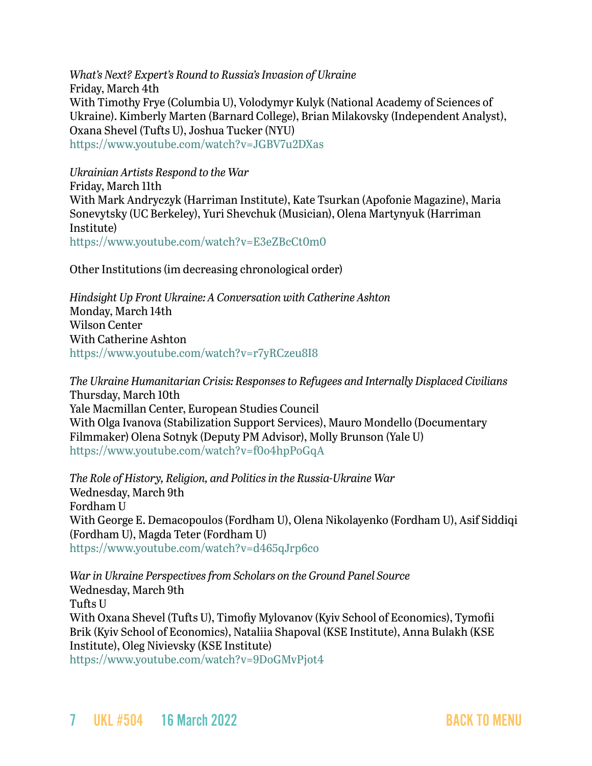*What's Next? Expert's Round to Russia's Invasion of Ukraine* Friday, March 4th With Timothy Frye (Columbia U), Volodymyr Kulyk (National Academy of Sciences of Ukraine). Kimberly Marten (Barnard College), Brian Milakovsky (Independent Analyst), Oxana Shevel (Tufts U), Joshua Tucker (NYU) <https://www.youtube.com/watch?v=JGBV7u2DXas>

*Ukrainian Artists Respond to the War*

Friday, March 11th With Mark Andryczyk (Harriman Institute), Kate Tsurkan (Apofonie Magazine), Maria Sonevytsky (UC Berkeley), Yuri Shevchuk (Musician), Olena Martynyuk (Harriman Institute) <https://www.youtube.com/watch?v=E3eZBcCt0m0>

Other Institutions (im decreasing chronological order)

*Hindsight Up Front Ukraine: A Conversation with Catherine Ashton* Monday, March 14th Wilson Center With Catherine Ashton <https://www.youtube.com/watch?v=r7yRCzeu8I8>

*The Ukraine Humanitarian Crisis: Responses to Refugees and Internally Displaced Civilians* Thursday, March 10th Yale Macmillan Center, European Studies Council With Olga Ivanova (Stabilization Support Services), Mauro Mondello (Documentary Filmmaker) Olena Sotnyk (Deputy PM Advisor), Molly Brunson (Yale U) <https://www.youtube.com/watch?v=f0o4hpPoGqA>

*The Role of History, Religion, and Politics in the Russia-Ukraine War* Wednesday, March 9th Fordham U With George E. Demacopoulos (Fordham U), Olena Nikolayenko (Fordham U), Asif Siddiqi (Fordham U), Magda Teter (Fordham U) <https://www.youtube.com/watch?v=d465qJrp6co>

*War in Ukraine Perspectives from Scholars on the Ground Panel Source* Wednesday, March 9th Tufts U With Oxana Shevel (Tufts U), Timofiy Mylovanov (Kyiv School of Economics), Tymofii Brik (Kyiv School of Economics), Nataliia Shapoval (KSE Institute), Anna Bulakh (KSE Institute), Oleg Nivievsky (KSE Institute)

<https://www.youtube.com/watch?v=9DoGMvPjot4>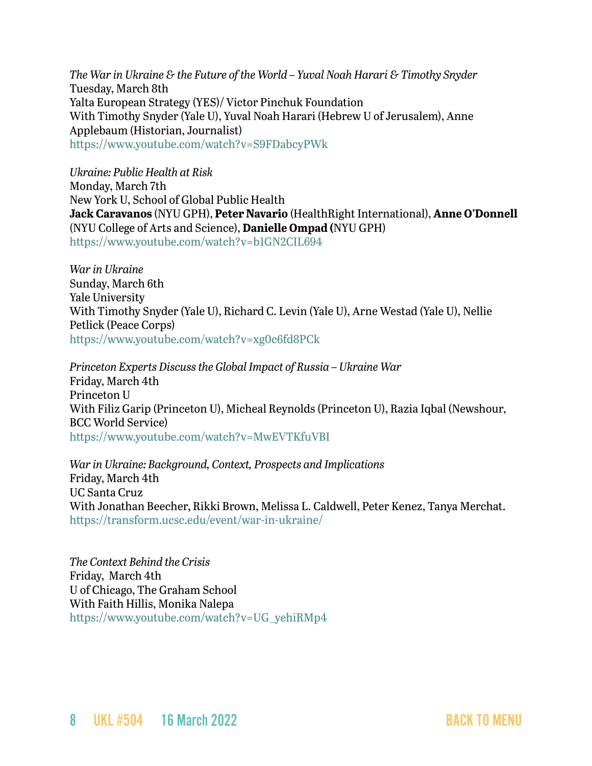*The War in Ukraine & the Future of the World – Yuval Noah Harari & Timothy Snyder* Tuesday, March 8th Yalta European Strategy (YES)/ Victor Pinchuk Foundation With Timothy Snyder (Yale U), Yuval Noah Harari (Hebrew U of Jerusalem), Anne Applebaum (Historian, Journalist) <https://www.youtube.com/watch?v=S9FDabcyPWk>

*Ukraine: Public Health at Risk* Monday, March 7th New York U, School of Global Public Health **Jack Caravanos** (NYU GPH), **Peter Navario** (HealthRight International), **Anne O'Donnell** (NYU College of Arts and Science), **Danielle Ompad (**NYU GPH) <https://www.youtube.com/watch?v=b1GN2CIL694>

*War in Ukraine* Sunday, March 6th Yale University With Timothy Snyder (Yale U), Richard C. Levin (Yale U), Arne Westad (Yale U), Nellie Petlick (Peace Corps) <https://www.youtube.com/watch?v=xg0c6fd8PCk>

*Princeton Experts Discuss the Global Impact of Russia – Ukraine War* Friday, March 4th Princeton U With Filiz Garip (Princeton U), Micheal Reynolds (Princeton U), Razia Iqbal (Newshour, BCC World Service) <https://www.youtube.com/watch?v=MwEVTKfuVBI>

*War in Ukraine: Background, Context, Prospects and Implications* Friday, March 4th UC Santa Cruz With Jonathan Beecher, Rikki Brown, Melissa L. Caldwell, Peter Kenez, Tanya Merchat. <https://transform.ucsc.edu/event/war-in-ukraine/>

*The Context Behind the Crisis* Friday, March 4th U of Chicago, The Graham School With Faith Hillis, Monika Nalepa [https://www.youtube.com/watch?v=UG\\_yehiRMp4](https://www.youtube.com/watch?v=UG_yehiRMp4)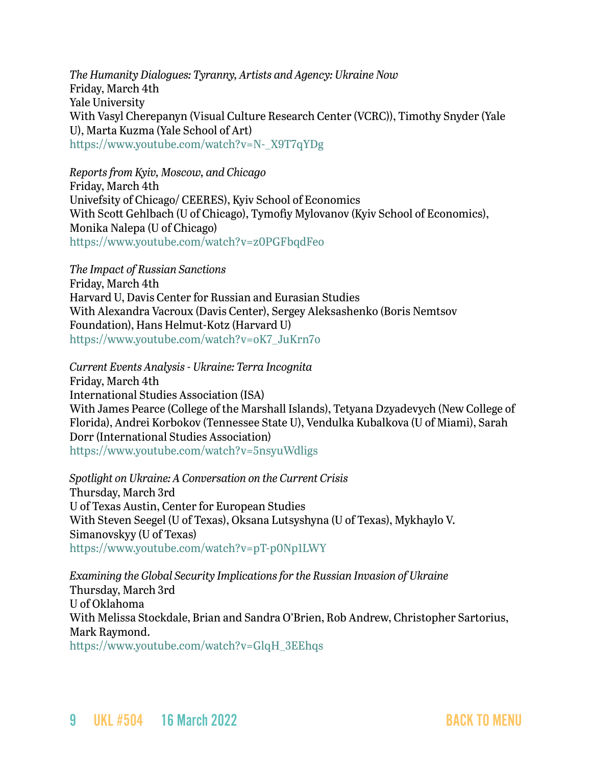*The Humanity Dialogues: Tyranny, Artists and Agency: Ukraine Now* Friday, March 4th Yale University With Vasyl Cherepanyn (Visual Culture Research Center (VCRC)), Timothy Snyder (Yale U), Marta Kuzma (Yale School of Art) [https://www.youtube.com/watch?v=N-\\_X9T7qYDg](https://www.youtube.com/watch?v=N-_X9T7qYDg)

*Reports from Kyiv, Moscow, and Chicago* Friday, March 4th Univefsity of Chicago/ CEERES), Kyiv School of Economics With Scott Gehlbach (U of Chicago), Tymofiy Mylovanov (Kyiv School of Economics), Monika Nalepa (U of Chicago) <https://www.youtube.com/watch?v=z0PGFbqdFeo>

*The Impact of Russian Sanctions*

Friday, March 4th Harvard U, Davis Center for Russian and Eurasian Studies With Alexandra Vacroux (Davis Center), Sergey Aleksashenko (Boris Nemtsov Foundation), Hans Helmut-Kotz (Harvard U) [https://www.youtube.com/watch?v=oK7\\_JuKrn7o](https://www.youtube.com/watch?v=oK7_JuKrn7o)

*Current Events Analysis - Ukraine: Terra Incognita* Friday, March 4th International Studies Association (ISA) With James Pearce (College of the Marshall Islands), Tetyana Dzyadevych (New College of Florida), Andrei Korbokov (Tennessee State U), Vendulka Kubalkova (U of Miami), Sarah Dorr (International Studies Association) <https://www.youtube.com/watch?v=5nsyuWdligs>

*Spotlight on Ukraine: A Conversation on the Current Crisis* Thursday, March 3rd U of Texas Austin, Center for European Studies With Steven Seegel (U of Texas), Oksana Lutsyshyna (U of Texas), Mykhaylo V. Simanovskyy (U of Texas) <https://www.youtube.com/watch?v=pT-p0Np1LWY>

*Examining the Global Security Implications for the Russian Invasion of Ukraine* Thursday, March 3rd U of Oklahoma With Melissa Stockdale, Brian and Sandra O'Brien, Rob Andrew, Christopher Sartorius, Mark Raymond. [https://www.youtube.com/watch?v=GlqH\\_3EEhqs](https://www.youtube.com/watch?v=GlqH_3EEhqs)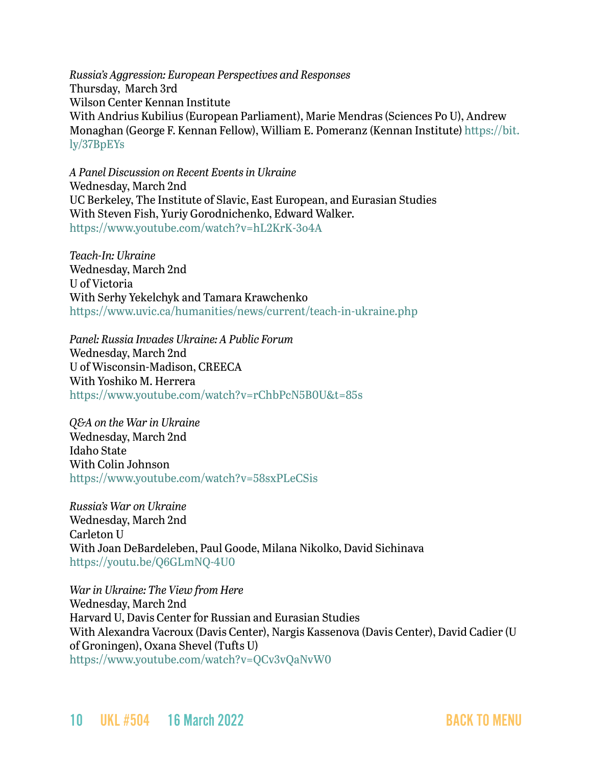*Russia's Aggression: European Perspectives and Responses* Thursday, March 3rd Wilson Center Kennan Institute With Andrius Kubilius (European Parliament), Marie Mendras (Sciences Po U), Andrew Monaghan (George F. Kennan Fellow), William E. Pomeranz (Kennan Institute) [https://bit.](https://bit.ly/37BpEYs) [ly/37BpEYs](https://bit.ly/37BpEYs)

*A Panel Discussion on Recent Events in Ukraine* Wednesday, March 2nd UC Berkeley, The Institute of Slavic, East European, and Eurasian Studies With Steven Fish, Yuriy Gorodnichenko, Edward Walker. <https://www.youtube.com/watch?v=hL2KrK-3o4A>

*Teach-In: Ukraine* Wednesday, March 2nd U of Victoria With Serhy Yekelchyk and Tamara Krawchenko <https://www.uvic.ca/humanities/news/current/teach-in-ukraine.php>

*Panel: Russia Invades Ukraine: A Public Forum* Wednesday, March 2nd U of Wisconsin-Madison, CREECA With Yoshiko M. Herrera <https://www.youtube.com/watch?v=rChbPcN5B0U&t=85s>

*Q&A on the War in Ukraine* Wednesday, March 2nd Idaho State With Colin Johnson <https://www.youtube.com/watch?v=58sxPLeCSis>

*Russia's War on Ukraine* Wednesday, March 2nd Carleton U With Joan DeBardeleben, Paul Goode, Milana Nikolko, David Sichinava <https://youtu.be/Q6GLmNQ-4U0>

*War in Ukraine: The View from Here* Wednesday, March 2nd Harvard U, Davis Center for Russian and Eurasian Studies With Alexandra Vacroux (Davis Center), Nargis Kassenova (Davis Center), David Cadier (U of Groningen), Oxana Shevel (Tufts U) <https://www.youtube.com/watch?v=QCv3vQaNvW0>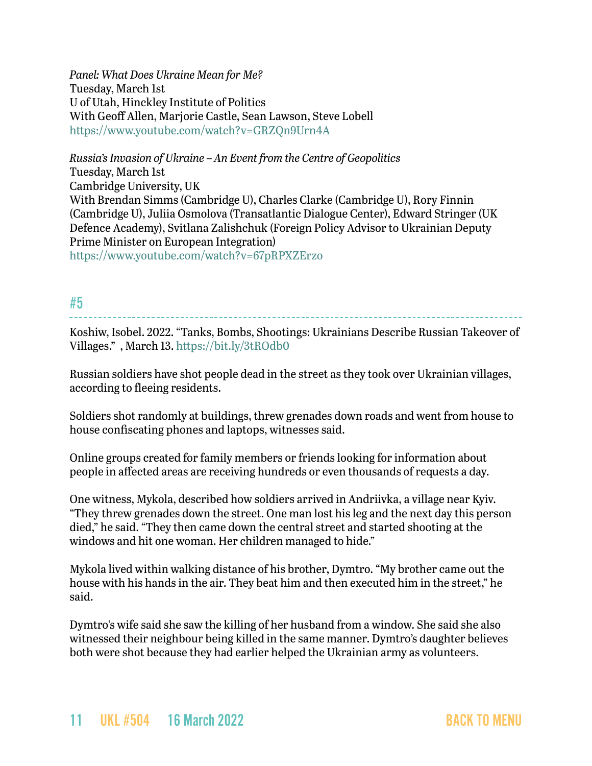*Panel: What Does Ukraine Mean for Me?* Tuesday, March 1st U of Utah, Hinckley Institute of Politics With Geoff Allen, Marjorie Castle, Sean Lawson, Steve Lobell <https://www.youtube.com/watch?v=GRZQn9Urn4A>

*Russia's Invasion of Ukraine – An Event from the Centre of Geopolitics* Tuesday, March 1st Cambridge University, UK With Brendan Simms (Cambridge U), Charles Clarke (Cambridge U), Rory Finnin (Cambridge U), Juliia Osmolova (Transatlantic Dialogue Center), Edward Stringer (UK Defence Academy), Svitlana Zalishchuk (Foreign Policy Advisor to Ukrainian Deputy Prime Minister on European Integration) <https://www.youtube.com/watch?v=67pRPXZErzo>

<span id="page-10-0"></span>#5

Koshiw, Isobel. 2022. "Tanks, Bombs, Shootings: Ukrainians Describe Russian Takeover of Villages." , March 13.<https://bit.ly/3tROdb0>

Russian soldiers have shot people dead in the street as they took over Ukrainian villages,

according to fleeing residents.

Soldiers shot randomly at buildings, threw grenades down roads and went from house to house confiscating phones and laptops, witnesses said.

Online groups created for family members or friends looking for information about people in affected areas are receiving hundreds or even thousands of requests a day.

One witness, Mykola, described how soldiers arrived in Andriivka, a village near Kyiv. "They threw grenades down the street. One man lost his leg and the next day this person died," he said. "They then came down the central street and started shooting at the windows and hit one woman. Her children managed to hide."

Mykola lived within walking distance of his brother, Dymtro. "My brother came out the house with his hands in the air. They beat him and then executed him in the street," he said.

Dymtro's wife said she saw the killing of her husband from a window. She said she also witnessed their neighbour being killed in the same manner. Dymtro's daughter believes both were shot because they had earlier helped the Ukrainian army as volunteers.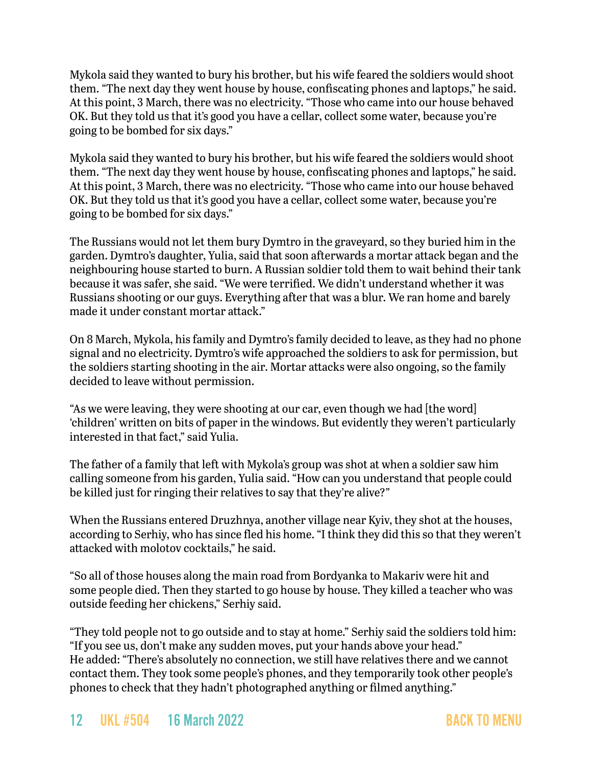Mykola said they wanted to bury his brother, but his wife feared the soldiers would shoot them. "The next day they went house by house, confiscating phones and laptops," he said. At this point, 3 March, there was no electricity. "Those who came into our house behaved OK. But they told us that it's good you have a cellar, collect some water, because you're going to be bombed for six days."

Mykola said they wanted to bury his brother, but his wife feared the soldiers would shoot them. "The next day they went house by house, confiscating phones and laptops," he said. At this point, 3 March, there was no electricity. "Those who came into our house behaved OK. But they told us that it's good you have a cellar, collect some water, because you're going to be bombed for six days."

The Russians would not let them bury Dymtro in the graveyard, so they buried him in the garden. Dymtro's daughter, Yulia, said that soon afterwards a mortar attack began and the neighbouring house started to burn. A Russian soldier told them to wait behind their tank because it was safer, she said. "We were terrified. We didn't understand whether it was Russians shooting or our guys. Everything after that was a blur. We ran home and barely made it under constant mortar attack."

On 8 March, Mykola, his family and Dymtro's family decided to leave, as they had no phone signal and no electricity. Dymtro's wife approached the soldiers to ask for permission, but the soldiers starting shooting in the air. Mortar attacks were also ongoing, so the family decided to leave without permission.

"As we were leaving, they were shooting at our car, even though we had [the word] 'children' written on bits of paper in the windows. But evidently they weren't particularly interested in that fact," said Yulia.

The father of a family that left with Mykola's group was shot at when a soldier saw him calling someone from his garden, Yulia said. "How can you understand that people could be killed just for ringing their relatives to say that they're alive?"

When the Russians entered Druzhnya, another village near Kyiv, they shot at the houses, according to Serhiy, who has since fled his home. "I think they did this so that they weren't attacked with molotov cocktails," he said.

"So all of those houses along the main road from Bordyanka to Makariv were hit and some people died. Then they started to go house by house. They killed a teacher who was outside feeding her chickens," Serhiy said.

"They told people not to go outside and to stay at home." Serhiy said the soldiers told him: "If you see us, don't make any sudden moves, put your hands above your head." He added: "There's absolutely no connection, we still have relatives there and we cannot contact them. They took some people's phones, and they temporarily took other people's phones to check that they hadn't photographed anything or filmed anything."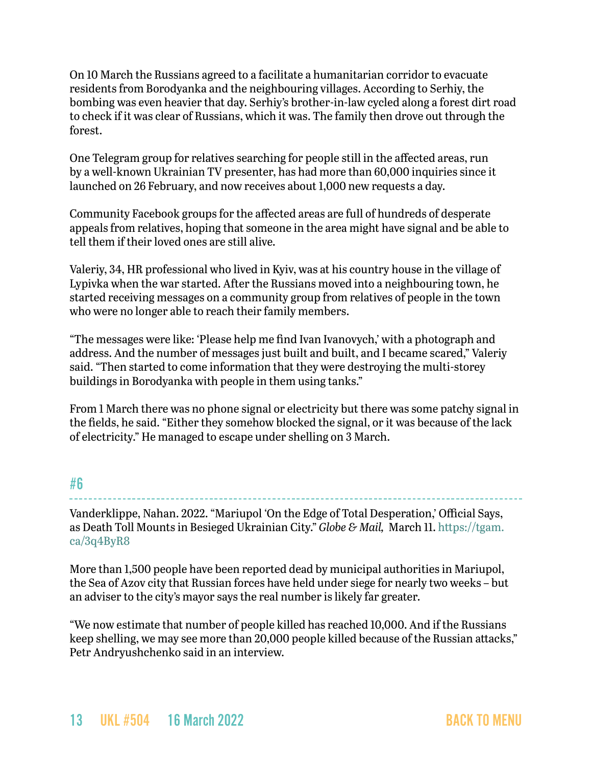On 10 March the Russians agreed to a facilitate a humanitarian corridor to evacuate residents from Borodyanka and the neighbouring villages. According to Serhiy, the bombing was even heavier that day. Serhiy's brother-in-law cycled along a forest dirt road to check if it was clear of Russians, which it was. The family then drove out through the forest.

One Telegram group for relatives searching for people still in the affected areas, run by a well-known Ukrainian TV presenter, has had more than 60,000 inquiries since it launched on 26 February, and now receives about 1,000 new requests a day.

Community Facebook groups for the affected areas are full of hundreds of desperate appeals from relatives, hoping that someone in the area might have signal and be able to tell them if their loved ones are still alive.

Valeriy, 34, HR professional who lived in Kyiv, was at his country house in the village of Lypivka when the war started. After the Russians moved into a neighbouring town, he started receiving messages on a community group from relatives of people in the town who were no longer able to reach their family members.

"The messages were like: 'Please help me find Ivan Ivanovych,' with a photograph and address. And the number of messages just built and built, and I became scared," Valeriy said. "Then started to come information that they were destroying the multi-storey buildings in Borodyanka with people in them using tanks."

From 1 March there was no phone signal or electricity but there was some patchy signal in the fields, he said. "Either they somehow blocked the signal, or it was because of the lack of electricity." He managed to escape under shelling on 3 March.

<span id="page-12-0"></span>#6

Vanderklippe, Nahan. 2022. "Mariupol 'On the Edge of Total Desperation,' Official Says, as Death Toll Mounts in Besieged Ukrainian City." *Globe & Mail,* March 11. [https://tgam.](https://tgam.ca/3q4ByR8) [ca/3q4ByR8](https://tgam.ca/3q4ByR8)

More than 1,500 people have been reported dead by municipal authorities in Mariupol, the Sea of Azov city that Russian forces have held under siege for nearly two weeks – but an adviser to the city's mayor says the real number is likely far greater.

"We now estimate that number of people killed has reached 10,000. And if the Russians keep shelling, we may see more than 20,000 people killed because of the Russian attacks," Petr Andryushchenko said in an interview.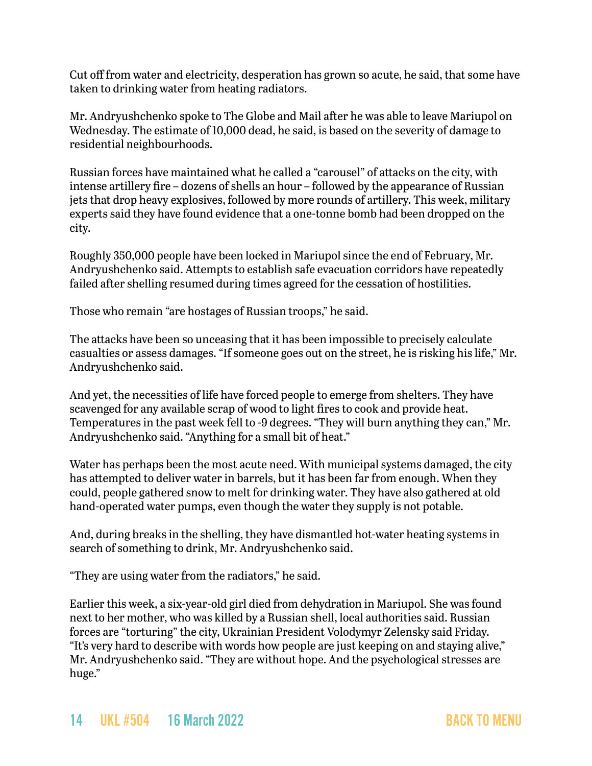Cut off from water and electricity, desperation has grown so acute, he said, that some have taken to drinking water from heating radiators.

Mr. Andryushchenko spoke to The Globe and Mail after he was able to leave Mariupol on Wednesday. The estimate of 10,000 dead, he said, is based on the severity of damage to residential neighbourhoods.

Russian forces have maintained what he called a "carousel" of attacks on the city, with intense artillery fire – dozens of shells an hour – followed by the appearance of Russian jets that drop heavy explosives, followed by more rounds of artillery. This week, military experts said they have found evidence that a one-tonne bomb had been dropped on the city.

Roughly 350,000 people have been locked in Mariupol since the end of February, Mr. Andryushchenko said. Attempts to establish safe evacuation corridors have repeatedly failed after shelling resumed during times agreed for the cessation of hostilities.

Those who remain "are hostages of Russian troops," he said.

The attacks have been so unceasing that it has been impossible to precisely calculate casualties or assess damages. "If someone goes out on the street, he is risking his life," Mr. Andryushchenko said.

And yet, the necessities of life have forced people to emerge from shelters. They have scavenged for any available scrap of wood to light fires to cook and provide heat. Temperatures in the past week fell to -9 degrees. "They will burn anything they can," Mr. Andryushchenko said. "Anything for a small bit of heat."

Water has perhaps been the most acute need. With municipal systems damaged, the city has attempted to deliver water in barrels, but it has been far from enough. When they could, people gathered snow to melt for drinking water. They have also gathered at old hand-operated water pumps, even though the water they supply is not potable.

And, during breaks in the shelling, they have dismantled hot-water heating systems in search of something to drink, Mr. Andryushchenko said.

"They are using water from the radiators," he said.

Earlier this week, a six-year-old girl died from dehydration in Mariupol. She was found next to her mother, who was killed by a Russian shell, local authorities said. Russian forces are "torturing" the city, Ukrainian President [Volodymyr Zelensky](file:///Users/anne-mariearel/Documents/CLIENTS%20ITALIQUE/CHAIRE%20UKR/UKL/javascript:void(0);) said Friday. "It's very hard to describe with words how people are just keeping on and staying alive," Mr. Andryushchenko said. "They are without hope. And the psychological stresses are huge."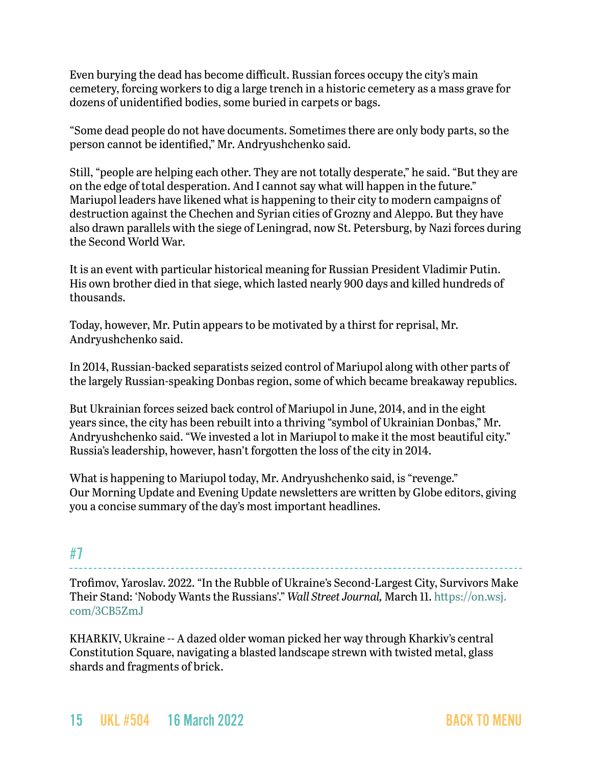Even burying the dead has become difficult. Russian forces occupy the city's main cemetery, forcing workers to dig a large trench in a historic cemetery as a mass grave for dozens of unidentified bodies, some buried in carpets or bags.

"Some dead people do not have documents. Sometimes there are only body parts, so the person cannot be identified," Mr. Andryushchenko said.

Still, "people are helping each other. They are not totally desperate," he said. "But they are on the edge of total desperation. And I cannot say what will happen in the future." Mariupol leaders have likened what is happening to their city to modern campaigns of destruction against the Chechen and Syrian cities of Grozny and Aleppo. But they have also drawn parallels with the siege of Leningrad, now St. Petersburg, by Nazi forces during the Second World War.

It is an event with particular historical meaning for Russian President [Vladimir Putin.](file:///Users/anne-mariearel/Documents/CLIENTS%20ITALIQUE/CHAIRE%20UKR/UKL/javascript:void(0);) His own brother died in that siege, which lasted nearly 900 days and killed hundreds of thousands.

Today, however, Mr. Putin appears to be motivated by a thirst for reprisal, Mr. Andryushchenko said.

In 2014, Russian-backed separatists seized control of Mariupol along with other parts of the largely Russian-speaking Donbas region, some of which became breakaway republics.

But Ukrainian forces seized back control of Mariupol in June, 2014, and in the eight years since, the city has been rebuilt into a thriving "symbol of Ukrainian Donbas," Mr. Andryushchenko said. "We invested a lot in Mariupol to make it the most beautiful city." Russia's leadership, however, hasn't forgotten the loss of the city in 2014.

What is happening to Mariupol today, Mr. Andryushchenko said, is "revenge." Our Morning Update and Evening Update newsletters are written by Globe editors, giving you a concise summary of the day's most important headlines.

# <span id="page-14-0"></span>#7

Trofimov, Yaroslav. 2022. "In the Rubble of Ukraine's Second-Largest City, Survivors Make Their Stand: 'Nobody Wants the Russians'." *Wall Street Journal,* March 11. [https://on.wsj.](https://on.wsj.com/3CB5ZmJ) [com/3CB5ZmJ](https://on.wsj.com/3CB5ZmJ)

KHARKIV, Ukraine -- A dazed older woman picked her way through Kharkiv's central Constitution Square, navigating a blasted landscape strewn with twisted metal, glass shards and fragments of brick.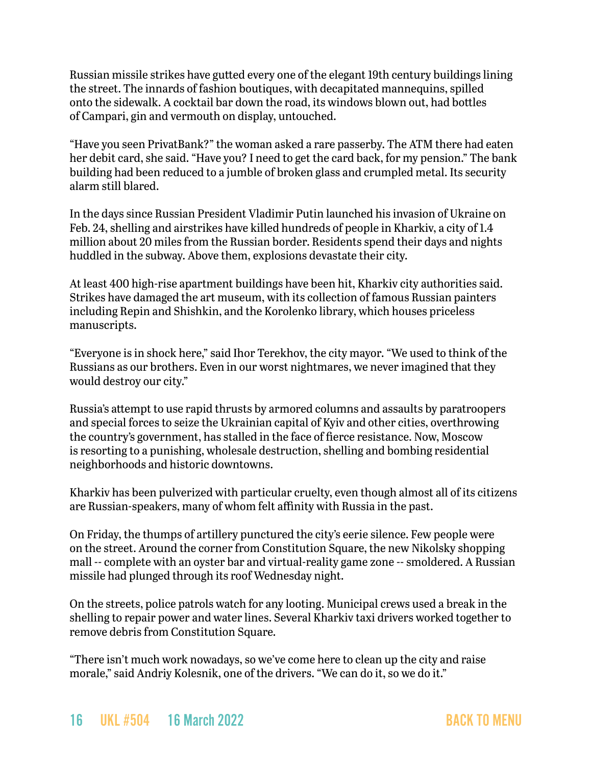Russian missile strikes have gutted every one of the elegant 19th century buildings lining the street. The innards of fashion boutiques, with decapitated mannequins, spilled onto the sidewalk. A cocktail bar down the road, its windows blown out, had bottles of [Campari](file:///Users/anne-mariearel/Documents/CLIENTS%20ITALIQUE/CHAIRE%20UKR/UKL/javascript:void(0);), gin and vermouth on display, untouched.

"Have you seen PrivatBank?" the woman asked a rare passerby. The ATM there had eaten her debit card, she said. "Have you? I need to get the card back, for my pension." The bank building had been reduced to a jumble of broken glass and crumpled metal. Its security alarm still blared.

In the days since Russian President [Vladimir Putin](file:///Users/anne-mariearel/Documents/CLIENTS%20ITALIQUE/CHAIRE%20UKR/UKL/javascript:void(0);) launched his invasion of Ukraine on Feb. 24, shelling and airstrikes have killed hundreds of people in Kharkiv, a city of 1.4 million about 20 miles from the Russian border. Residents spend their days and nights huddled in the subway. Above them, explosions devastate their city.

At least 400 high-rise apartment buildings have been hit, Kharkiv city authorities said. Strikes have damaged the art museum, with its collection of famous Russian painters including Repin and Shishkin, and the Korolenko library, which houses priceless manuscripts.

"Everyone is in shock here," said Ihor Terekhov, the city mayor. "We used to think of the Russians as our brothers. Even in our worst nightmares, we never imagined that they would destroy our city."

Russia's attempt to use rapid thrusts by armored columns and assaults by paratroopers and special forces to seize the Ukrainian capital of Kyiv and other cities, overthrowing the country's government, has stalled in the face of fierce resistance. Now, Moscow is resorting to a punishing, wholesale destruction, shelling and bombing residential neighborhoods and historic downtowns.

Kharkiv has been pulverized with particular cruelty, even though almost all of its citizens are Russian-speakers, many of whom felt affinity with Russia in the past.

On Friday, the thumps of artillery punctured the city's eerie silence. Few people were on the street. Around the corner from Constitution Square, the new Nikolsky shopping mall -- complete with an oyster bar and virtual-reality game zone -- smoldered. A Russian missile had plunged through its roof Wednesday night.

On the streets, police patrols watch for any looting. Municipal crews used a break in the shelling to repair power and water lines. Several Kharkiv taxi drivers worked together to remove debris from Constitution Square.

"There isn't much work nowadays, so we've come here to clean up the city and raise morale," said Andriy Kolesnik, one of the drivers. "We can do it, so we do it."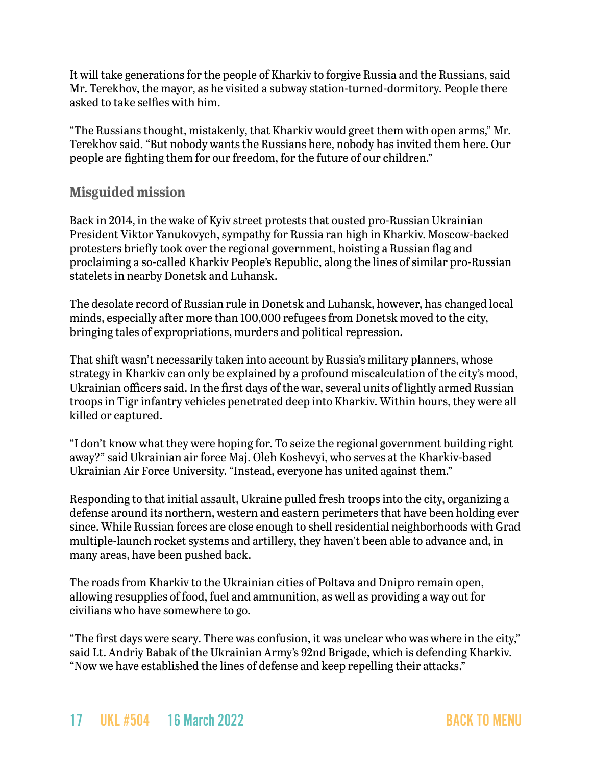It will take generations for the people of Kharkiv to forgive Russia and the Russians, said Mr. Terekhov, the mayor, as he visited a subway station-turned-dormitory. People there asked to take selfies with him.

"The Russians thought, mistakenly, that Kharkiv would greet them with open arms," Mr. Terekhov said. "But nobody wants the Russians here, nobody has invited them here. Our people are fighting them for our freedom, for the future of our children."

#### **Misguided mission**

Back in 2014, in the wake of Kyiv street protests that ousted pro-Russian Ukrainian President Viktor Yanukovych, sympathy for Russia ran high in Kharkiv. Moscow-backed protesters briefly took over the regional government, hoisting a Russian flag and proclaiming a so-called Kharkiv People's Republic, along the lines of similar pro-Russian statelets in nearby Donetsk and Luhansk.

The desolate record of Russian rule in Donetsk and Luhansk, however, has changed local minds, especially after more than 100,000 refugees from Donetsk moved to the city, bringing tales of expropriations, murders and political repression.

That shift wasn't necessarily taken into account by Russia's military planners, whose strategy in Kharkiv can only be explained by a profound miscalculation of the city's mood, Ukrainian officers said. In the first days of the war, several units of lightly armed Russian troops in Tigr infantry vehicles penetrated deep into Kharkiv. Within hours, they were all killed or captured.

"I don't know what they were hoping for. To seize the regional government building right away?" said Ukrainian air force Maj. Oleh Koshevyi, who serves at the Kharkiv-based Ukrainian Air Force University. "Instead, everyone has united against them."

Responding to that initial assault, Ukraine pulled fresh troops into the city, organizing a defense around its northern, western and eastern perimeters that have been holding ever since. While Russian forces are close enough to shell residential neighborhoods with Grad multiple-launch rocket systems and artillery, they haven't been able to advance and, in many areas, have been pushed back.

The roads from Kharkiv to the Ukrainian cities of Poltava and Dnipro remain open, allowing resupplies of food, fuel and ammunition, as well as providing a way out for civilians who have somewhere to go.

"The first days were scary. There was confusion, it was unclear who was where in the city," said Lt. Andriy Babak of the Ukrainian Army's 92nd Brigade, which is defending Kharkiv. "Now we have established the lines of defense and keep repelling their attacks."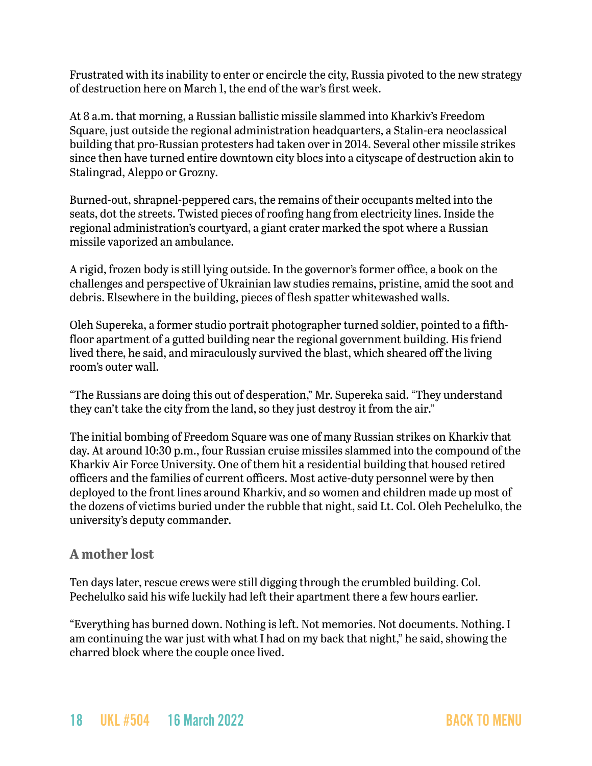Frustrated with its inability to enter or encircle the city, Russia pivoted to the new strategy of destruction here on March 1, the end of the war's first week.

At 8 a.m. that morning, a Russian ballistic missile slammed into Kharkiv's Freedom Square, just outside the regional administration headquarters, a Stalin-era neoclassical building that pro-Russian protesters had taken over in 2014. Several other missile strikes since then have turned entire downtown city blocs into a cityscape of destruction akin to Stalingrad, Aleppo or Grozny.

Burned-out, shrapnel-peppered cars, the remains of their occupants melted into the seats, dot the streets. Twisted pieces of roofing hang from electricity lines. Inside the regional administration's courtyard, a giant crater marked the spot where a Russian missile vaporized an ambulance.

A rigid, frozen body is still lying outside. In the governor's former office, a book on the challenges and perspective of Ukrainian law studies remains, pristine, amid the soot and debris. Elsewhere in the building, pieces of flesh spatter whitewashed walls.

Oleh Supereka, a former studio portrait photographer turned soldier, pointed to a fifthfloor apartment of a gutted building near the regional government building. His friend lived there, he said, and miraculously survived the blast, which sheared off the living room's outer wall.

"The Russians are doing this out of desperation," Mr. Supereka said. "They understand they can't take the city from the land, so they just destroy it from the air."

The initial bombing of Freedom Square was one of many Russian strikes on Kharkiv that day. At around 10:30 p.m., four Russian cruise missiles slammed into the compound of the Kharkiv Air Force University. One of them hit a residential building that housed retired officers and the families of current officers. Most active-duty personnel were by then deployed to the front lines around Kharkiv, and so women and children made up most of the dozens of victims buried under the rubble that night, said Lt. Col. Oleh Pechelulko, the university's deputy commander.

## **A mother lost**

Ten days later, rescue crews were still digging through the crumbled building. Col. Pechelulko said his wife luckily had left their apartment there a few hours earlier.

"Everything has burned down. Nothing is left. Not memories. Not documents. Nothing. I am continuing the war just with what I had on my back that night," he said, showing the charred block where the couple once lived.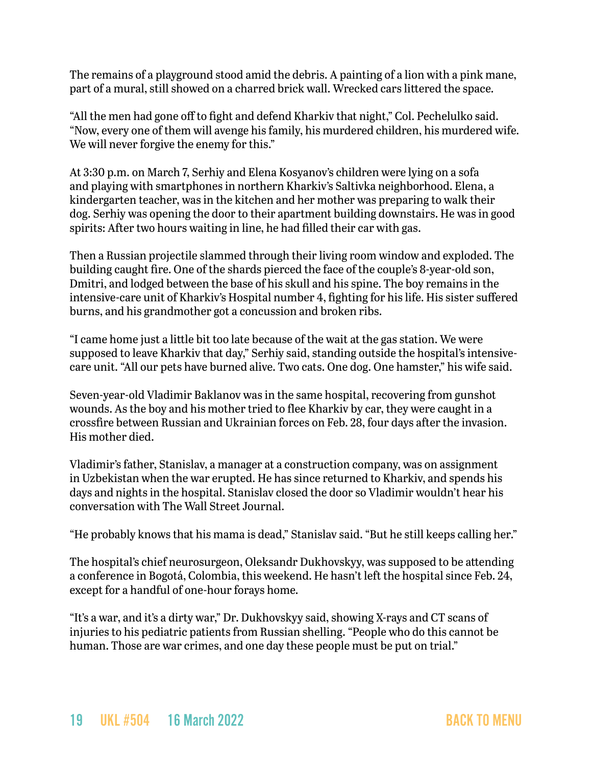The remains of a playground stood amid the debris. A painting of a lion with a pink mane, part of a mural, still showed on a charred brick wall. Wrecked cars littered the space.

"All the men had gone off to fight and defend Kharkiv that night," Col. Pechelulko said. "Now, every one of them will avenge his family, his murdered children, his murdered wife. We will never forgive the enemy for this."

At 3:30 p.m. on March 7, Serhiy and Elena Kosyanov's children were lying on a sofa and playing with smartphones in northern Kharkiv's Saltivka neighborhood. Elena, a kindergarten teacher, was in the kitchen and her mother was preparing to walk their dog. Serhiy was opening the door to their apartment building downstairs. He was in good spirits: After two hours waiting in line, he had filled their car with gas.

Then a Russian projectile slammed through their living room window and exploded. The building caught fire. One of the shards pierced the face of the couple's 8-year-old son, Dmitri, and lodged between the base of his skull and his spine. The boy remains in the intensive-care unit of Kharkiv's Hospital number 4, fighting for his life. His sister suffered burns, and his grandmother got a concussion and broken ribs.

"I came home just a little bit too late because of the wait at the gas station. We were supposed to leave Kharkiv that day," Serhiy said, standing outside the hospital's intensivecare unit. "All our pets have burned alive. Two cats. One dog. One hamster," his wife said.

Seven-year-old Vladimir Baklanov was in the same hospital, recovering from gunshot wounds. As the boy and his mother tried to flee Kharkiv by car, they were caught in a crossfire between Russian and Ukrainian forces on Feb. 28, four days after the invasion. His mother died.

Vladimir's father, Stanislav, a manager at a construction company, was on assignment in Uzbekistan when the war erupted. He has since returned to Kharkiv, and spends his days and nights in the hospital. Stanislav closed the door so Vladimir wouldn't hear his conversation with The Wall Street Journal.

"He probably knows that his mama is dead," Stanislav said. "But he still keeps calling her."

The hospital's chief neurosurgeon, Oleksandr Dukhovskyy, was supposed to be attending a conference in Bogotá, Colombia, this weekend. He hasn't left the hospital since Feb. 24, except for a handful of one-hour forays home.

"It's a war, and it's a dirty war," Dr. Dukhovskyy said, showing X-rays and CT scans of injuries to his pediatric patients from Russian shelling. "People who do this cannot be human. Those are war crimes, and one day these people must be put on trial."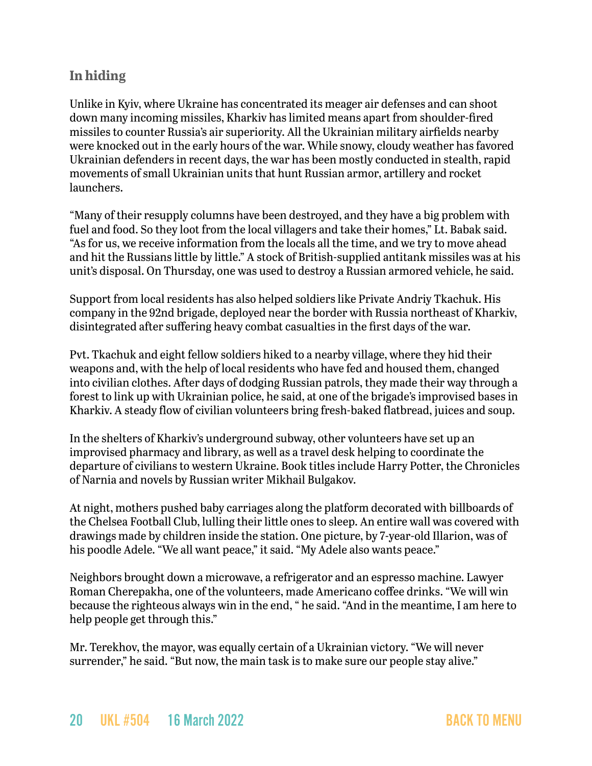## **In hiding**

Unlike in Kyiv, where Ukraine has concentrated its meager air defenses and can shoot down many incoming missiles, Kharkiv has limited means apart from shoulder-fired missiles to counter Russia's air superiority. All the Ukrainian military airfields nearby were knocked out in the early hours of the war. While snowy, cloudy weather has favored Ukrainian defenders in recent days, the war has been mostly conducted in stealth, rapid movements of small Ukrainian units that hunt Russian armor, artillery and rocket launchers.

"Many of their resupply columns have been destroyed, and they have a big problem with fuel and food. So they loot from the local villagers and take their homes," Lt. Babak said. "As for us, we receive information from the locals all the time, and we try to move ahead and hit the Russians little by little." A stock of British-supplied antitank missiles was at his unit's disposal. On Thursday, one was used to destroy a Russian armored vehicle, he said.

Support from local residents has also helped soldiers like Private Andriy Tkachuk. His company in the 92nd brigade, deployed near the border with Russia northeast of Kharkiv, disintegrated after suffering heavy combat casualties in the first days of the war.

Pvt. Tkachuk and eight fellow soldiers hiked to a nearby village, where they hid their weapons and, with the help of local residents who have fed and housed them, changed into civilian clothes. After days of dodging Russian patrols, they made their way through a forest to link up with Ukrainian police, he said, at one of the brigade's improvised bases in Kharkiv. A steady flow of civilian volunteers bring fresh-baked flatbread, juices and soup.

In the shelters of Kharkiv's underground subway, other volunteers have set up an improvised pharmacy and library, as well as a travel desk helping to coordinate the departure of civilians to western Ukraine. Book titles include Harry Potter, the Chronicles of Narnia and novels by Russian writer Mikhail Bulgakov.

At night, mothers pushed baby carriages along the platform decorated with billboards of the [Chelsea Football Club,](file:///Users/anne-mariearel/Documents/CLIENTS%20ITALIQUE/CHAIRE%20UKR/UKL/javascript:void(0);) lulling their little ones to sleep. An entire wall was covered with drawings made by children inside the station. One picture, by 7-year-old Illarion, was of his poodle Adele. "We all want peace," it said. "My Adele also wants peace."

Neighbors brought down a microwave, a refrigerator and an espresso machine. Lawyer Roman Cherepakha, one of the volunteers, made Americano coffee drinks. "We will win because the righteous always win in the end, " he said. "And in the meantime, I am here to help people get through this."

Mr. Terekhov, the mayor, was equally certain of a Ukrainian victory. "We will never surrender," he said. "But now, the main task is to make sure our people stay alive."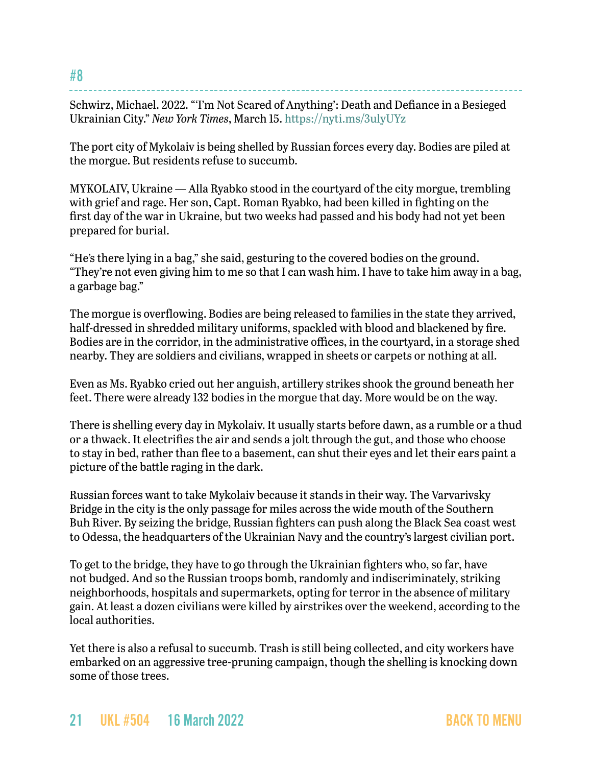## <span id="page-20-0"></span>#8

Schwirz, Michael. 2022. "'I'm Not Scared of Anything': Death and Defiance in a Besieged Ukrainian City." *New York Times*, March 15. <https://nyti.ms/3ulyUYz>

The port city of Mykolaiv is being shelled by Russian forces every day. Bodies are piled at the morgue. But residents refuse to succumb.

MYKOLAIV, Ukraine — Alla Ryabko stood in the courtyard of the city morgue, trembling with grief and rage. Her son, Capt. Roman Ryabko, had been killed in fighting on the first day of the war in Ukraine, but two weeks had passed and his body had not yet been prepared for burial.

"He's there lying in a bag," she said, gesturing to the covered bodies on the ground. "They're not even giving him to me so that I can wash him. I have to take him away in a bag, a garbage bag."

The morgue is overflowing. Bodies are being released to families in the state they arrived, half-dressed in shredded military uniforms, spackled with blood and blackened by fire. Bodies are in the corridor, in the administrative offices, in the courtyard, in a storage shed nearby. They are soldiers and civilians, wrapped in sheets or carpets or nothing at all.

Even as Ms. Ryabko cried out her anguish, artillery strikes shook the ground beneath her feet. There were already 132 bodies in the morgue that day. More would be on the way.

There is shelling every day in Mykolaiv. It usually starts before dawn, as a rumble or a thud or a thwack. It electrifies the air and sends a jolt through the gut, and those who choose to stay in bed, rather than flee to a basement, can shut their eyes and let their ears paint a picture of the battle raging in the dark.

Russian forces want to take Mykolaiv because it stands in their way. The Varvarivsky Bridge in the city is the only passage for miles across the wide mouth of the Southern Buh River. By seizing the bridge, Russian fighters can push along the Black Sea coast west to Odessa, the headquarters of the Ukrainian Navy and the country's largest civilian port.

To get to the bridge, they have to go through the Ukrainian fighters who, so far, have not budged. And so the Russian troops bomb, randomly and indiscriminately, striking neighborhoods, hospitals and supermarkets, opting for terror in the absence of military gain. At least a dozen civilians were killed by airstrikes over the weekend, according to the local authorities.

Yet there is also a refusal to succumb. Trash is still being collected, and city workers have embarked on an aggressive tree-pruning campaign, though the shelling is knocking down some of those trees.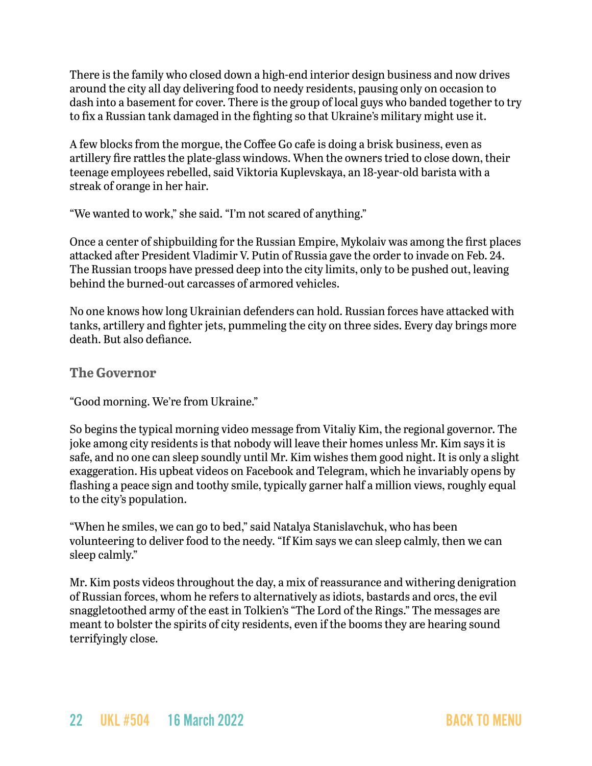There is the family who closed down a high-end interior design business and now drives around the city all day delivering food to needy residents, pausing only on occasion to dash into a basement for cover. There is the group of local guys who banded together to try to fix a Russian tank damaged in the fighting so that Ukraine's military might use it.

A few blocks from the morgue, the Coffee Go cafe is doing a brisk business, even as artillery fire rattles the plate-glass windows. When the owners tried to close down, their teenage employees rebelled, said Viktoria Kuplevskaya, an 18-year-old barista with a streak of orange in her hair.

"We wanted to work," she said. "I'm not scared of anything."

Once a center of shipbuilding for the Russian Empire, Mykolaiv was among the first places attacked after President Vladimir V. Putin of Russia gave the order to invade on Feb. 24. The Russian troops have pressed deep into the city limits, only to be pushed out, leaving behind the burned-out carcasses of armored vehicles.

No one knows how long Ukrainian defenders can hold. Russian forces have attacked with tanks, artillery and fighter jets, pummeling the city on three sides. Every day brings more death. But also defiance.

**The Governor**

"Good morning. We're from Ukraine."

So begins the typical morning video message from Vitaliy Kim, the regional governor. The joke among city residents is that nobody will leave their homes unless Mr. Kim says it is safe, and no one can sleep soundly until Mr. Kim wishes them good night. It is only a slight exaggeration. His upbeat videos on Facebook and Telegram, which he invariably opens by flashing a peace sign and toothy smile, typically garner half a million views, roughly equal to the city's population.

"When he smiles, we can go to bed," said Natalya Stanislavchuk, who has been volunteering to deliver food to the needy. "If Kim says we can sleep calmly, then we can sleep calmly."

Mr. Kim posts videos throughout the day, a mix of reassurance and withering denigration of Russian forces, whom he refers to alternatively as idiots, bastards and orcs, the evil snaggletoothed army of the east in Tolkien's "The Lord of the Rings." The messages are meant to bolster the spirits of city residents, even if the booms they are hearing sound terrifyingly close.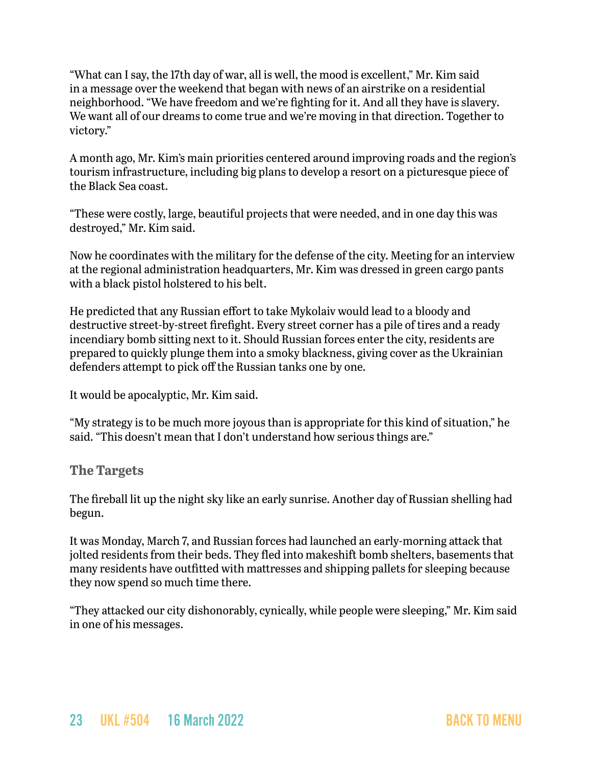"What can I say, the 17th day of war, all is well, the mood is excellent," Mr. Kim said in a message over the weekend that began with news of an airstrike on a residential neighborhood. "We have freedom and we're fighting for it. And all they have is slavery. We want all of our dreams to come true and we're moving in that direction. Together to victory."

A month ago, Mr. Kim's main priorities centered around improving roads and the region's tourism infrastructure, including big plans to develop a resort on a picturesque piece of the Black Sea coast.

"These were costly, large, beautiful projects that were needed, and in one day this was destroyed," Mr. Kim said.

Now he coordinates with the military for the defense of the city. Meeting for an interview at the regional administration headquarters, Mr. Kim was dressed in green cargo pants with a black pistol holstered to his belt.

He predicted that any Russian effort to take Mykolaiv would lead to a bloody and destructive street-by-street firefight. Every street corner has a pile of tires and a ready incendiary bomb sitting next to it. Should Russian forces enter the city, residents are prepared to quickly plunge them into a smoky blackness, giving cover as the Ukrainian defenders attempt to pick off the Russian tanks one by one.

It would be apocalyptic, Mr. Kim said.

"My strategy is to be much more joyous than is appropriate for this kind of situation," he said. "This doesn't mean that I don't understand how serious things are."

#### **The Targets**

The fireball lit up the night sky like an early sunrise. Another day of Russian shelling had begun.

It was Monday, March 7, and Russian forces had launched an early-morning attack that jolted residents from their beds. They fled into makeshift bomb shelters, basements that many residents have outfitted with mattresses and shipping pallets for sleeping because they now spend so much time there.

"They attacked our city dishonorably, cynically, while people were sleeping," Mr. Kim said in one of his messages.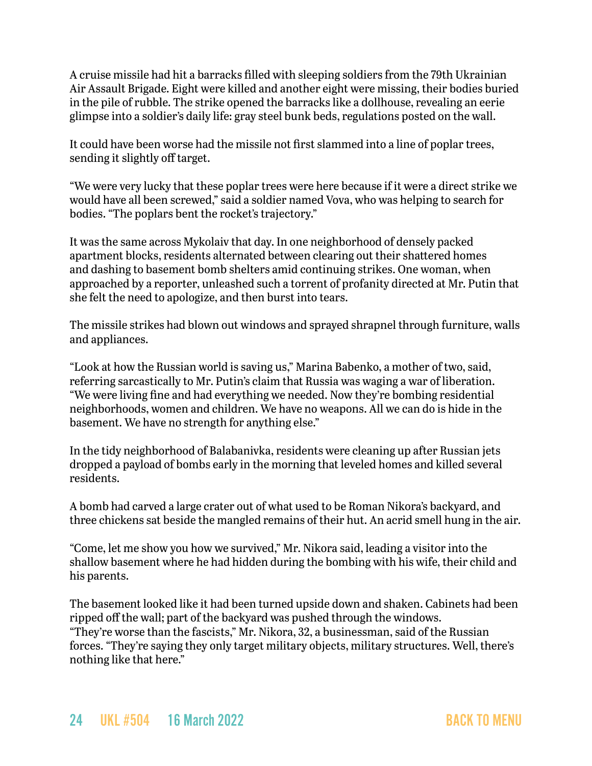A cruise missile had hit a barracks filled with sleeping soldiers from the 79th Ukrainian Air Assault Brigade. Eight were killed and another eight were missing, their bodies buried in the pile of rubble. The strike opened the barracks like a dollhouse, revealing an eerie glimpse into a soldier's daily life: gray steel bunk beds, regulations posted on the wall.

It could have been worse had the missile not first slammed into a line of poplar trees, sending it slightly off target.

"We were very lucky that these poplar trees were here because if it were a direct strike we would have all been screwed," said a soldier named Vova, who was helping to search for bodies. "The poplars bent the rocket's trajectory."

It was the same across Mykolaiv that day. In one neighborhood of densely packed apartment blocks, residents alternated between clearing out their shattered homes and dashing to basement bomb shelters amid continuing strikes. One woman, when approached by a reporter, unleashed such a torrent of profanity directed at Mr. Putin that she felt the need to apologize, and then burst into tears.

The missile strikes had blown out windows and sprayed shrapnel through furniture, walls and appliances.

"Look at how the Russian world is saving us," Marina Babenko, a mother of two, said, referring sarcastically to Mr. Putin's claim that Russia was waging a war of liberation. "We were living fine and had everything we needed. Now they're bombing residential neighborhoods, women and children. We have no weapons. All we can do is hide in the basement. We have no strength for anything else."

In the tidy neighborhood of Balabanivka, residents were cleaning up after Russian jets dropped a payload of bombs early in the morning that leveled homes and killed several residents.

A bomb had carved a large crater out of what used to be Roman Nikora's backyard, and three chickens sat beside the mangled remains of their hut. An acrid smell hung in the air.

"Come, let me show you how we survived," Mr. Nikora said, leading a visitor into the shallow basement where he had hidden during the bombing with his wife, their child and his parents.

The basement looked like it had been turned upside down and shaken. Cabinets had been ripped off the wall; part of the backyard was pushed through the windows. "They're worse than the fascists," Mr. Nikora, 32, a businessman, said of the Russian forces. "They're saying they only target military objects, military structures. Well, there's nothing like that here."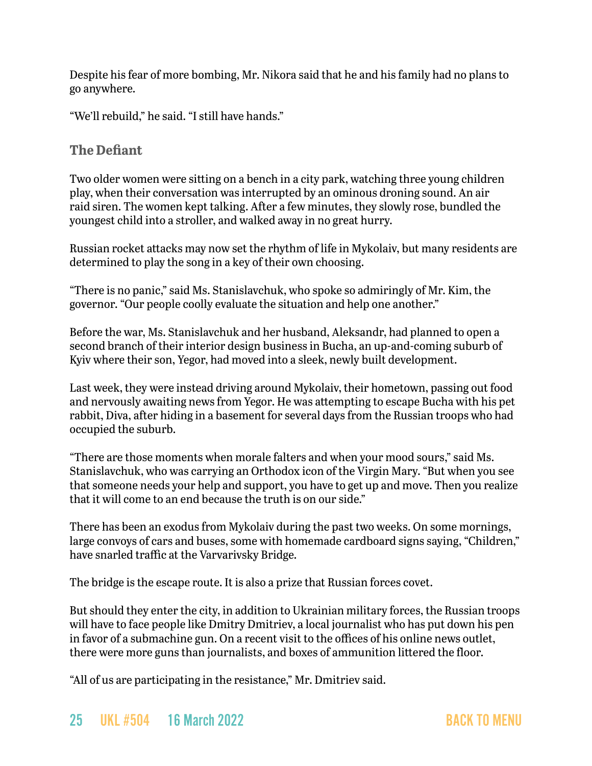Despite his fear of more bombing, Mr. Nikora said that he and his family had no plans to go anywhere.

"We'll rebuild," he said. "I still have hands."

#### **The Defiant**

Two older women were sitting on a bench in a city park, watching three young children play, when their conversation was interrupted by an ominous droning sound. An air raid siren. The women kept talking. After a few minutes, they slowly rose, bundled the youngest child into a stroller, and walked away in no great hurry.

Russian rocket attacks may now set the rhythm of life in Mykolaiv, but many residents are determined to play the song in a key of their own choosing.

"There is no panic," said Ms. Stanislavchuk, who spoke so admiringly of Mr. Kim, the governor. "Our people coolly evaluate the situation and help one another."

Before the war, Ms. Stanislavchuk and her husband, Aleksandr, had planned to open a second branch of their interior design business in Bucha, an up-and-coming suburb of Kyiv where their son, Yegor, had moved into a sleek, newly built development.

Last week, they were instead driving around Mykolaiv, their hometown, passing out food and nervously awaiting news from Yegor. He was attempting to escape Bucha with his pet rabbit, Diva, after hiding in a basement for several days from the Russian troops who had occupied the suburb.

"There are those moments when morale falters and when your mood sours," said Ms. Stanislavchuk, who was carrying an Orthodox icon of the Virgin Mary. "But when you see that someone needs your help and support, you have to get up and move. Then you realize that it will come to an end because the truth is on our side."

There has been an exodus from Mykolaiv during the past two weeks. On some mornings, large convoys of cars and buses, some with homemade cardboard signs saying, "Children," have snarled traffic at the Varvarivsky Bridge.

The bridge is the escape route. It is also a prize that Russian forces covet.

But should they enter the city, in addition to Ukrainian military forces, the Russian troops will have to face people like Dmitry Dmitriev, a local journalist who has put down his pen in favor of a submachine gun. On a recent visit to the offices of his online news outlet, there were more guns than journalists, and boxes of ammunition littered the floor.

"All of us are participating in the resistance," Mr. Dmitriev said.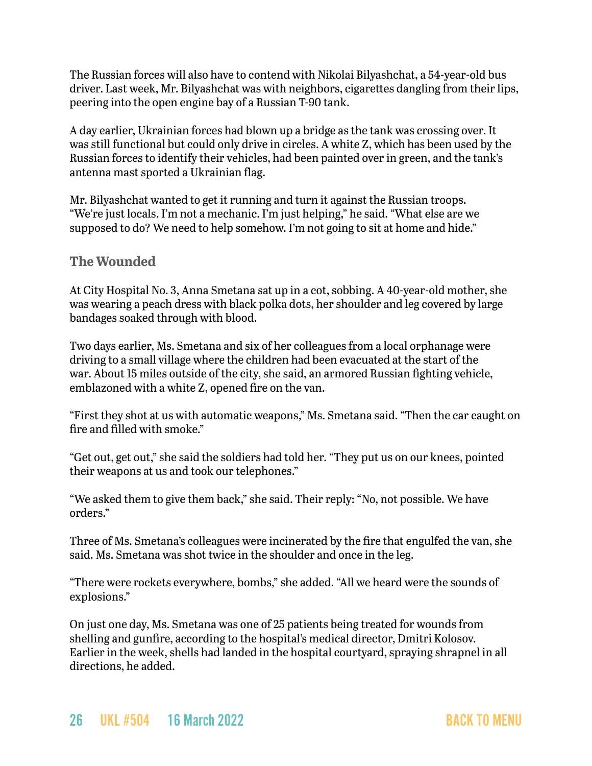The Russian forces will also have to contend with Nikolai Bilyashchat, a 54-year-old bus driver. Last week, Mr. Bilyashchat was with neighbors, cigarettes dangling from their lips, peering into the open engine bay of a Russian T-90 tank.

A day earlier, Ukrainian forces had blown up a bridge as the tank was crossing over. It was still functional but could only drive in circles. A white Z, which has been used by the Russian forces to identify their vehicles, had been painted over in green, and the tank's antenna mast sported a Ukrainian flag.

Mr. Bilyashchat wanted to get it running and turn it against the Russian troops. "We're just locals. I'm not a mechanic. I'm just helping," he said. "What else are we supposed to do? We need to help somehow. I'm not going to sit at home and hide."

## **The Wounded**

At City Hospital No. 3, Anna Smetana sat up in a cot, sobbing. A 40-year-old mother, she was wearing a peach dress with black polka dots, her shoulder and leg covered by large bandages soaked through with blood.

Two days earlier, Ms. Smetana and six of her colleagues from a local orphanage were driving to a small village where the children had been evacuated at the start of the war. About 15 miles outside of the city, she said, an armored Russian fighting vehicle, emblazoned with a white Z, opened fire on the van.

"First they shot at us with automatic weapons," Ms. Smetana said. "Then the car caught on fire and filled with smoke."

"Get out, get out," she said the soldiers had told her. "They put us on our knees, pointed their weapons at us and took our telephones."

"We asked them to give them back," she said. Their reply: "No, not possible. We have orders."

Three of Ms. Smetana's colleagues were incinerated by the fire that engulfed the van, she said. Ms. Smetana was shot twice in the shoulder and once in the leg.

"There were rockets everywhere, bombs," she added. "All we heard were the sounds of explosions."

On just one day, Ms. Smetana was one of 25 patients being treated for wounds from shelling and gunfire, according to the hospital's medical director, Dmitri Kolosov. Earlier in the week, shells had landed in the hospital courtyard, spraying shrapnel in all directions, he added.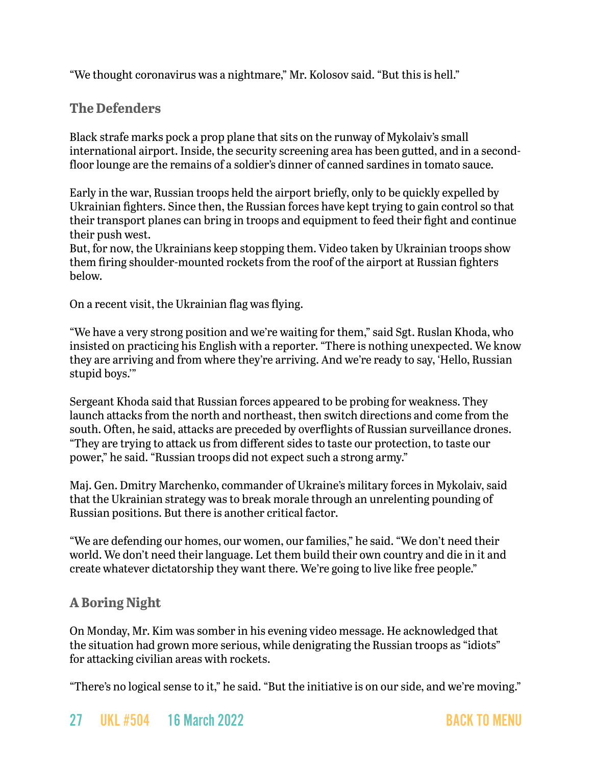"We thought coronavirus was a nightmare," Mr. Kolosov said. "But this is hell."

## **The Defenders**

Black strafe marks pock a prop plane that sits on the runway of Mykolaiv's small international airport. Inside, the security screening area has been gutted, and in a secondfloor lounge are the remains of a soldier's dinner of canned sardines in tomato sauce.

Early in the war, Russian troops held the airport briefly, only to be quickly expelled by Ukrainian fighters. Since then, the Russian forces have kept trying to gain control so that their transport planes can bring in troops and equipment to feed their fight and continue their push west.

But, for now, the Ukrainians keep stopping them. Video taken by Ukrainian troops show them firing shoulder-mounted rockets from the roof of the airport at Russian fighters below.

On a recent visit, the Ukrainian flag was flying.

"We have a very strong position and we're waiting for them," said Sgt. Ruslan Khoda, who insisted on practicing his English with a reporter. "There is nothing unexpected. We know they are arriving and from where they're arriving. And we're ready to say, 'Hello, Russian stupid boys.'"

Sergeant Khoda said that Russian forces appeared to be probing for weakness. They launch attacks from the north and northeast, then switch directions and come from the south. Often, he said, attacks are preceded by overflights of Russian surveillance drones. "They are trying to attack us from different sides to taste our protection, to taste our power," he said. "Russian troops did not expect such a strong army."

Maj. Gen. Dmitry Marchenko, commander of Ukraine's military forces in Mykolaiv, said that the Ukrainian strategy was to break morale through an unrelenting pounding of Russian positions. But there is another critical factor.

"We are defending our homes, our women, our families," he said. "We don't need their world. We don't need their language. Let them build their own country and die in it and create whatever dictatorship they want there. We're going to live like free people."

## **A Boring Night**

On Monday, Mr. Kim was somber in his evening video message. He acknowledged that the situation had grown more serious, while denigrating the Russian troops as "idiots" for attacking civilian areas with rockets.

"There's no logical sense to it," he said. "But the initiative is on our side, and we're moving."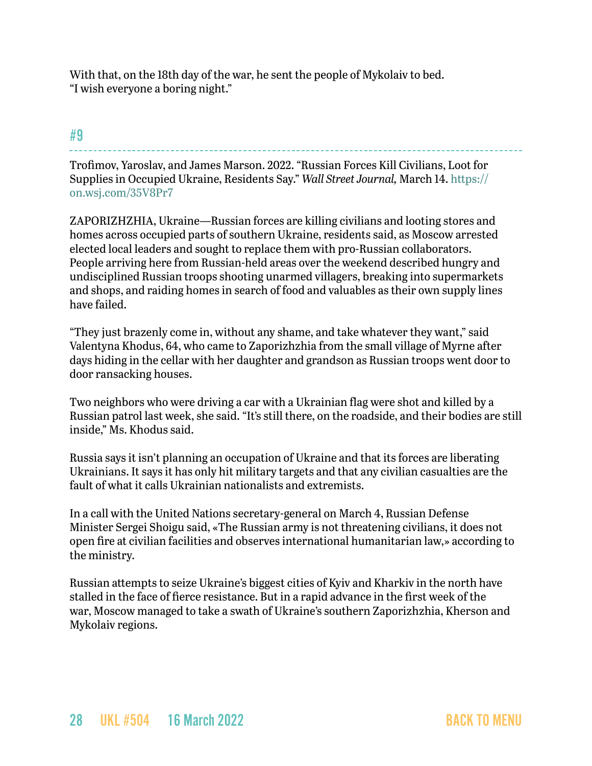With that, on the 18th day of the war, he sent the people of Mykolaiv to bed. "I wish everyone a boring night."

# <span id="page-27-0"></span>#9

Trofimov, Yaroslav, and James Marson. 2022. "Russian Forces Kill Civilians, Loot for Supplies in Occupied Ukraine, Residents Say." *Wall Street Journal,* March 14. [https://](https://on.wsj.com/35V8Pr7) [on.wsj.com/35V8Pr7](https://on.wsj.com/35V8Pr7)

ZAPORIZHZHIA, Ukraine[—Russian forces](file:///Users/anne-mariearel/Documents/CLIENTS%20ITALIQUE/CHAIRE%20UKR/UKL/javascript:void(0)) are killing civilians and looting stores and homes across [occupied parts](file:///Users/anne-mariearel/Documents/CLIENTS%20ITALIQUE/CHAIRE%20UKR/UKL/javascript:void(0)) of southern Ukraine, residents said, as Moscow arrested elected local leaders and sought to replace them with pro-Russian collaborators. People arriving here from Russian-held areas over the weekend described hungry and undisciplined Russian troops shooting unarmed villagers, breaking into supermarkets and shops, and raiding homes in search of food and valuables as their own supply lines have failed.

"They just brazenly come in, without any shame, and take whatever they want," said Valentyna Khodus, 64, who came to Zaporizhzhia from the small village of Myrne after days hiding in the cellar with her daughter and grandson as [Russian troops](file:///Users/anne-mariearel/Documents/CLIENTS%20ITALIQUE/CHAIRE%20UKR/UKL/javascript:void(0)) went door to door ransacking houses.

Two neighbors who were driving a car with a Ukrainian flag were shot and killed by a Russian patrol last week, she said. "It's still there, on the roadside, and their bodies are still inside," Ms. Khodus said.

Russia says it isn't planning an occupation of Ukraine and that its forces are liberating Ukrainians. It says it has only hit military targets and that any civilian casualties are the fault of what it calls Ukrainian nationalists and extremists.

In a call with the United Nations secretary-general on March 4, Russian Defense Minister [Sergei Shoigu](file:///Users/anne-mariearel/Documents/CLIENTS%20ITALIQUE/CHAIRE%20UKR/UKL/javascript:void(0);) said, «The Russian army is not threatening civilians, it does not open fire at civilian facilities and observes international humanitarian law,» according to the ministry.

Russian attempts to seize Ukraine's biggest cities of Kyiv and [Kharkiv](file:///Users/anne-mariearel/Documents/CLIENTS%20ITALIQUE/CHAIRE%20UKR/UKL/javascript:void(0)) in the north have stalled in the [face of fierce resistance.](file:///Users/anne-mariearel/Documents/CLIENTS%20ITALIQUE/CHAIRE%20UKR/UKL/javascript:void(0)) But in a rapid advance in the first week of the war, Moscow managed to take a swath of Ukraine's southern Zaporizhzhia, Kherson and Mykolaiv regions.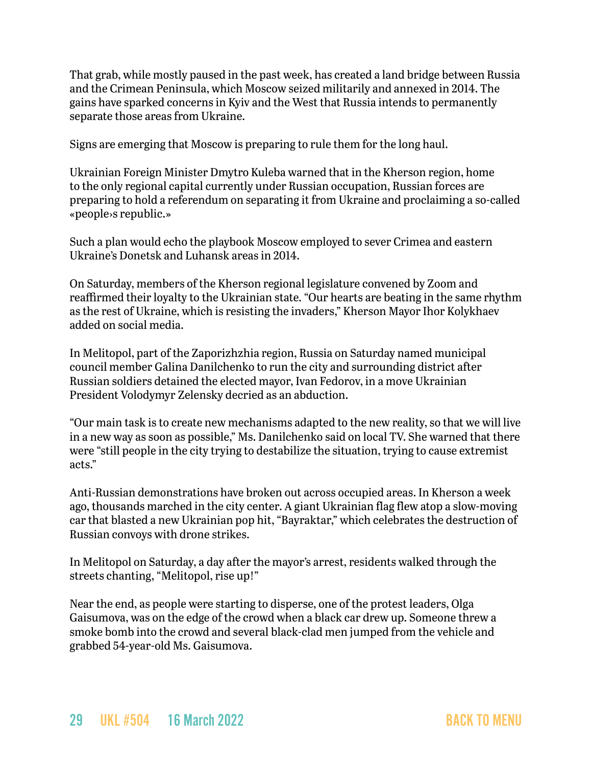That grab, while mostly paused in the past week, has created a land bridge between Russia and the Crimean Peninsula, which Moscow seized militarily and [annexed in 2014](file:///Users/anne-mariearel/Documents/CLIENTS%20ITALIQUE/CHAIRE%20UKR/UKL/javascript:void(0)). The gains have sparked concerns in Kyiv and the West that Russia intends to permanently separate those areas from Ukraine.

Signs are emerging that Moscow is preparing to rule them for the long haul.

Ukrainian Foreign Minister [Dmytro Kuleba](file:///Users/anne-mariearel/Documents/CLIENTS%20ITALIQUE/CHAIRE%20UKR/UKL/javascript:void(0);) warned that in the Kherson region, home to the only regional capital currently under Russian occupation, Russian forces are preparing to hold a referendum on separating it from Ukraine and proclaiming a so-called «people›s republic.»

Such a plan would echo the playbook Moscow employed to sever Crimea and eastern Ukraine's Donetsk and Luhansk areas in 2014.

On Saturday, members of the Kherson regional legislature convened by Zoom and reaffirmed their loyalty to the Ukrainian state. "Our hearts are beating in the same rhythm as the rest of Ukraine, which is resisting the invaders," Kherson Mayor Ihor Kolykhaev added on social media.

In Melitopol, part of the Zaporizhzhia region, Russia on Saturday named municipal council member Galina Danilchenko to run the city and surrounding district after Russian soldiers [detained the elected mayor,](file:///Users/anne-mariearel/Documents/CLIENTS%20ITALIQUE/CHAIRE%20UKR/UKL/javascript:void(0)) Ivan Fedorov, in a move Ukrainian President [Volodymyr Zelensky](file:///Users/anne-mariearel/Documents/CLIENTS%20ITALIQUE/CHAIRE%20UKR/UKL/javascript:void(0);) decried as an abduction.

"Our main task is to create new mechanisms adapted to the new reality, so that we will live in a new way as soon as possible," Ms. Danilchenko said on local TV. She warned that there were "still people in the city trying to destabilize the situation, trying to cause extremist acts."

Anti-Russian demonstrations have broken out across occupied areas. In Kherson a week ago, thousands marched in the city center. A giant Ukrainian flag flew atop a slow-moving car that blasted a new Ukrainian pop hit, "Bayraktar," which celebrates the destruction of Russian convoys with drone strikes.

In Melitopol on Saturday, a day after the mayor's arrest, residents walked through the streets chanting, "Melitopol, rise up!"

Near the end, as people were starting to disperse, one of the protest leaders, Olga Gaisumova, was on the edge of the crowd when a black car drew up. Someone threw a smoke bomb into the crowd and several black-clad men jumped from the vehicle and grabbed 54-year-old Ms. Gaisumova.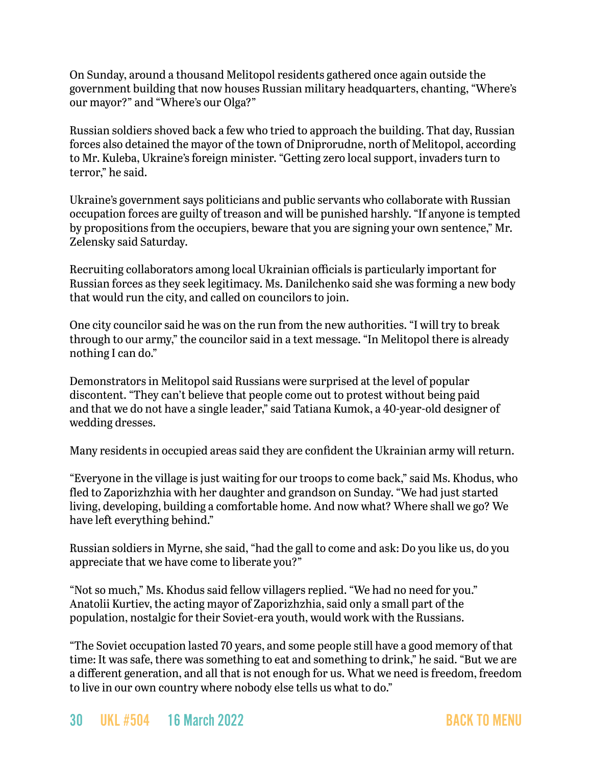On Sunday, around a thousand Melitopol residents gathered once again outside the government building that now houses Russian military headquarters, chanting, "Where's our mayor?" and "Where's our Olga?"

Russian soldiers shoved back a few who tried to approach the building. That day, Russian forces also detained the mayor of the town of Dniprorudne, north of Melitopol, according to Mr. Kuleba, Ukraine's foreign minister. "Getting zero local support, invaders turn to terror," he said.

Ukraine's government says politicians and public servants who collaborate with Russian occupation forces are guilty of treason and will be punished harshly. "If anyone is tempted by propositions from the occupiers, beware that you are signing your own sentence," Mr. Zelensky said Saturday.

Recruiting collaborators among local Ukrainian officials is particularly important for Russian forces as they seek legitimacy. Ms. Danilchenko said she was forming a new body that would run the city, and called on councilors to join.

One city councilor said he was on the run from the new authorities. "I will try to break through to our army," the councilor said in a text message. "In Melitopol there is already nothing I can do."

Demonstrators in Melitopol said Russians were surprised at the level of [popular](file:///Users/anne-mariearel/Documents/CLIENTS%20ITALIQUE/CHAIRE%20UKR/UKL/javascript:void(0))  [discontent.](file:///Users/anne-mariearel/Documents/CLIENTS%20ITALIQUE/CHAIRE%20UKR/UKL/javascript:void(0)) "They can't believe that people come out to protest without being paid and that we do not have a single leader," said Tatiana Kumok, a 40-year-old designer of wedding dresses.

Many residents in occupied areas said they are confident the Ukrainian army will return.

"Everyone in the village is just waiting for our troops to come back," said Ms. Khodus, who fled to Zaporizhzhia with her daughter and grandson on Sunday. "We had just started living, developing, building a comfortable home. And now what? Where shall we go? We have left everything behind."

Russian soldiers in Myrne, she said, "had the gall to come and ask: Do you like us, do you appreciate that we have come to liberate you?"

"Not so much," Ms. Khodus said fellow villagers replied. "We had no need for you." Anatolii Kurtiev, the acting mayor of Zaporizhzhia, said only a small part of the population, nostalgic for their Soviet-era youth, would work with the Russians.

"The Soviet occupation lasted 70 years, and some people still have a good memory of that time: It was safe, there was something to eat and something to drink," he said. "But we are a different generation, and all that is not enough for us. What we need is freedom, freedom to live in our own country where nobody else tells us what to do."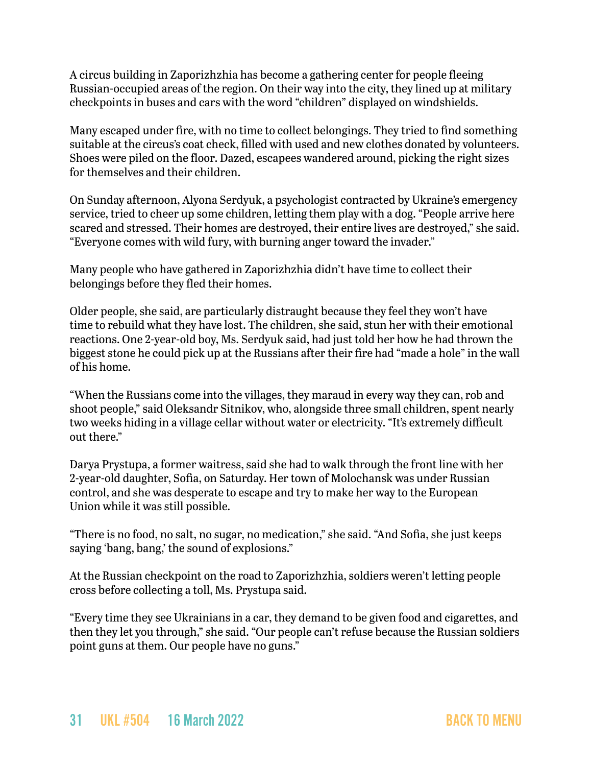A circus building in Zaporizhzhia has become a gathering center for people fleeing Russian-occupied areas of the region. On their way into the city, they lined up at military checkpoints in buses and cars with the word "children" displayed on windshields.

Many escaped under fire, with no time to collect belongings. They tried to find something suitable at the circus's coat check, filled with used and new clothes donated by volunteers. Shoes were piled on the floor. Dazed, escapees wandered around, picking the right sizes for themselves and their children.

On Sunday afternoon, Alyona Serdyuk, a psychologist contracted by Ukraine's emergency service, tried to cheer up some children, letting them play with a dog. "People arrive here scared and stressed. Their homes are destroyed, their entire lives are destroyed," she said. "Everyone comes with wild fury, with burning anger toward the invader."

Many people who have gathered in Zaporizhzhia didn't have time to collect their belongings before they fled their homes.

Older people, she said, are particularly distraught because they feel they won't have time to rebuild what they have lost. The children, she said, stun her with their emotional reactions. One 2-year-old boy, Ms. Serdyuk said, had just told her how he had thrown the biggest stone he could pick up at the Russians after their fire had "made a hole" in the wall of his home.

"When the Russians come into the villages, they maraud in every way they can, rob and shoot people," said Oleksandr Sitnikov, who, alongside three small children, spent nearly two weeks hiding in a village cellar without water or electricity. "It's extremely difficult out there."

Darya Prystupa, a former waitress, said she had to walk through the front line with her 2-year-old daughter, Sofia, on Saturday. Her town of Molochansk was under Russian control, and she was desperate to escape and try to make her way to the [European](file:///Users/anne-mariearel/Documents/CLIENTS%20ITALIQUE/CHAIRE%20UKR/UKL/javascript:void(0);)  [Union](file:///Users/anne-mariearel/Documents/CLIENTS%20ITALIQUE/CHAIRE%20UKR/UKL/javascript:void(0);) while it was still possible.

"There is no food, no salt, no sugar, no medication," she said. "And Sofia, she just keeps saying 'bang, bang,' the sound of explosions."

At the Russian checkpoint on the road to Zaporizhzhia, soldiers weren't letting people cross before collecting a toll, Ms. Prystupa said.

"Every time they see Ukrainians in a car, they demand to be given food and cigarettes, and then they let you through," she said. "Our people can't refuse because the Russian soldiers point guns at them. Our people have no guns."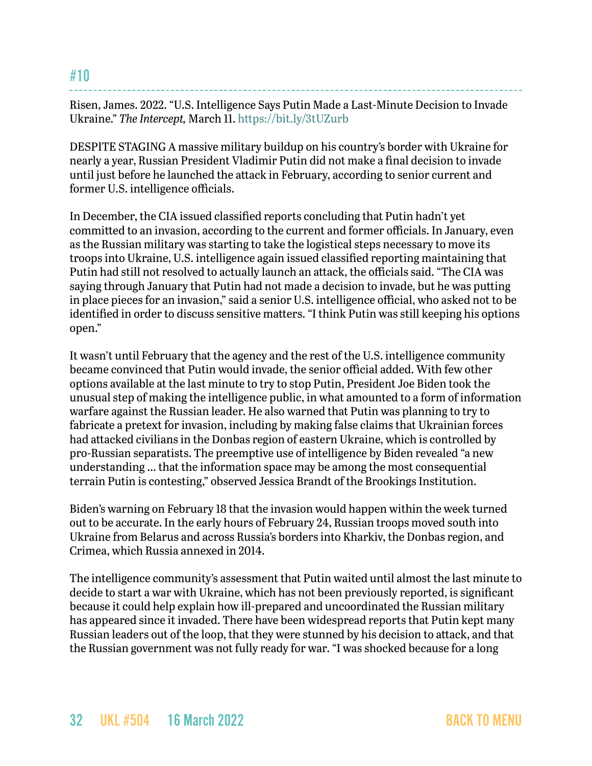## <span id="page-31-0"></span>#10

Risen, James. 2022. "U.S. Intelligence Says Putin Made a Last-Minute Decision to Invade Ukraine." *The Intercept,* March 11.<https://bit.ly/3tUZurb>

DESPITE STAGING A massive military buildup on his country's border with Ukraine for nearly a year, Russian President Vladimir Putin did not make a final decision to invade until just before he launched the attack in February, according to senior current and former U.S. intelligence officials.

In December, the CIA issued classified reports concluding that Putin hadn't yet committed to an invasion, according to the current and former officials. In January, even as the Russian military was starting to take the logistical steps necessary to move its troops into Ukraine, U.S. intelligence again issued classified reporting maintaining that Putin had still not resolved to actually launch an attack, the officials said. "The CIA was saying through January that Putin had not made a decision to invade, but he was putting in place pieces for an invasion," said a senior U.S. intelligence official, who asked not to be identified in order to discuss sensitive matters. "I think Putin was still keeping his options open."

It wasn't until February that the agency and the rest of the U.S. intelligence community became convinced that Putin would invade, the senior official added. With few other options available at the last minute to try to stop Putin, President Joe Biden took the unusual step of making the intelligence public, in what amounted to a form of information warfare against the Russian leader. He also warned that Putin was planning to try to fabricate a pretext for invasion, including by making false claims that Ukrainian forces had attacked civilians in the Donbas region of eastern Ukraine, which is controlled by pro-Russian separatists. The preemptive use of intelligence by Biden revealed "a new understanding … that the information space may be among the most consequential terrain Putin is contesting," observed Jessica Brandt of the Brookings Institution.

Biden's warning on February 18 that the invasion would happen within the week turned out to be accurate. In the early hours of February 24, Russian troops moved south into Ukraine from Belarus and across Russia's borders into Kharkiv, the Donbas region, and Crimea, which Russia annexed in 2014.

The intelligence community's assessment that Putin waited until almost the last minute to decide to start a war with Ukraine, which has not been previously reported, is significant because it could help explain how ill-prepared and uncoordinated the Russian military has appeared since it invaded. There have been widespread reports that Putin kept many Russian leaders out of the loop, that they were stunned by his decision to attack, and that the Russian government was not fully ready for war. "I was shocked because for a long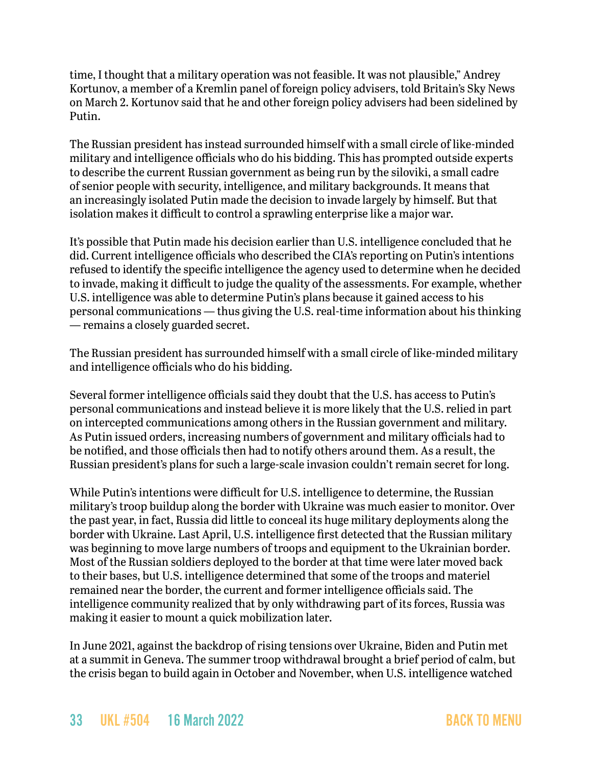time, I thought that a military operation was not feasible. It was not plausible," Andrey Kortunov, a member of a Kremlin panel of foreign policy advisers, told Britain's Sky News on March 2. Kortunov said that he and other foreign policy advisers had been sidelined by Putin.

The Russian president has instead surrounded himself with a small circle of like-minded military and intelligence officials who do his bidding. This has prompted outside experts to describe the current Russian government as being run by the siloviki, a small cadre of senior people with security, intelligence, and military backgrounds. It means that an increasingly isolated Putin made the decision to invade largely by himself. But that isolation makes it difficult to control a sprawling enterprise like a major war.

It's possible that Putin made his decision earlier than U.S. intelligence concluded that he did. Current intelligence officials who described the CIA's reporting on Putin's intentions refused to identify the specific intelligence the agency used to determine when he decided to invade, making it difficult to judge the quality of the assessments. For example, whether U.S. intelligence was able to determine Putin's plans because it gained access to his personal communications — thus giving the U.S. real-time information about his thinking — remains a closely guarded secret.

The Russian president has surrounded himself with a small circle of like-minded military and intelligence officials who do his bidding.

Several former intelligence officials said they doubt that the U.S. has access to Putin's personal communications and instead believe it is more likely that the U.S. relied in part on intercepted communications among others in the Russian government and military. As Putin issued orders, increasing numbers of government and military officials had to be notified, and those officials then had to notify others around them. As a result, the Russian president's plans for such a large-scale invasion couldn't remain secret for long.

While Putin's intentions were difficult for U.S. intelligence to determine, the Russian military's troop buildup along the border with Ukraine was much easier to monitor. Over the past year, in fact, Russia did little to conceal its huge military deployments along the border with Ukraine. Last April, U.S. intelligence first detected that the Russian military was beginning to move large numbers of troops and equipment to the Ukrainian border. Most of the Russian soldiers deployed to the border at that time were later moved back to their bases, but U.S. intelligence determined that some of the troops and materiel remained near the border, the current and former intelligence officials said. The intelligence community realized that by only withdrawing part of its forces, Russia was making it easier to mount a quick mobilization later.

In June 2021, against the backdrop of rising tensions over Ukraine, Biden and Putin met at a summit in Geneva. The summer troop withdrawal brought a brief period of calm, but the crisis began to build again in October and November, when U.S. intelligence watched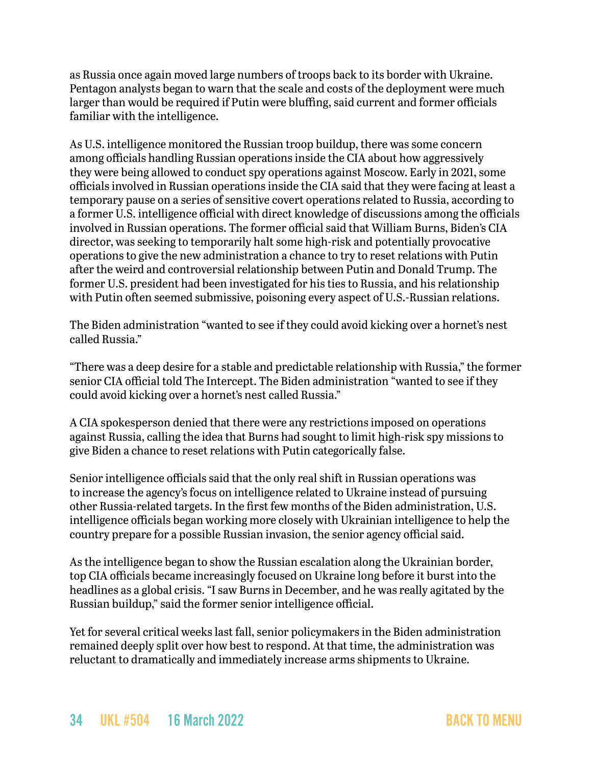as Russia once again moved large numbers of troops back to its border with Ukraine. Pentagon analysts began to warn that the scale and costs of the deployment were much larger than would be required if Putin were bluffing, said current and former officials familiar with the intelligence.

As U.S. intelligence monitored the Russian troop buildup, there was some concern among officials handling Russian operations inside the CIA about how aggressively they were being allowed to conduct spy operations against Moscow. Early in 2021, some officials involved in Russian operations inside the CIA said that they were facing at least a temporary pause on a series of sensitive covert operations related to Russia, according to a former U.S. intelligence official with direct knowledge of discussions among the officials involved in Russian operations. The former official said that William Burns, Biden's CIA director, was seeking to temporarily halt some high-risk and potentially provocative operations to give the new administration a chance to try to reset relations with Putin after the weird and controversial relationship between Putin and Donald Trump. The former U.S. president had been investigated for his ties to Russia, and his relationship with Putin often seemed submissive, poisoning every aspect of U.S.-Russian relations.

The Biden administration "wanted to see if they could avoid kicking over a hornet's nest called Russia."

"There was a deep desire for a stable and predictable relationship with Russia," the former senior CIA official told The Intercept. The Biden administration "wanted to see if they could avoid kicking over a hornet's nest called Russia."

A CIA spokesperson denied that there were any restrictions imposed on operations against Russia, calling the idea that Burns had sought to limit high-risk spy missions to give Biden a chance to reset relations with Putin categorically false.

Senior intelligence officials said that the only real shift in Russian operations was to increase the agency's focus on intelligence related to Ukraine instead of pursuing other Russia-related targets. In the first few months of the Biden administration, U.S. intelligence officials began working more closely with Ukrainian intelligence to help the country prepare for a possible Russian invasion, the senior agency official said.

As the intelligence began to show the Russian escalation along the Ukrainian border, top CIA officials became increasingly focused on Ukraine long before it burst into the headlines as a global crisis. "I saw Burns in December, and he was really agitated by the Russian buildup," said the former senior intelligence official.

Yet for several critical weeks last fall, senior policymakers in the Biden administration remained deeply split over how best to respond. At that time, the administration was reluctant to dramatically and immediately increase arms shipments to Ukraine.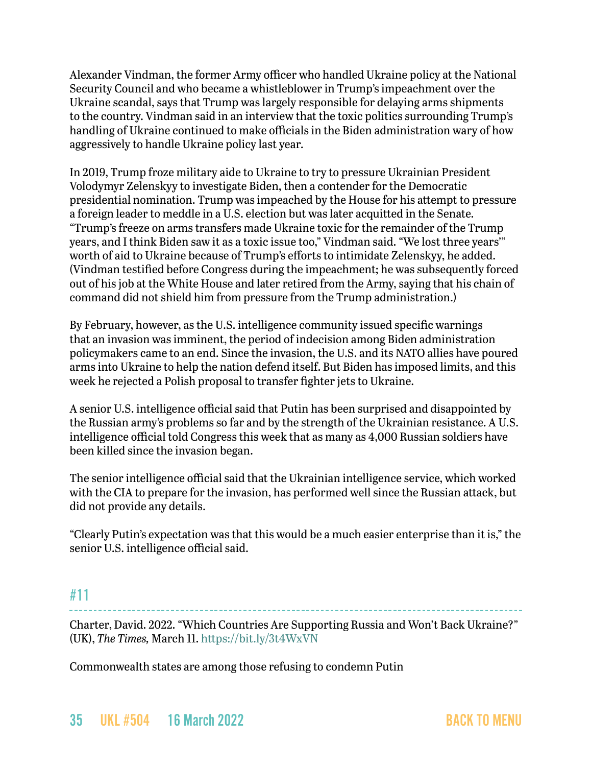Alexander Vindman, the former Army officer who handled Ukraine policy at the National Security Council and who became a whistleblower in Trump's impeachment over the Ukraine scandal, says that Trump was largely responsible for delaying arms shipments to the country. Vindman said in an interview that the toxic politics surrounding Trump's handling of Ukraine continued to make officials in the Biden administration wary of how aggressively to handle Ukraine policy last year.

In 2019, Trump froze military aide to Ukraine to try to pressure Ukrainian President Volodymyr Zelenskyy to investigate Biden, then a contender for the Democratic presidential nomination. Trump was impeached by the House for his attempt to pressure a foreign leader to meddle in a U.S. election but was later acquitted in the Senate. "Trump's freeze on arms transfers made Ukraine toxic for the remainder of the Trump years, and I think Biden saw it as a toxic issue too," Vindman said. "We lost three years'" worth of aid to Ukraine because of Trump's efforts to intimidate Zelenskyy, he added. (Vindman testified before Congress during the impeachment; he was subsequently forced out of his job at the White House and later retired from the Army, saying that his chain of command did not shield him from pressure from the Trump administration.)

By February, however, as the U.S. intelligence community issued specific warnings that an invasion was imminent, the period of indecision among Biden administration policymakers came to an end. Since the invasion, the U.S. and its NATO allies have poured arms into Ukraine to help the nation defend itself. But Biden has imposed limits, and this week he rejected a Polish proposal to transfer fighter jets to Ukraine.

A senior U.S. intelligence official said that Putin has been surprised and disappointed by the Russian army's problems so far and by the strength of the Ukrainian resistance. A U.S. intelligence official told Congress this week that as many as 4,000 Russian soldiers have been killed since the invasion began.

The senior intelligence official said that the Ukrainian intelligence service, which worked with the CIA to prepare for the invasion, has performed well since the Russian attack, but did not provide any details.

"Clearly Putin's expectation was that this would be a much easier enterprise than it is," the senior U.S. intelligence official said.

# <span id="page-34-0"></span>#11

Charter, David. 2022. "Which Countries Are Supporting Russia and Won't Back Ukraine?" (UK), *The Times,* March 11. <https://bit.ly/3t4WxVN>

Commonwealth states are among those refusing to condemn Putin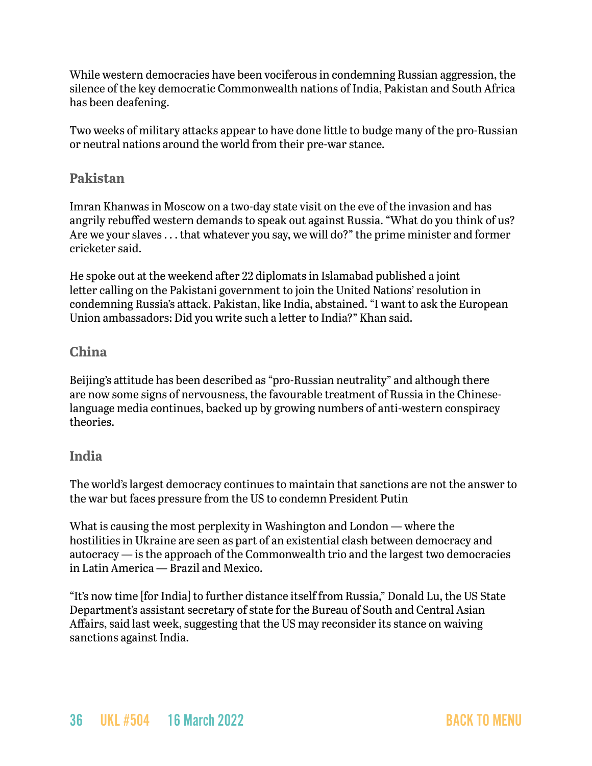While western democracies have been vociferous in condemning Russian aggression, the silence of the key democratic Commonwealth nations of India, Pakistan and South Africa has been deafening.

Two weeks of military attacks appear to have done little to budge many of the pro-Russian or neutral nations around the world from their pre-war stance.

#### **Pakistan**

Imran Khanwas in Moscow on a two-day state visit on the eve of the invasion and has angrily rebuffed western demands to speak out against Russia. "What do you think of us? Are we your slaves . . . that whatever you say, we will do?" the prime minister and former cricketer said.

He spoke out at the weekend after 22 diplomats in Islamabad published a joint letter calling on the Pakistani government to join the United Nations' resolution in condemning Russia's attack. Pakistan, like India, abstained. "I want to ask the European Union ambassadors: Did you write such a letter to India?" Khan said.

#### **China**

Beijing's attitude has been described as "pro-Russian neutrality" and although there are now some signs of nervousness, the favourable treatment of Russia in the Chineselanguage media continues, backed up by growing numbers of anti-western conspiracy theories.

## **India**

The world's largest democracy continues to maintain that sanctions are not the answer to the war but faces pressure from the US to condemn President Putin

What is causing the most perplexity in Washington and London — where the hostilities in Ukraine are seen as part of an existential clash between democracy and autocracy — is the approach of the Commonwealth trio and the largest two democracies in Latin America — Brazil and Mexico.

"It's now time [for India] to further distance itself from Russia," Donald Lu, the US State Department's assistant secretary of state for the Bureau of South and Central Asian Affairs, said last week, suggesting that the US may reconsider its stance on waiving sanctions against India.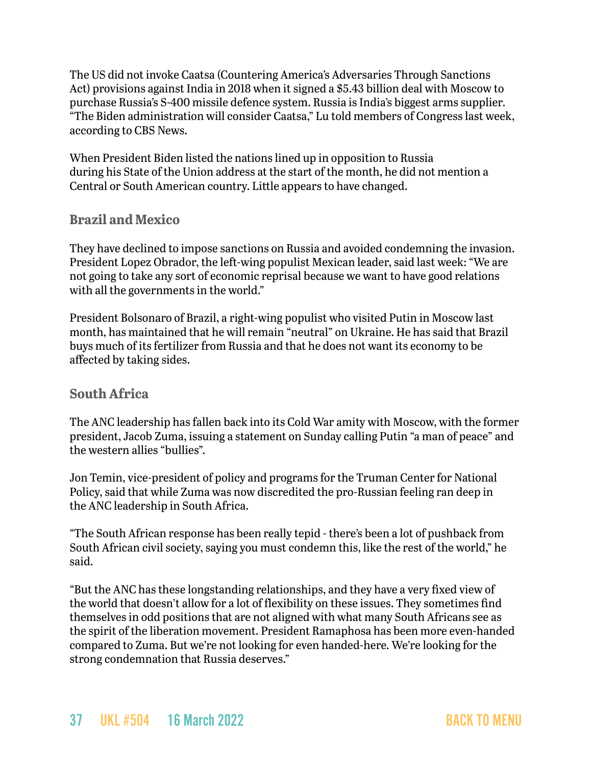The US did not invoke Caatsa (Countering America's Adversaries Through Sanctions Act) provisions against India in 2018 when it signed a \$5.43 billion deal with Moscow to purchase Russia's S-400 missile defence system. Russia is India's biggest arms supplier. "The Biden administration will consider Caatsa," Lu told members of Congress last week, according to CBS News.

When President Biden listed the nations lined up in opposition to Russia during his State of the Union address at the start of the month, he did not mention a Central or South American country. Little appears to have changed.

### **Brazil and Mexico**

They have declined to impose sanctions on Russia and avoided condemning the invasion. President Lopez Obrador, the left-wing populist Mexican leader, said last week: "We are not going to take any sort of economic reprisal because we want to have good relations with all the governments in the world."

President Bolsonaro of Brazil, a right-wing populist who visited Putin in Moscow last month, has maintained that he will remain "neutral" on Ukraine. He has said that Brazil buys much of its fertilizer from Russia and that he does not want its economy to be affected by taking sides.

### **South Africa**

The ANC leadership has fallen back into its Cold War amity with Moscow, with the former president, Jacob Zuma, issuing a statement on Sunday calling Putin "a man of peace" and the western allies "bullies".

Jon Temin, vice-president of policy and programs for the Truman Center for National Policy, said that while Zuma was now discredited the pro-Russian feeling ran deep in the ANC leadership in South Africa.

"The South African response has been really tepid - there's been a lot of pushback from South African civil society, saying you must condemn this, like the rest of the world," he said.

"But the ANC has these longstanding relationships, and they have a very fixed view of the world that doesn't allow for a lot of flexibility on these issues. They sometimes find themselves in odd positions that are not aligned with what many South Africans see as the spirit of the liberation movement. President Ramaphosa has been more even-handed compared to Zuma. But we're not looking for even handed-here. We're looking for the strong condemnation that Russia deserves."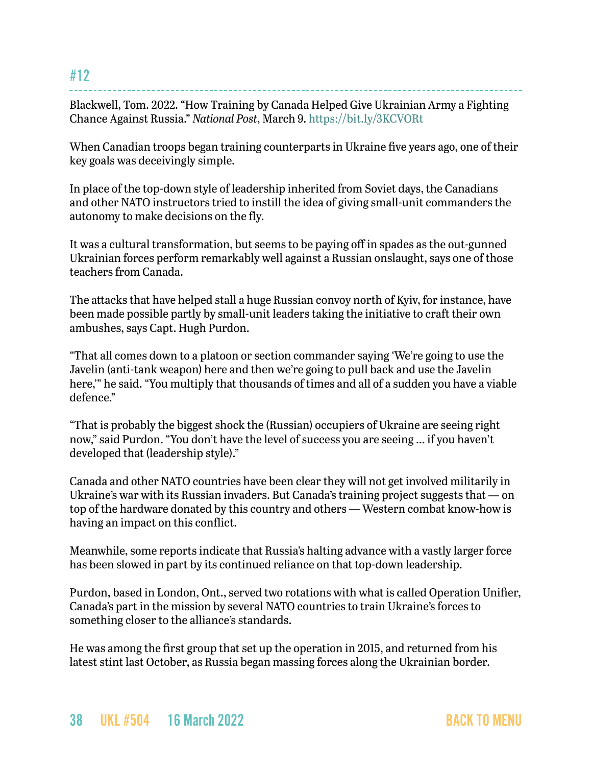# #12

Blackwell, Tom. 2022. "How Training by Canada Helped Give Ukrainian Army a Fighting Chance Against Russia." *National Post*, March 9.<https://bit.ly/3KCVORt>

When Canadian troops began training counterparts in Ukraine five years ago, one of their key goals was deceivingly simple.

In place of the top-down style of leadership inherited from Soviet days, the Canadians and other NATO instructors tried to instill the idea of giving small-unit commanders the autonomy to make decisions on the fly.

It was a cultural transformation, but seems to be paying off in spades as the out-gunned Ukrainian forces perform remarkably well against a Russian onslaught, says one of those teachers from Canada.

The attacks that have helped stall a huge Russian convoy north of Kyiv, for instance, have been made possible partly by small-unit leaders taking the initiative to craft their own ambushes, says Capt. Hugh Purdon.

"That all comes down to a platoon or section commander saying 'We're going to use the Javelin (anti-tank weapon) here and then we're going to pull back and use the Javelin here,'" he said. "You multiply that thousands of times and all of a sudden you have a viable defence."

"That is probably the biggest shock the (Russian) occupiers of Ukraine are seeing right now," said Purdon. "You don't have the level of success you are seeing … if you haven't developed that (leadership style)."

Canada and other NATO countries have been clear they will not get involved militarily in Ukraine's war with its Russian invaders. But Canada's training project suggests that — on top of the hardware donated by this country and others — Western combat know-how is having an impact on this conflict.

Meanwhile, some reports indicate that Russia's halting advance with a vastly larger force has been slowed in part by its continued reliance on that top-down leadership.

Purdon, based in London, Ont., served two rotations with what is called Operation Unifier, Canada's part in the mission by several NATO countries to train Ukraine's forces to something closer to the alliance's standards.

He was among the first group that set up the operation in 2015, and returned from his latest stint last October, as Russia began massing forces along the Ukrainian border.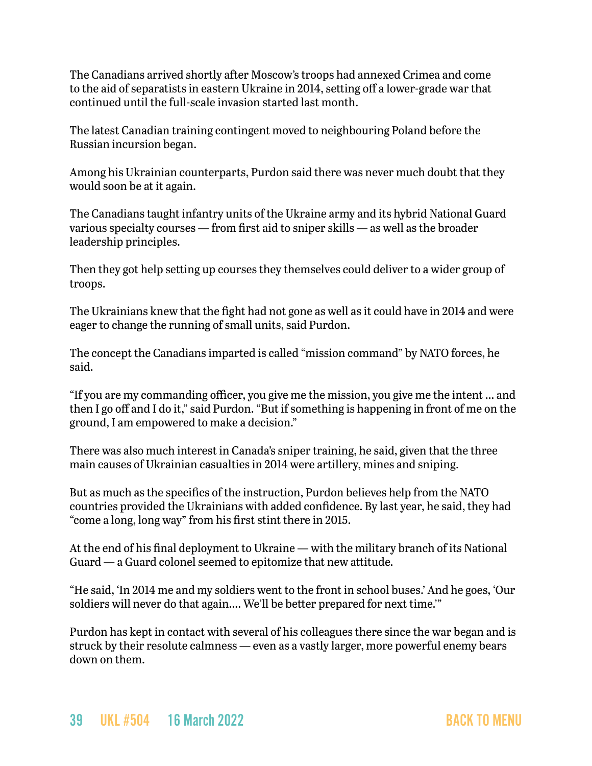The Canadians arrived shortly after Moscow's troops had annexed Crimea and come to the aid of separatists in eastern Ukraine in 2014, setting off a lower-grade war that continued until the full-scale invasion started last month.

The latest Canadian training contingent moved to neighbouring Poland before the Russian incursion began.

Among his Ukrainian counterparts, Purdon said there was never much doubt that they would soon be at it again.

The Canadians taught infantry units of the Ukraine army and its hybrid National Guard various specialty courses — from first aid to sniper skills — as well as the broader leadership principles.

Then they got help setting up courses they themselves could deliver to a wider group of troops.

The Ukrainians knew that the fight had not gone as well as it could have in 2014 and were eager to change the running of small units, said Purdon.

The concept the Canadians imparted is called "mission command" by NATO forces, he said.

"If you are my commanding officer, you give me the mission, you give me the intent … and then I go off and I do it," said Purdon. "But if something is happening in front of me on the ground, I am empowered to make a decision."

There was also much interest in Canada's sniper training, he said, given that the three main causes of Ukrainian casualties in 2014 were artillery, mines and sniping.

But as much as the specifics of the instruction, Purdon believes help from the NATO countries provided the Ukrainians with added confidence. By last year, he said, they had "come a long, long way" from his first stint there in 2015.

At the end of his final deployment to Ukraine — with the military branch of its National Guard — a Guard colonel seemed to epitomize that new attitude.

"He said, 'In 2014 me and my soldiers went to the front in school buses.' And he goes, 'Our soldiers will never do that again…. We'll be better prepared for next time.'"

Purdon has kept in contact with several of his colleagues there since the war began and is struck by their resolute calmness — even as a vastly larger, more powerful enemy bears down on them.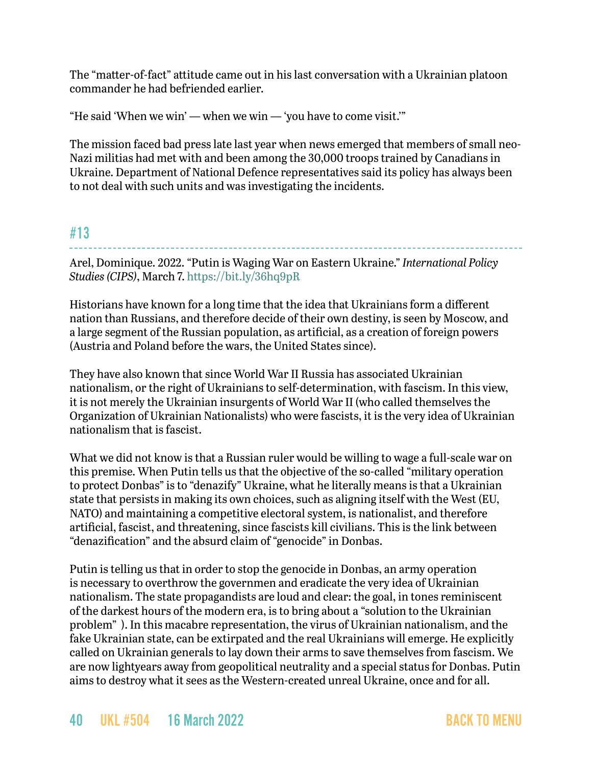The "matter-of-fact" attitude came out in his last conversation with a Ukrainian platoon commander he had befriended earlier.

"He said 'When we win' — when we win — 'you have to come visit.'"

The mission faced bad press late last year when news emerged that members of small neo-Nazi militias had met with and been among the 30,000 troops trained by Canadians in Ukraine. Department of National Defence representatives said its policy has always been to not deal with such units and was investigating the incidents.

## #13

Arel, Dominique. 2022. "Putin is Waging War on Eastern Ukraine." *International Policy Studies (CIPS)*, March 7.<https://bit.ly/36hq9pR>

Historians have known for a long time that the idea that Ukrainians form a different nation than Russians, and therefore decide of their own destiny, is seen by Moscow, and a large segment of the Russian population, as artificial, as a creation of foreign powers (Austria and Poland before the wars, the United States since).

They have also known that since World War II Russia has associated Ukrainian nationalism, or the right of Ukrainians to self-determination, with fascism. In this view, it is not merely the Ukrainian insurgents of World War II (who called themselves the Organization of Ukrainian Nationalists) who were fascists, it is the very idea of Ukrainian nationalism that is fascist.

What we did not know is that a Russian ruler would be willing to wage a full-scale war on this premise. When Putin tells us that the objective of the so-called "military operation to protect Donbas" is to "denazify" Ukraine, what he literally means is that a Ukrainian state that persists in making its own choices, such as aligning itself with the West (EU, NATO) and maintaining a competitive electoral system, is nationalist, and therefore artificial, fascist, and threatening, since fascists kill civilians. This is the link between "denazification" and the absurd claim of "genocide" in Donbas.

Putin is telling us that in order to stop the genocide in Donbas, an army operation is necessary to overthrow the governmen and eradicate the very idea of Ukrainian nationalism. The state propagandists are loud and clear: the goal, in tones reminiscent of the darkest hours of the modern era, is to bring about a "solution to the Ukrainian problem" ). In this macabre representation, the virus of Ukrainian nationalism, and the fake Ukrainian state, can be extirpated and the real Ukrainians will emerge. He explicitly called on Ukrainian generals to lay down their arms to save themselves from fascism. We are now lightyears away from geopolitical neutrality and a special status for Donbas. Putin aims to destroy what it sees as the Western-created unreal Ukraine, once and for all.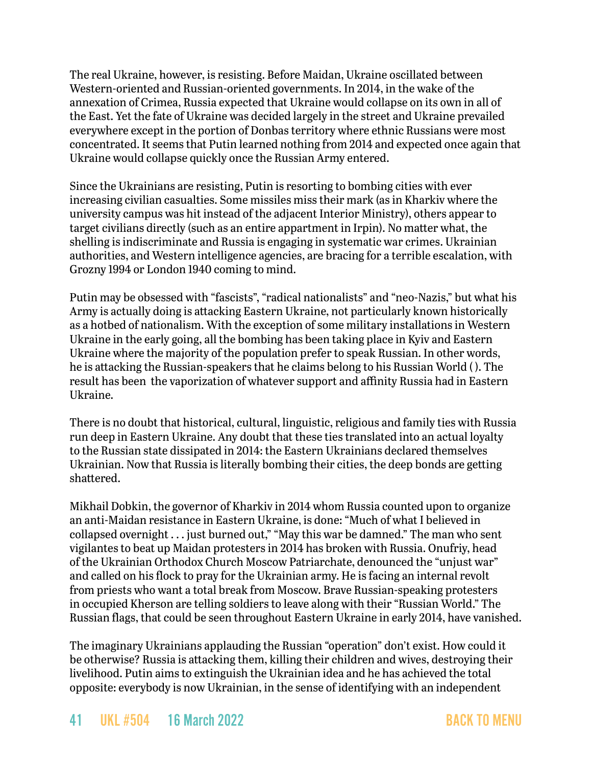The real Ukraine, however, is resisting. Before Maidan, Ukraine oscillated between Western-oriented and Russian-oriented governments. In 2014, in the wake of the annexation of Crimea, Russia expected that Ukraine would collapse on its own in all of the East. Yet the fate of Ukraine was decided largely in the street and Ukraine prevailed everywhere except in the portion of Donbas territory where ethnic Russians were most concentrated. It seems that Putin learned nothing from 2014 and expected once again that Ukraine would collapse quickly once the Russian Army entered.

Since the Ukrainians are resisting, Putin is resorting to bombing cities with ever increasing civilian casualties. Some missiles miss their mark (as in Kharkiv where the university campus was hit instead of the adjacent Interior Ministry), others appear to target civilians directly (such as an entire appartment in Irpin). No matter what, the shelling is indiscriminate and Russia is engaging in systematic war crimes. Ukrainian authorities, and Western intelligence agencies, are bracing for a terrible escalation, with Grozny 1994 or London 1940 coming to mind.

Putin may be obsessed with "fascists", "radical nationalists" and "neo-Nazis," but what his Army is actually doing is attacking Eastern Ukraine, not particularly known historically as a hotbed of nationalism. With the exception of some military installations in Western Ukraine in the early going, all the bombing has been taking place in Kyiv and Eastern Ukraine where the majority of the population prefer to speak Russian. In other words, he is attacking the Russian-speakers that he claims belong to his Russian World ( ). The result has been the vaporization of whatever support and affinity Russia had in Eastern Ukraine.

There is no doubt that historical, cultural, linguistic, religious and family ties with Russia run deep in Eastern Ukraine. Any doubt that these ties translated into an actual loyalty to the Russian state dissipated in 2014: the Eastern Ukrainians declared themselves Ukrainian. Now that Russia is literally bombing their cities, the deep bonds are getting shattered.

Mikhail Dobkin, the governor of Kharkiv in 2014 whom Russia counted upon to organize an anti-Maidan resistance in Eastern Ukraine, is done: "Much of what I believed in collapsed overnight . . . just burned out," "May this war be damned." The man who sent vigilantes to beat up Maidan protesters in 2014 has broken with Russia. Onufriy, head of the Ukrainian Orthodox Church Moscow Patriarchate, denounced the "unjust war" and called on his flock to pray for the Ukrainian army. He is facing an internal revolt from priests who want a total break from Moscow. Brave Russian-speaking protesters in occupied Kherson are telling soldiers to leave along with their "Russian World." The Russian flags, that could be seen throughout Eastern Ukraine in early 2014, have vanished.

The imaginary Ukrainians applauding the Russian "operation" don't exist. How could it be otherwise? Russia is attacking them, killing their children and wives, destroying their livelihood. Putin aims to extinguish the Ukrainian idea and he has achieved the total opposite: everybody is now Ukrainian, in the sense of identifying with an independent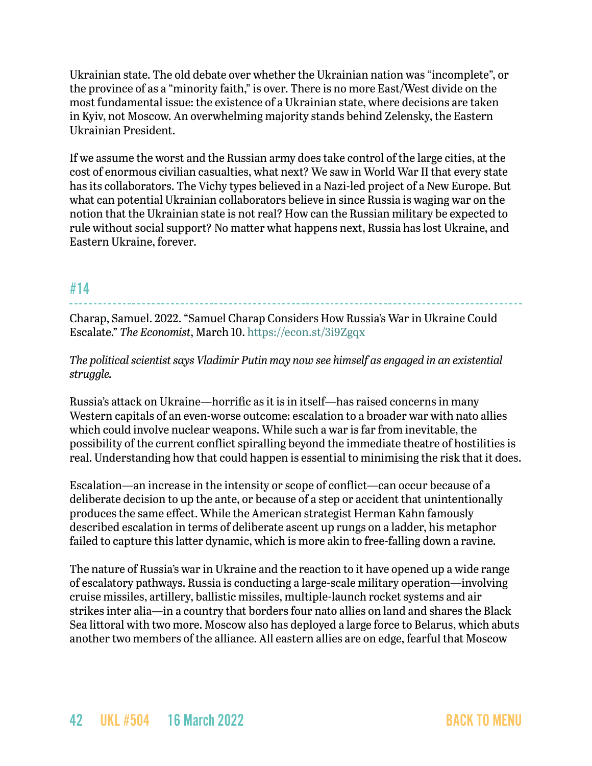Ukrainian state. The old debate over whether the Ukrainian nation was "incomplete", or the province of as a "minority faith," is over. There is no more East/West divide on the most fundamental issue: the existence of a Ukrainian state, where decisions are taken in Kyiv, not Moscow. An overwhelming majority stands behind Zelensky, the Eastern Ukrainian President.

If we assume the worst and the Russian army does take control of the large cities, at the cost of enormous civilian casualties, what next? We saw in World War II that every state has its collaborators. The Vichy types believed in a Nazi-led project of a New Europe. But what can potential Ukrainian collaborators believe in since Russia is waging war on the notion that the Ukrainian state is not real? How can the Russian military be expected to rule without social support? No matter what happens next, Russia has lost Ukraine, and Eastern Ukraine, forever.

# #14

Charap, Samuel. 2022. "Samuel Charap Considers How Russia's War in Ukraine Could Escalate." *The Economist*, March 10. <https://econ.st/3i9Zgqx>

*The political scientist says Vladimir Putin may now see himself as engaged in an existential struggle.*

Russia's attack on Ukraine—horrific as it is in itself—has raised concerns in many Western capitals of an even-worse outcome: escalation to a broader war with nato allies which could involve nuclear weapons. While such a war is far from inevitable, the possibility of the current conflict spiralling beyond the immediate theatre of hostilities is real. Understanding how that could happen is essential to minimising the risk that it does.

Escalation—an increase in the intensity or scope of conflict—can occur because of a deliberate decision to up the ante, or because of a step or accident that unintentionally produces the same effect. While the American strategist Herman Kahn famously described escalation in terms of deliberate ascent up rungs on a ladder, his metaphor failed to capture this latter dynamic, which is more akin to free-falling down a ravine.

The nature of Russia's war in Ukraine and the reaction to it have opened up a wide range of escalatory pathways. Russia is conducting a large-scale military operation—involving cruise missiles, artillery, ballistic missiles, multiple-launch rocket systems and air strikes inter alia—in a country that borders four nato allies on land and shares the Black Sea littoral with two more. Moscow also has deployed a large force to Belarus, which abuts another two members of the alliance. All eastern allies are on edge, fearful that Moscow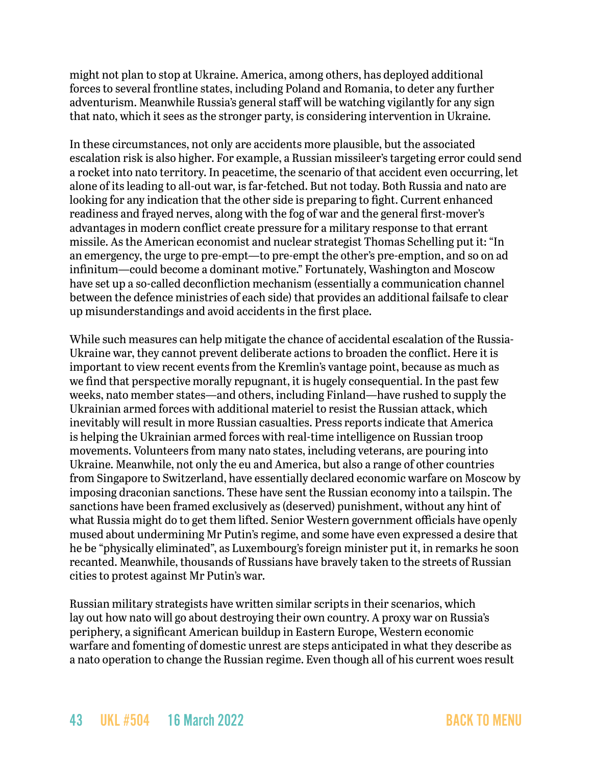might not plan to stop at Ukraine. America, among others, has deployed additional forces to several frontline states, including Poland and Romania, to deter any further adventurism. Meanwhile Russia's general staff will be watching vigilantly for any sign that nato, which it sees as the stronger party, is considering intervention in Ukraine.

In these circumstances, not only are accidents more plausible, but the associated escalation risk is also higher. For example, a Russian missileer's targeting error could send a rocket into nato territory. In peacetime, the scenario of that accident even occurring, let alone of its leading to all-out war, is far-fetched. But not today. Both Russia and nato are looking for any indication that the other side is preparing to fight. Current enhanced readiness and frayed nerves, along with the fog of war and the general first-mover's advantages in modern conflict create pressure for a military response to that errant missile. As the American economist and nuclear strategist Thomas Schelling put it: "In an emergency, the urge to pre-empt—to pre-empt the other's pre-emption, and so on ad infinitum—could become a dominant motive." Fortunately, Washington and Moscow have set up a so-called deconfliction mechanism (essentially a communication channel between the defence ministries of each side) that provides an additional failsafe to clear up misunderstandings and avoid accidents in the first place.

While such measures can help mitigate the chance of accidental escalation of the Russia-Ukraine war, they cannot prevent deliberate actions to broaden the conflict. Here it is important to view recent events from the Kremlin's vantage point, because as much as we find that perspective morally repugnant, it is hugely consequential. In the past few weeks, nato member states—and others, including Finland—have rushed to supply the Ukrainian armed forces with additional materiel to resist the Russian attack, which inevitably will result in more Russian casualties. Press reports indicate that America is helping the Ukrainian armed forces with real-time intelligence on Russian troop movements. Volunteers from many nato states, including veterans, are pouring into Ukraine. Meanwhile, not only the eu and America, but also a range of other countries from Singapore to Switzerland, have essentially declared economic warfare on Moscow by imposing draconian sanctions. These have sent the Russian economy into a tailspin. The sanctions have been framed exclusively as (deserved) punishment, without any hint of what Russia might do to get them lifted. Senior Western government officials have openly mused about undermining Mr Putin's regime, and some have even expressed a desire that he be "physically eliminated", as Luxembourg's foreign minister put it, in remarks he soon recanted. Meanwhile, thousands of Russians have bravely taken to the streets of Russian cities to protest against Mr Putin's war.

Russian military strategists have written similar scripts in their scenarios, which lay out how nato will go about destroying their own country. A proxy war on Russia's periphery, a significant American buildup in Eastern Europe, Western economic warfare and fomenting of domestic unrest are steps anticipated in what they describe as a nato operation to change the Russian regime. Even though all of his current woes result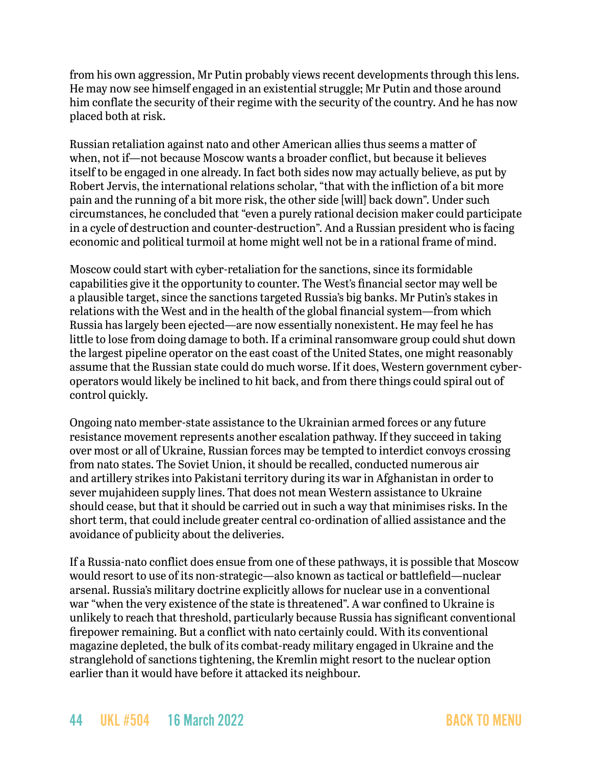from his own aggression, Mr Putin probably views recent developments through this lens. He may now see himself engaged in an existential struggle; Mr Putin and those around him conflate the security of their regime with the security of the country. And he has now placed both at risk.

Russian retaliation against nato and other American allies thus seems a matter of when, not if—not because Moscow wants a broader conflict, but because it believes itself to be engaged in one already. In fact both sides now may actually believe, as put by Robert Jervis, the international relations scholar, "that with the infliction of a bit more pain and the running of a bit more risk, the other side [will] back down". Under such circumstances, he concluded that "even a purely rational decision maker could participate in a cycle of destruction and counter-destruction". And a Russian president who is facing economic and political turmoil at home might well not be in a rational frame of mind.

Moscow could start with cyber-retaliation for the sanctions, since its formidable capabilities give it the opportunity to counter. The West's financial sector may well be a plausible target, since the sanctions targeted Russia's big banks. Mr Putin's stakes in relations with the West and in the health of the global financial system—from which Russia has largely been ejected—are now essentially nonexistent. He may feel he has little to lose from doing damage to both. If a criminal ransomware group could shut down the largest pipeline operator on the east coast of the United States, one might reasonably assume that the Russian state could do much worse. If it does, Western government cyberoperators would likely be inclined to hit back, and from there things could spiral out of control quickly.

Ongoing nato member-state assistance to the Ukrainian armed forces or any future resistance movement represents another escalation pathway. If they succeed in taking over most or all of Ukraine, Russian forces may be tempted to interdict convoys crossing from nato states. The Soviet Union, it should be recalled, conducted numerous air and artillery strikes into Pakistani territory during its war in Afghanistan in order to sever mujahideen supply lines. That does not mean Western assistance to Ukraine should cease, but that it should be carried out in such a way that minimises risks. In the short term, that could include greater central co-ordination of allied assistance and the avoidance of publicity about the deliveries.

If a Russia-nato conflict does ensue from one of these pathways, it is possible that Moscow would resort to use of its non-strategic—also known as tactical or battlefield—nuclear arsenal. Russia's military doctrine explicitly allows for nuclear use in a conventional war "when the very existence of the state is threatened". A war confined to Ukraine is unlikely to reach that threshold, particularly because Russia has significant conventional firepower remaining. But a conflict with nato certainly could. With its conventional magazine depleted, the bulk of its combat-ready military engaged in Ukraine and the stranglehold of sanctions tightening, the Kremlin might resort to the nuclear option earlier than it would have before it attacked its neighbour.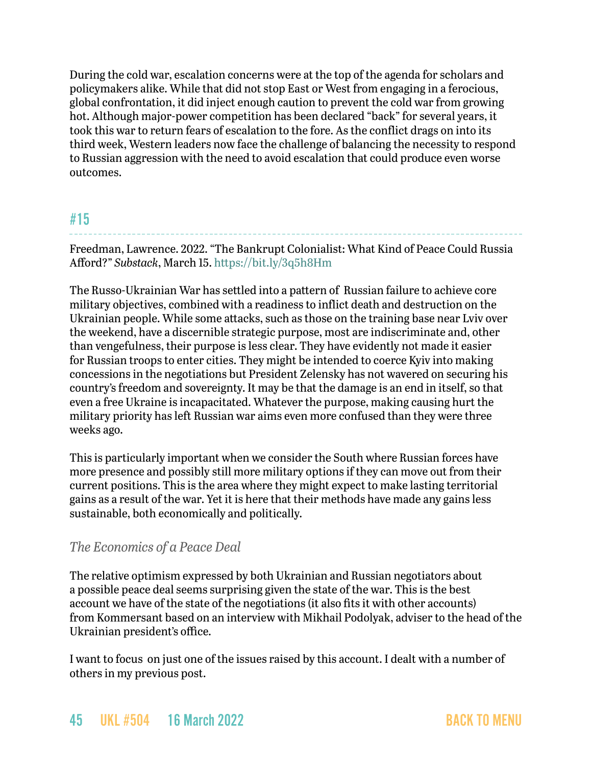During the cold war, escalation concerns were at the top of the agenda for scholars and policymakers alike. While that did not stop East or West from engaging in a ferocious, global confrontation, it did inject enough caution to prevent the cold war from growing hot. Although major-power competition has been declared "back" for several years, it took this war to return fears of escalation to the fore. As the conflict drags on into its third week, Western leaders now face the challenge of balancing the necessity to respond to Russian aggression with the need to avoid escalation that could produce even worse outcomes.

# #15

Freedman, Lawrence. 2022. "The Bankrupt Colonialist: What Kind of Peace Could Russia Afford?" *Substack*, March 15. <https://bit.ly/3q5h8Hm>

The Russo-Ukrainian War has settled into a pattern of Russian failure to achieve core military objectives, combined with a readiness to inflict death and destruction on the Ukrainian people. While some attacks, such as those on the training base near Lviv over the weekend, have a discernible strategic purpose, most are indiscriminate and, other than vengefulness, their purpose is less clear. They have evidently not made it easier for Russian troops to enter cities. They might be intended to coerce Kyiv into making concessions in the negotiations but President Zelensky has not wavered on securing his country's freedom and sovereignty. It may be that the damage is an end in itself, so that even a free Ukraine is incapacitated. Whatever the purpose, making causing hurt the military priority has left Russian war aims even more confused than they were three weeks ago.

This is particularly important when we consider the South where Russian forces have more presence and possibly still more military options if they can move out from their current positions. This is the area where they might expect to make lasting territorial gains as a result of the war. Yet it is here that their methods have made any gains less sustainable, both economically and politically.

### *The Economics of a Peace Deal*

The relative optimism expressed by both Ukrainian and Russian negotiators about a possible peace deal seems surprising given the state of the war. This is the best account we have of the state of the negotiations (it also fits it with other accounts) from Kommersant based on an interview with Mikhail Podolyak, adviser to the head of the Ukrainian president's office.

I want to focus on just one of the issues raised by this account. I dealt with a number of others in my previous post.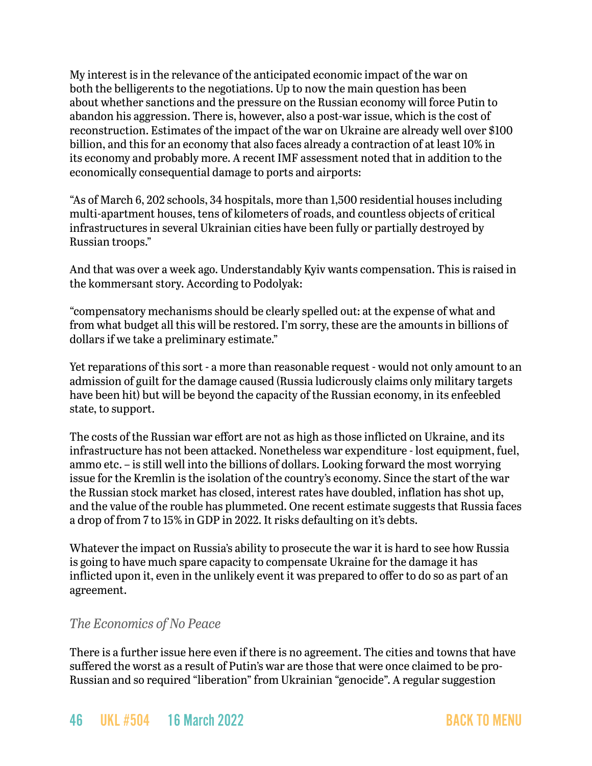My interest is in the relevance of the anticipated economic impact of the war on both the belligerents to the negotiations. Up to now the main question has been about whether sanctions and the pressure on the Russian economy will force Putin to abandon his aggression. There is, however, also a post-war issue, which is the cost of reconstruction. Estimates of the impact of the war on Ukraine are already well over \$100 billion, and this for an economy that also faces already a contraction of at least 10% in its economy and probably more. A recent IMF assessment noted that in addition to the economically consequential damage to ports and airports:

"As of March 6, 202 schools, 34 hospitals, more than 1,500 residential houses including multi-apartment houses, tens of kilometers of roads, and countless objects of critical infrastructures in several Ukrainian cities have been fully or partially destroyed by Russian troops."

And that was over a week ago. Understandably Kyiv wants compensation. This is raised in the kommersant story. According to Podolyak:

"compensatory mechanisms should be clearly spelled out: at the expense of what and from what budget all this will be restored. I'm sorry, these are the amounts in billions of dollars if we take a preliminary estimate."

Yet reparations of this sort - a more than reasonable request - would not only amount to an admission of guilt for the damage caused (Russia ludicrously claims only military targets have been hit) but will be beyond the capacity of the Russian economy, in its enfeebled state, to support.

The costs of the Russian war effort are not as high as those inflicted on Ukraine, and its infrastructure has not been attacked. Nonetheless war expenditure - lost equipment, fuel, ammo etc. – is still well into the billions of dollars. Looking forward the most worrying issue for the Kremlin is the isolation of the country's economy. Since the start of the war the Russian stock market has closed, interest rates have doubled, inflation has shot up, and the value of the rouble has plummeted. One recent estimate suggests that Russia faces a drop of from 7 to 15% in GDP in 2022. It risks defaulting on it's debts.

Whatever the impact on Russia's ability to prosecute the war it is hard to see how Russia is going to have much spare capacity to compensate Ukraine for the damage it has inflicted upon it, even in the unlikely event it was prepared to offer to do so as part of an agreement.

### *The Economics of No Peace*

There is a further issue here even if there is no agreement. The cities and towns that have suffered the worst as a result of Putin's war are those that were once claimed to be pro-Russian and so required "liberation" from Ukrainian "genocide". A regular suggestion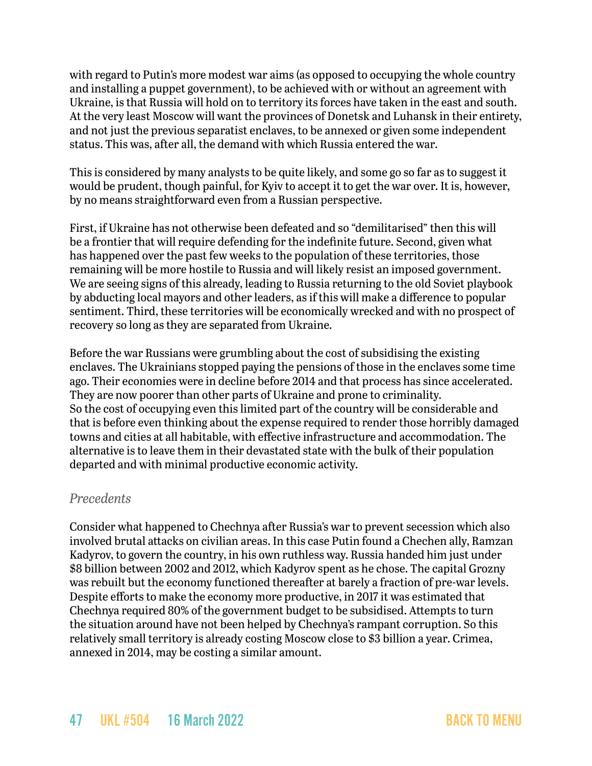with regard to Putin's more modest war aims (as opposed to occupying the whole country and installing a puppet government), to be achieved with or without an agreement with Ukraine, is that Russia will hold on to territory its forces have taken in the east and south. At the very least Moscow will want the provinces of Donetsk and Luhansk in their entirety, and not just the previous separatist enclaves, to be annexed or given some independent status. This was, after all, the demand with which Russia entered the war.

This is considered by many analysts to be quite likely, and some go so far as to suggest it would be prudent, though painful, for Kyiv to accept it to get the war over. It is, however, by no means straightforward even from a Russian perspective.

First, if Ukraine has not otherwise been defeated and so "demilitarised" then this will be a frontier that will require defending for the indefinite future. Second, given what has happened over the past few weeks to the population of these territories, those remaining will be more hostile to Russia and will likely resist an imposed government. We are seeing signs of this already, leading to Russia returning to the old Soviet playbook by abducting local mayors and other leaders, as if this will make a difference to popular sentiment. Third, these territories will be economically wrecked and with no prospect of recovery so long as they are separated from Ukraine.

Before the war Russians were grumbling about the cost of subsidising the existing enclaves. The Ukrainians stopped paying the pensions of those in the enclaves some time ago. Their economies were in decline before 2014 and that process has since accelerated. They are now poorer than other parts of Ukraine and prone to criminality. So the cost of occupying even this limited part of the country will be considerable and that is before even thinking about the expense required to render those horribly damaged towns and cities at all habitable, with effective infrastructure and accommodation. The alternative is to leave them in their devastated state with the bulk of their population departed and with minimal productive economic activity.

### *Precedents*

Consider what happened to Chechnya after Russia's war to prevent secession which also involved brutal attacks on civilian areas. In this case Putin found a Chechen ally, Ramzan Kadyrov, to govern the country, in his own ruthless way. Russia handed him just under \$8 billion between 2002 and 2012, which Kadyrov spent as he chose. The capital Grozny was rebuilt but the economy functioned thereafter at barely a fraction of pre-war levels. Despite efforts to make the economy more productive, in 2017 it was estimated that Chechnya required 80% of the government budget to be subsidised. Attempts to turn the situation around have not been helped by Chechnya's rampant corruption. So this relatively small territory is already costing Moscow close to \$3 billion a year. Crimea, annexed in 2014, may be costing a similar amount.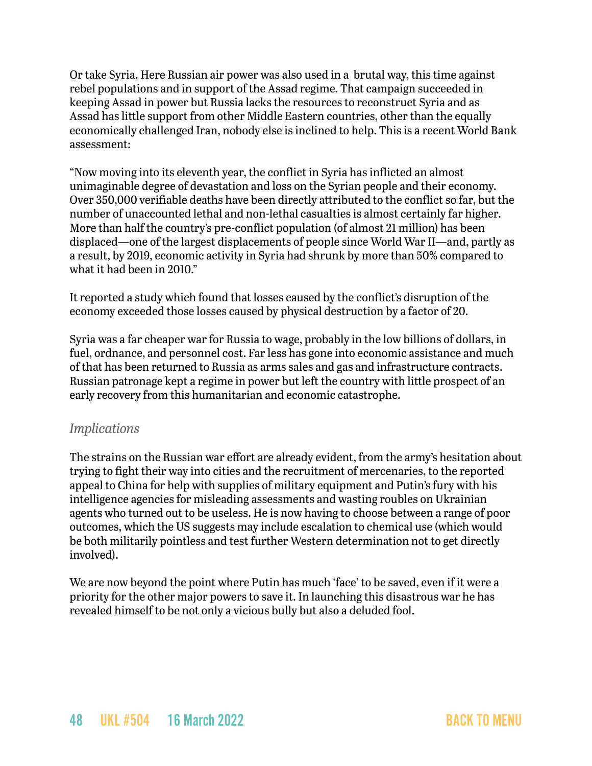Or take Syria. Here Russian air power was also used in a brutal way, this time against rebel populations and in support of the Assad regime. That campaign succeeded in keeping Assad in power but Russia lacks the resources to reconstruct Syria and as Assad has little support from other Middle Eastern countries, other than the equally economically challenged Iran, nobody else is inclined to help. This is a recent World Bank assessment:

"Now moving into its eleventh year, the conflict in Syria has inflicted an almost unimaginable degree of devastation and loss on the Syrian people and their economy. Over 350,000 verifiable deaths have been directly attributed to the conflict so far, but the number of unaccounted lethal and non-lethal casualties is almost certainly far higher. More than half the country's pre-conflict population (of almost 21 million) has been displaced—one of the largest displacements of people since World War II—and, partly as a result, by 2019, economic activity in Syria had shrunk by more than 50% compared to what it had been in 2010."

It reported a study which found that losses caused by the conflict's disruption of the economy exceeded those losses caused by physical destruction by a factor of 20.

Syria was a far cheaper war for Russia to wage, probably in the low billions of dollars, in fuel, ordnance, and personnel cost. Far less has gone into economic assistance and much of that has been returned to Russia as arms sales and gas and infrastructure contracts. Russian patronage kept a regime in power but left the country with little prospect of an early recovery from this humanitarian and economic catastrophe.

### *Implications*

The strains on the Russian war effort are already evident, from the army's hesitation about trying to fight their way into cities and the recruitment of mercenaries, to the reported appeal to China for help with supplies of military equipment and Putin's fury with his intelligence agencies for misleading assessments and wasting roubles on Ukrainian agents who turned out to be useless. He is now having to choose between a range of poor outcomes, which the US suggests may include escalation to chemical use (which would be both militarily pointless and test further Western determination not to get directly involved).

We are now beyond the point where Putin has much 'face' to be saved, even if it were a priority for the other major powers to save it. In launching this disastrous war he has revealed himself to be not only a vicious bully but also a deluded fool.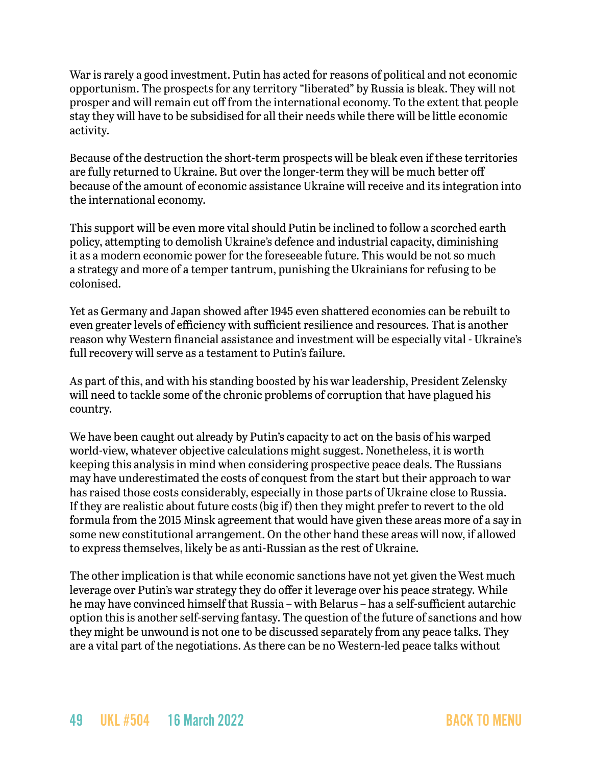War is rarely a good investment. Putin has acted for reasons of political and not economic opportunism. The prospects for any territory "liberated" by Russia is bleak. They will not prosper and will remain cut off from the international economy. To the extent that people stay they will have to be subsidised for all their needs while there will be little economic activity.

Because of the destruction the short-term prospects will be bleak even if these territories are fully returned to Ukraine. But over the longer-term they will be much better off because of the amount of economic assistance Ukraine will receive and its integration into the international economy.

This support will be even more vital should Putin be inclined to follow a scorched earth policy, attempting to demolish Ukraine's defence and industrial capacity, diminishing it as a modern economic power for the foreseeable future. This would be not so much a strategy and more of a temper tantrum, punishing the Ukrainians for refusing to be colonised.

Yet as Germany and Japan showed after 1945 even shattered economies can be rebuilt to even greater levels of efficiency with sufficient resilience and resources. That is another reason why Western financial assistance and investment will be especially vital - Ukraine's full recovery will serve as a testament to Putin's failure.

As part of this, and with his standing boosted by his war leadership, President Zelensky will need to tackle some of the chronic problems of corruption that have plagued his country.

We have been caught out already by Putin's capacity to act on the basis of his warped world-view, whatever objective calculations might suggest. Nonetheless, it is worth keeping this analysis in mind when considering prospective peace deals. The Russians may have underestimated the costs of conquest from the start but their approach to war has raised those costs considerably, especially in those parts of Ukraine close to Russia. If they are realistic about future costs (big if) then they might prefer to revert to the old formula from the 2015 Minsk agreement that would have given these areas more of a say in some new constitutional arrangement. On the other hand these areas will now, if allowed to express themselves, likely be as anti-Russian as the rest of Ukraine.

The other implication is that while economic sanctions have not yet given the West much leverage over Putin's war strategy they do offer it leverage over his peace strategy. While he may have convinced himself that Russia – with Belarus – has a self-sufficient autarchic option this is another self-serving fantasy. The question of the future of sanctions and how they might be unwound is not one to be discussed separately from any peace talks. They are a vital part of the negotiations. As there can be no Western-led peace talks without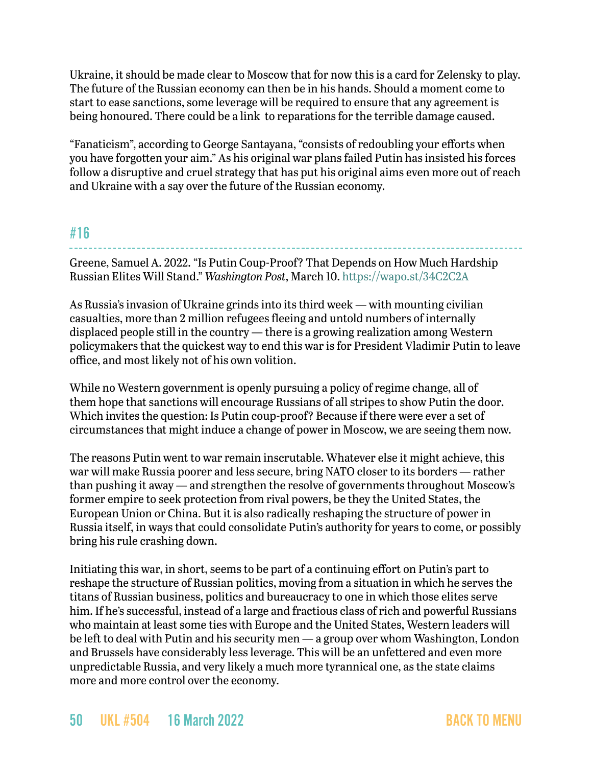Ukraine, it should be made clear to Moscow that for now this is a card for Zelensky to play. The future of the Russian economy can then be in his hands. Should a moment come to start to ease sanctions, some leverage will be required to ensure that any agreement is being honoured. There could be a link to reparations for the terrible damage caused.

"Fanaticism", according to George Santayana, "consists of redoubling your efforts when you have forgotten your aim." As his original war plans failed Putin has insisted his forces follow a disruptive and cruel strategy that has put his original aims even more out of reach and Ukraine with a say over the future of the Russian economy.

## #16

Greene, Samuel A. 2022. "Is Putin Coup-Proof? That Depends on How Much Hardship Russian Elites Will Stand." *Washington Post*, March 10.<https://wapo.st/34C2C2A>

As Russia's invasion of Ukraine grinds into its third week — with mounting civilian casualties, more than 2 million refugees fleeing and untold numbers of internally displaced people still in the country — there is a growing realization among Western policymakers that the quickest way to end this war is for President Vladimir Putin to leave office, and most likely not of his own volition.

While no Western government is openly pursuing a policy of regime change, all of them hope that sanctions will encourage Russians of all stripes to show Putin the door. Which invites the question: Is Putin coup-proof? Because if there were ever a set of circumstances that might induce a change of power in Moscow, we are seeing them now.

The reasons Putin went to war remain inscrutable. Whatever else it might achieve, this war will make Russia poorer and less secure, bring NATO closer to its borders — rather than pushing it away — and strengthen the resolve of governments throughout Moscow's former empire to seek protection from rival powers, be they the United States, the European Union or China. But it is also radically reshaping the structure of power in Russia itself, in ways that could consolidate Putin's authority for years to come, or possibly bring his rule crashing down.

Initiating this war, in short, seems to be part of a continuing effort on Putin's part to reshape the structure of Russian politics, moving from a situation in which he serves the titans of Russian business, politics and bureaucracy to one in which those elites serve him. If he's successful, instead of a large and fractious class of rich and powerful Russians who maintain at least some ties with Europe and the United States, Western leaders will be left to deal with Putin and his security men — a group over whom Washington, London and Brussels have considerably less leverage. This will be an unfettered and even more unpredictable Russia, and very likely a much more tyrannical one, as the state claims more and more control over the economy.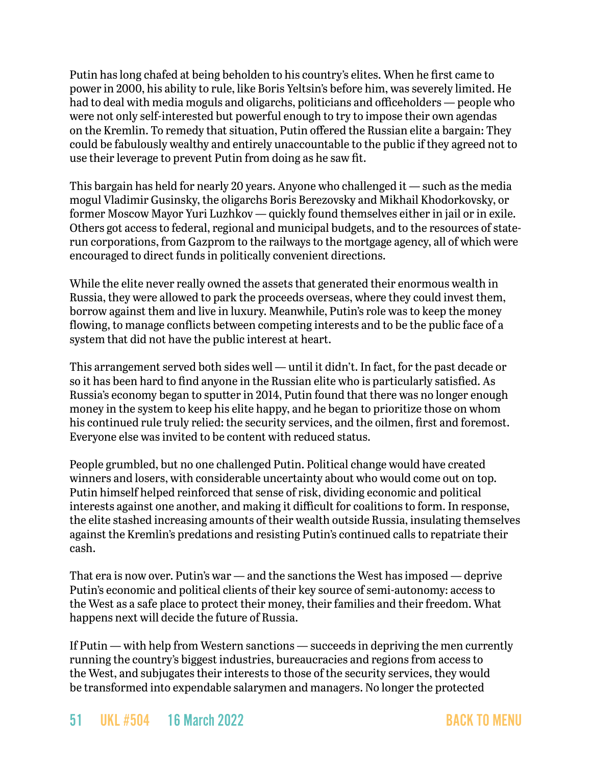Putin has long chafed at being beholden to his country's elites. When he first came to power in 2000, his ability to rule, like Boris Yeltsin's before him, was severely limited. He had to deal with media moguls and oligarchs, politicians and officeholders — people who were not only self-interested but powerful enough to try to impose their own agendas on the Kremlin. To remedy that situation, Putin offered the Russian elite a bargain: They could be fabulously wealthy and entirely unaccountable to the public if they agreed not to use their leverage to prevent Putin from doing as he saw fit.

This bargain has held for nearly 20 years. Anyone who challenged it  $-$  such as the media mogul Vladimir Gusinsky, the oligarchs Boris Berezovsky and Mikhail Khodorkovsky, or former Moscow Mayor Yuri Luzhkov — quickly found themselves either in jail or in exile. Others got access to federal, regional and municipal budgets, and to the resources of staterun corporations, from Gazprom to the railways to the mortgage agency, all of which were encouraged to direct funds in politically convenient directions.

While the elite never really owned the assets that generated their enormous wealth in Russia, they were allowed to park the proceeds overseas, where they could invest them, borrow against them and live in luxury. Meanwhile, Putin's role was to keep the money flowing, to manage conflicts between competing interests and to be the public face of a system that did not have the public interest at heart.

This arrangement served both sides well — until it didn't. In fact, for the past decade or so it has been hard to find anyone in the Russian elite who is particularly satisfied. As Russia's economy began to sputter in 2014, Putin found that there was no longer enough money in the system to keep his elite happy, and he began to prioritize those on whom his continued rule truly relied: the security services, and the oilmen, first and foremost. Everyone else was invited to be content with reduced status.

People grumbled, but no one challenged Putin. Political change would have created winners and losers, with considerable uncertainty about who would come out on top. Putin himself helped reinforced that sense of risk, dividing economic and political interests against one another, and making it difficult for coalitions to form. In response, the elite stashed increasing amounts of their wealth outside Russia, insulating themselves against the Kremlin's predations and resisting Putin's continued calls to repatriate their cash.

That era is now over. Putin's war — and the sanctions the West has imposed — deprive Putin's economic and political clients of their key source of semi-autonomy: access to the West as a safe place to protect their money, their families and their freedom. What happens next will decide the future of Russia.

If Putin — with help from Western sanctions — succeeds in depriving the men currently running the country's biggest industries, bureaucracies and regions from access to the West, and subjugates their interests to those of the security services, they would be transformed into expendable salarymen and managers. No longer the protected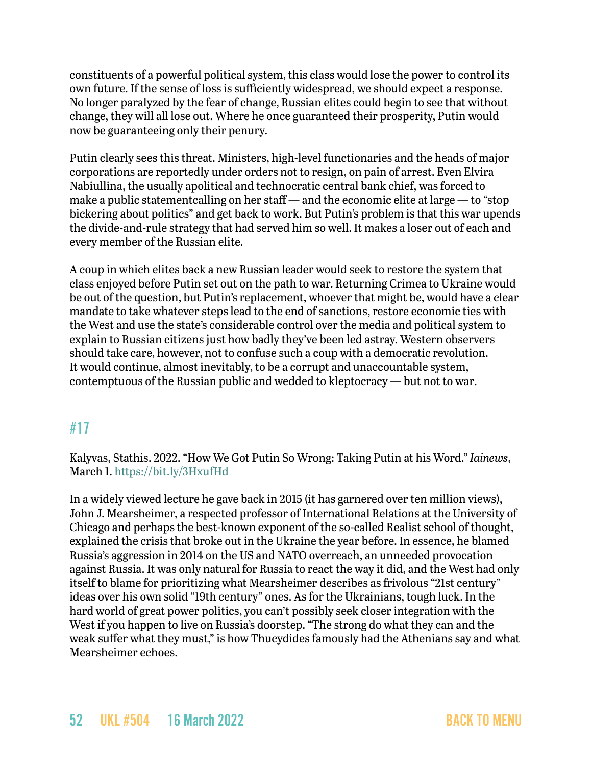constituents of a powerful political system, this class would lose the power to control its own future. If the sense of loss is sufficiently widespread, we should expect a response. No longer paralyzed by the fear of change, Russian elites could begin to see that without change, they will all lose out. Where he once guaranteed their prosperity, Putin would now be guaranteeing only their penury.

Putin clearly sees this threat. Ministers, high-level functionaries and the heads of major corporations are reportedly under orders not to resign, on pain of arrest. Even Elvira Nabiullina, the usually apolitical and technocratic central bank chief, was forced to make a public statementcalling on her staff — and the economic elite at large — to "stop bickering about politics" and get back to work. But Putin's problem is that this war upends the divide-and-rule strategy that had served him so well. It makes a loser out of each and every member of the Russian elite.

A coup in which elites back a new Russian leader would seek to restore the system that class enjoyed before Putin set out on the path to war. Returning Crimea to Ukraine would be out of the question, but Putin's replacement, whoever that might be, would have a clear mandate to take whatever steps lead to the end of sanctions, restore economic ties with the West and use the state's considerable control over the media and political system to explain to Russian citizens just how badly they've been led astray. Western observers should take care, however, not to confuse such a coup with a democratic revolution. It would continue, almost inevitably, to be a corrupt and unaccountable system, contemptuous of the Russian public and wedded to kleptocracy — but not to war.

# #17

Kalyvas, Stathis. 2022. "How We Got Putin So Wrong: Taking Putin at his Word." *Iainews*, March 1. <https://bit.ly/3HxufHd>

In a widely viewed lecture he gave back in 2015 (it has garnered over ten million views), John J. Mearsheimer, a respected professor of International Relations at the University of Chicago and perhaps the best-known exponent of the so-called Realist school of thought, explained the crisis that broke out in the Ukraine the year before. In essence, he blamed Russia's aggression in 2014 on the US and NATO overreach, an unneeded provocation against Russia. It was only natural for Russia to react the way it did, and the West had only itself to blame for prioritizing what Mearsheimer describes as frivolous "21st century" ideas over his own solid "19th century" ones. As for the Ukrainians, tough luck. In the hard world of great power politics, you can't possibly seek closer integration with the West if you happen to live on Russia's doorstep. "The strong do what they can and the weak suffer what they must," is how Thucydides famously had the Athenians say and what Mearsheimer echoes.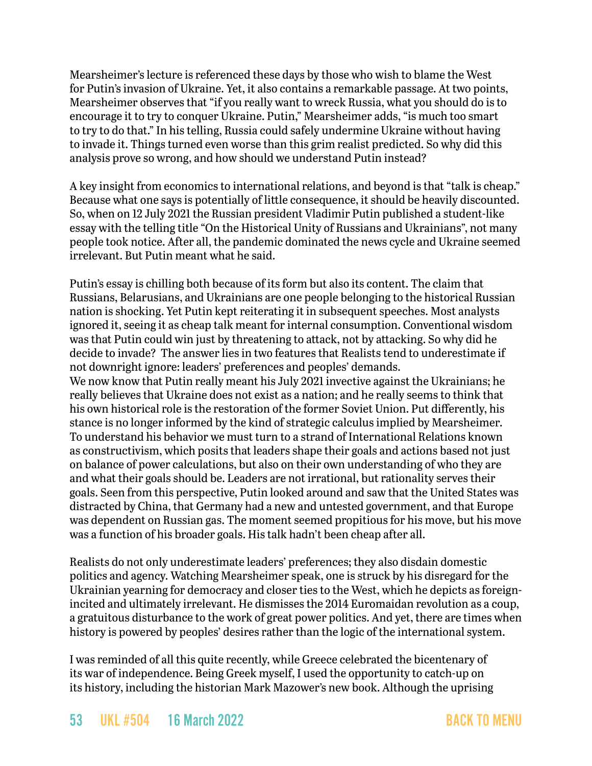Mearsheimer's lecture is referenced these days by those who wish to blame the West for Putin's invasion of Ukraine. Yet, it also contains a remarkable passage. At two points, Mearsheimer observes that "if you really want to wreck Russia, what you should do is to encourage it to try to conquer Ukraine. Putin," Mearsheimer adds, "is much too smart to try to do that." In his telling, Russia could safely undermine Ukraine without having to invade it. Things turned even worse than this grim realist predicted. So why did this analysis prove so wrong, and how should we understand Putin instead?

A key insight from economics to international relations, and beyond is that "talk is cheap." Because what one says is potentially of little consequence, it should be heavily discounted. So, when on 12 July 2021 the Russian president Vladimir Putin published a student-like essay with the telling title "On the Historical Unity of Russians and Ukrainians", not many people took notice. After all, the pandemic dominated the news cycle and Ukraine seemed irrelevant. But Putin meant what he said.

Putin's essay is chilling both because of its form but also its content. The claim that Russians, Belarusians, and Ukrainians are one people belonging to the historical Russian nation is shocking. Yet Putin kept reiterating it in subsequent speeches. Most analysts ignored it, seeing it as cheap talk meant for internal consumption. Conventional wisdom was that Putin could win just by threatening to attack, not by attacking. So why did he decide to invade? The answer lies in two features that Realists tend to underestimate if not downright ignore: leaders' preferences and peoples' demands. We now know that Putin really meant his July 2021 invective against the Ukrainians; he really believes that Ukraine does not exist as a nation; and he really seems to think that his own historical role is the restoration of the former Soviet Union. Put differently, his stance is no longer informed by the kind of strategic calculus implied by Mearsheimer. To understand his behavior we must turn to a strand of International Relations known as constructivism, which posits that leaders shape their goals and actions based not just on balance of power calculations, but also on their own understanding of who they are and what their goals should be. Leaders are not irrational, but rationality serves their goals. Seen from this perspective, Putin looked around and saw that the United States was distracted by China, that Germany had a new and untested government, and that Europe was dependent on Russian gas. The moment seemed propitious for his move, but his move was a function of his broader goals. His talk hadn't been cheap after all.

Realists do not only underestimate leaders' preferences; they also disdain domestic politics and agency. Watching Mearsheimer speak, one is struck by his disregard for the Ukrainian yearning for democracy and closer ties to the West, which he depicts as foreignincited and ultimately irrelevant. He dismisses the 2014 Euromaidan revolution as a coup, a gratuitous disturbance to the work of great power politics. And yet, there are times when history is powered by peoples' desires rather than the logic of the international system.

I was reminded of all this quite recently, while Greece celebrated the bicentenary of its war of independence. Being Greek myself, I used the opportunity to catch-up on its history, including the historian Mark Mazower's new book. Although the uprising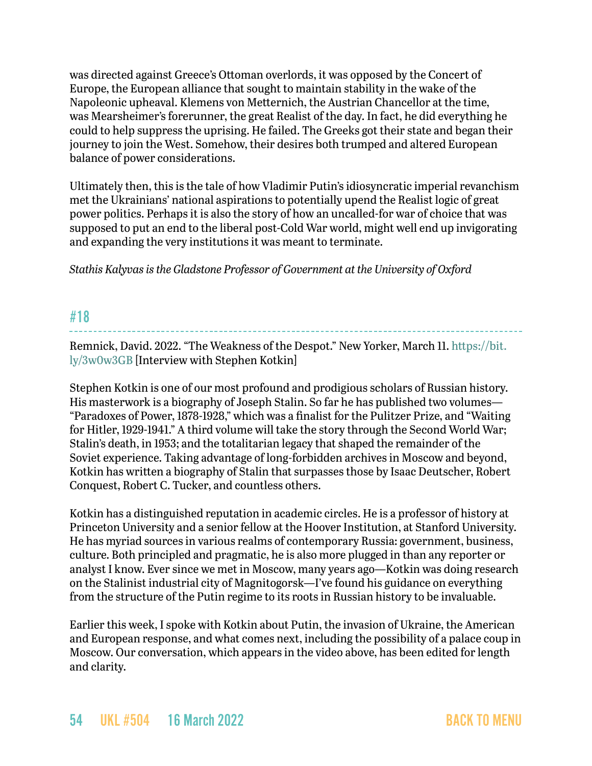was directed against Greece's Ottoman overlords, it was opposed by the Concert of Europe, the European alliance that sought to maintain stability in the wake of the Napoleonic upheaval. Klemens von Metternich, the Austrian Chancellor at the time, was Mearsheimer's forerunner, the great Realist of the day. In fact, he did everything he could to help suppress the uprising. He failed. The Greeks got their state and began their journey to join the West. Somehow, their desires both trumped and altered European balance of power considerations.

Ultimately then, this is the tale of how Vladimir Putin's idiosyncratic imperial revanchism met the Ukrainians' national aspirations to potentially upend the Realist logic of great power politics. Perhaps it is also the story of how an uncalled-for war of choice that was supposed to put an end to the liberal post-Cold War world, might well end up invigorating and expanding the very institutions it was meant to terminate.

*Stathis Kalyvas is the Gladstone Professor of Government at the University of Oxford*

# #18

Remnick, David. 2022. "The Weakness of the Despot." New Yorker, March 11. [https://bit.](https://bit.ly/3w0w3GB) [ly/3w0w3GB](https://bit.ly/3w0w3GB) [Interview with Stephen Kotkin]

Stephen Kotkin is one of our most profound and prodigious scholars of Russian history. His masterwork is a biography of Joseph Stalin. So far he has published two volumes— "Paradoxes of Power, 1878-1928," which was a finalist for the Pulitzer Prize, and "Waiting for Hitler, 1929-1941." A third volume will take the story through the Second World War; Stalin's death, in 1953; and the totalitarian legacy that shaped the remainder of the Soviet experience. Taking advantage of long-forbidden archives in Moscow and beyond, Kotkin has written a biography of Stalin that surpasses those by Isaac Deutscher, Robert Conquest, Robert C. Tucker, and countless others.

Kotkin has a distinguished reputation in academic circles. He is a professor of history at Princeton University and a senior fellow at the Hoover Institution, at Stanford University. He has myriad sources in various realms of contemporary Russia: government, business, culture. Both principled and pragmatic, he is also more plugged in than any reporter or analyst I know. Ever since we met in Moscow, many years ago—Kotkin was doing research on the Stalinist industrial city of Magnitogorsk—I've found his guidance on everything from the structure of the Putin regime to its roots in Russian history to be invaluable.

Earlier this week, I spoke with Kotkin about Putin, the invasion of Ukraine, the American and European response, and what comes next, including the possibility of a palace coup in Moscow. Our conversation, which appears in the video above, has been edited for length and clarity.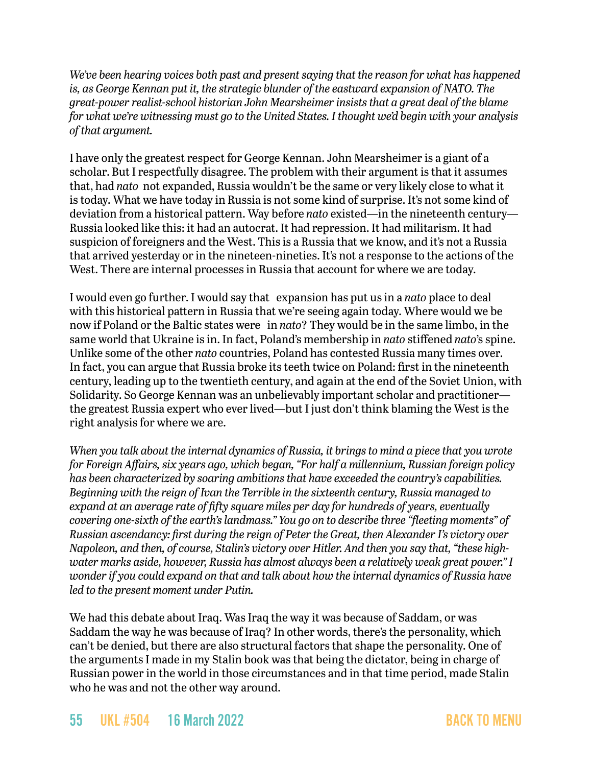*We've been hearing voices both past and present saying that the reason for what has happened is, as George Kennan put it, the strategic blunder of the eastward expansion of NATO. The great-power realist-school historian John Mearsheimer insists that a great deal of the blame for what we're witnessing must go to the United States. I thought we'd begin with your analysis of that argument.*

I have only the greatest respect for George Kennan. John Mearsheimer is a giant of a scholar. But I respectfully disagree. The problem with their argument is that it assumes that, had *nato*  not expanded, Russia wouldn't be the same or very likely close to what it is today. What we have today in Russia is not some kind of surprise. It's not some kind of deviation from a historical pattern. Way before *nato* existed—in the nineteenth century— Russia looked like this: it had an autocrat. It had repression. It had militarism. It had suspicion of foreigners and the West. This is a Russia that we know, and it's not a Russia that arrived yesterday or in the nineteen-nineties. It's not a response to the actions of the West. There are internal processes in Russia that account for where we are today.

I would even go further. I would say that expansion has put us in a *nato* place to deal with this historical pattern in Russia that we're seeing again today. Where would we be now if Poland or the Baltic states were in *nato*? They would be in the same limbo, in the same world that Ukraine is in. In fact, Poland's membership in *nato* stiffened *nato*'s spine. Unlike some of the other *nato* countries, Poland has contested Russia many times over. In fact, you can argue that Russia broke its teeth twice on Poland: first in the nineteenth century, leading up to the twentieth century, and again at the end of the Soviet Union, with Solidarity. So George Kennan was an unbelievably important scholar and practitioner the greatest Russia expert who ever lived—but I just don't think blaming the West is the right analysis for where we are.

*When you talk about the internal dynamics of Russia, it brings to mind a piece that you wrote for Foreign Affairs, six years ago, which began, "For half a millennium, Russian foreign policy has been characterized by soaring ambitions that have exceeded the country's capabilities. Beginning with the reign of Ivan the Terrible in the sixteenth century, Russia managed to expand at an average rate of fifty square miles per day for hundreds of years, eventually covering one-sixth of the earth's landmass." You go on to describe three "fleeting moments" of Russian ascendancy: first during the reign of Peter the Great, then Alexander I's victory over Napoleon, and then, of course, Stalin's victory over Hitler. And then you say that, "these highwater marks aside, however, Russia has almost always been a relatively weak great power." I wonder if you could expand on that and talk about how the internal dynamics of Russia have led to the present moment under Putin.*

We had this debate about Iraq. Was Iraq the way it was because of Saddam, or was Saddam the way he was because of Iraq? In other words, there's the personality, which can't be denied, but there are also structural factors that shape the personality. One of the arguments I made in my Stalin book was that being the dictator, being in charge of Russian power in the world in those circumstances and in that time period, made Stalin who he was and not the other way around.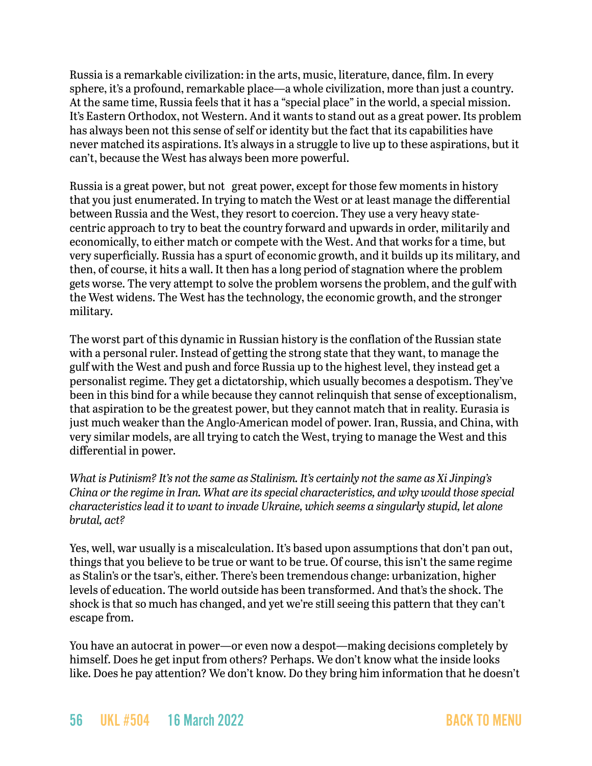Russia is a remarkable civilization: in the arts, music, literature, dance, film. In every sphere, it's a profound, remarkable place—a whole civilization, more than just a country. At the same time, Russia feels that it has a "special place" in the world, a special mission. It's Eastern Orthodox, not Western. And it wants to stand out as a great power. Its problem has always been not this sense of self or identity but the fact that its capabilities have never matched its aspirations. It's always in a struggle to live up to these aspirations, but it can't, because the West has always been more powerful.

Russia is a great power, but not great power, except for those few moments in history that you just enumerated. In trying to match the West or at least manage the differential between Russia and the West, they resort to coercion. They use a very heavy statecentric approach to try to beat the country forward and upwards in order, militarily and economically, to either match or compete with the West. And that works for a time, but very superficially. Russia has a spurt of economic growth, and it builds up its military, and then, of course, it hits a wall. It then has a long period of stagnation where the problem gets worse. The very attempt to solve the problem worsens the problem, and the gulf with the West widens. The West has the technology, the economic growth, and the stronger military.

The worst part of this dynamic in Russian history is the conflation of the Russian state with a personal ruler. Instead of getting the strong state that they want, to manage the gulf with the West and push and force Russia up to the highest level, they instead get a personalist regime. They get a dictatorship, which usually becomes a despotism. They've been in this bind for a while because they cannot relinquish that sense of exceptionalism, that aspiration to be the greatest power, but they cannot match that in reality. Eurasia is just much weaker than the Anglo-American model of power. Iran, Russia, and China, with very similar models, are all trying to catch the West, trying to manage the West and this differential in power.

*What is Putinism? It's not the same as Stalinism. It's certainly not the same as Xi Jinping's China or the regime in Iran. What are its special characteristics, and why would those special characteristics lead it to want to invade Ukraine, which seems a singularly stupid, let alone brutal, act?*

Yes, well, war usually is a miscalculation. It's based upon assumptions that don't pan out, things that you believe to be true or want to be true. Of course, this isn't the same regime as Stalin's or the tsar's, either. There's been tremendous change: urbanization, higher levels of education. The world outside has been transformed. And that's the shock. The shock is that so much has changed, and yet we're still seeing this pattern that they can't escape from.

You have an autocrat in power—or even now a despot—making decisions completely by himself. Does he get input from others? Perhaps. We don't know what the inside looks like. Does he pay attention? We don't know. Do they bring him information that he doesn't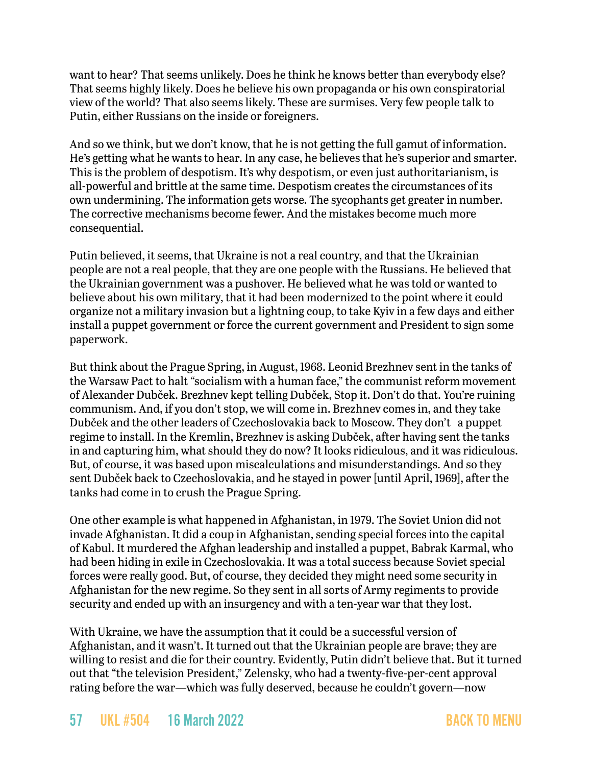want to hear? That seems unlikely. Does he think he knows better than everybody else? That seems highly likely. Does he believe his own propaganda or his own conspiratorial view of the world? That also seems likely. These are surmises. Very few people talk to Putin, either Russians on the inside or foreigners.

And so we think, but we don't know, that he is not getting the full gamut of information. He's getting what he wants to hear. In any case, he believes that he's superior and smarter. This is the problem of despotism. It's why despotism, or even just authoritarianism, is all-powerful and brittle at the same time. Despotism creates the circumstances of its own undermining. The information gets worse. The sycophants get greater in number. The corrective mechanisms become fewer. And the mistakes become much more consequential.

Putin believed, it seems, that Ukraine is not a real country, and that the Ukrainian people are not a real people, that they are one people with the Russians. He believed that the Ukrainian government was a pushover. He believed what he was told or wanted to believe about his own military, that it had been modernized to the point where it could organize not a military invasion but a lightning coup, to take Kyiv in a few days and either install a puppet government or force the current government and President to sign some paperwork.

But think about the Prague Spring, in August, 1968. Leonid Brezhnev sent in the tanks of the Warsaw Pact to halt "socialism with a human face," the communist reform movement of Alexander Dubček. Brezhnev kept telling Dubček, Stop it. Don't do that. You're ruining communism. And, if you don't stop, we will come in. Brezhnev comes in, and they take Dubček and the other leaders of Czechoslovakia back to Moscow. They don't a puppet regime to install. In the Kremlin, Brezhnev is asking Dubček, after having sent the tanks in and capturing him, what should they do now? It looks ridiculous, and it was ridiculous. But, of course, it was based upon miscalculations and misunderstandings. And so they sent Dubček back to Czechoslovakia, and he stayed in power [until April, 1969], after the tanks had come in to crush the Prague Spring.

One other example is what happened in Afghanistan, in 1979. The Soviet Union did not invade Afghanistan. It did a coup in Afghanistan, sending special forces into the capital of Kabul. It murdered the Afghan leadership and installed a puppet, Babrak Karmal, who had been hiding in exile in Czechoslovakia. It was a total success because Soviet special forces were really good. But, of course, they decided they might need some security in Afghanistan for the new regime. So they sent in all sorts of Army regiments to provide security and ended up with an insurgency and with a ten-year war that they lost.

With Ukraine, we have the assumption that it could be a successful version of Afghanistan, and it wasn't. It turned out that the Ukrainian people are brave; they are willing to resist and die for their country. Evidently, Putin didn't believe that. But it turned out that "the television President," Zelensky, who had a twenty-five-per-cent approval rating before the war—which was fully deserved, because he couldn't govern—now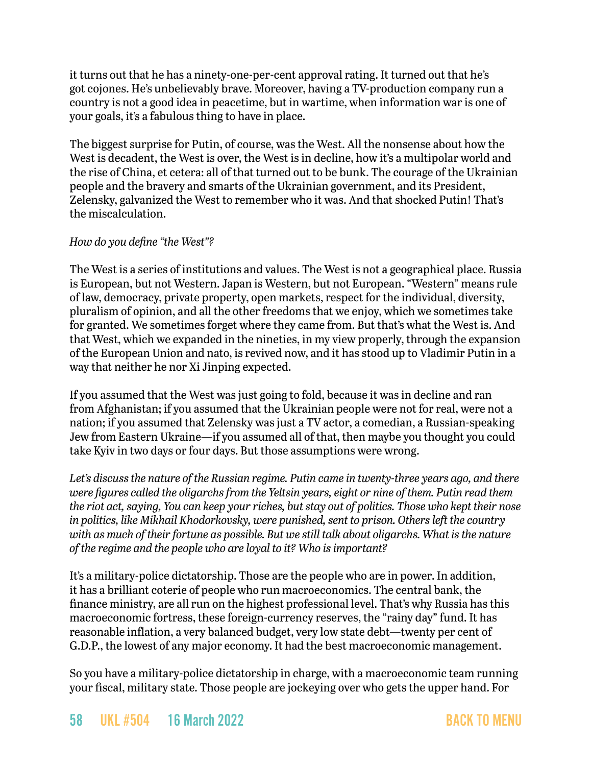it turns out that he has a ninety-one-per-cent approval rating. It turned out that he's got cojones. He's unbelievably brave. Moreover, having a TV-production company run a country is not a good idea in peacetime, but in wartime, when information war is one of your goals, it's a fabulous thing to have in place.

The biggest surprise for Putin, of course, was the West. All the nonsense about how the West is decadent, the West is over, the West is in decline, how it's a multipolar world and the rise of China, et cetera: all of that turned out to be bunk. The courage of the Ukrainian people and the bravery and smarts of the Ukrainian government, and its President, Zelensky, galvanized the West to remember who it was. And that shocked Putin! That's the miscalculation.

#### *How do you define "the West"?*

The West is a series of institutions and values. The West is not a geographical place. Russia is European, but not Western. Japan is Western, but not European. "Western" means rule of law, democracy, private property, open markets, respect for the individual, diversity, pluralism of opinion, and all the other freedoms that we enjoy, which we sometimes take for granted. We sometimes forget where they came from. But that's what the West is. And that West, which we expanded in the nineties, in my view properly, through the expansion of the European Union and nato, is revived now, and it has stood up to Vladimir Putin in a way that neither he nor Xi Jinping expected.

If you assumed that the West was just going to fold, because it was in decline and ran from Afghanistan; if you assumed that the Ukrainian people were not for real, were not a nation; if you assumed that Zelensky was just a TV actor, a comedian, a Russian-speaking Jew from Eastern Ukraine—if you assumed all of that, then maybe you thought you could take Kyiv in two days or four days. But those assumptions were wrong.

Let's discuss the nature of the Russian regime. Putin came in twenty-three years ago, and there *were figures called the oligarchs from the Yeltsin years, eight or nine of them. Putin read them the riot act, saying, You can keep your riches, but stay out of politics. Those who kept their nose in politics, like Mikhail Khodorkovsky, were punished, sent to prison. Others left the country with as much of their fortune as possible. But we still talk about oligarchs. What is the nature of the regime and the people who are loyal to it? Who is important?* 

It's a military-police dictatorship. Those are the people who are in power. In addition, it has a brilliant coterie of people who run macroeconomics. The central bank, the finance ministry, are all run on the highest professional level. That's why Russia has this macroeconomic fortress, these foreign-currency reserves, the "rainy day" fund. It has reasonable inflation, a very balanced budget, very low state debt—twenty per cent of G.D.P., the lowest of any major economy. It had the best macroeconomic management.

So you have a military-police dictatorship in charge, with a macroeconomic team running your fiscal, military state. Those people are jockeying over who gets the upper hand. For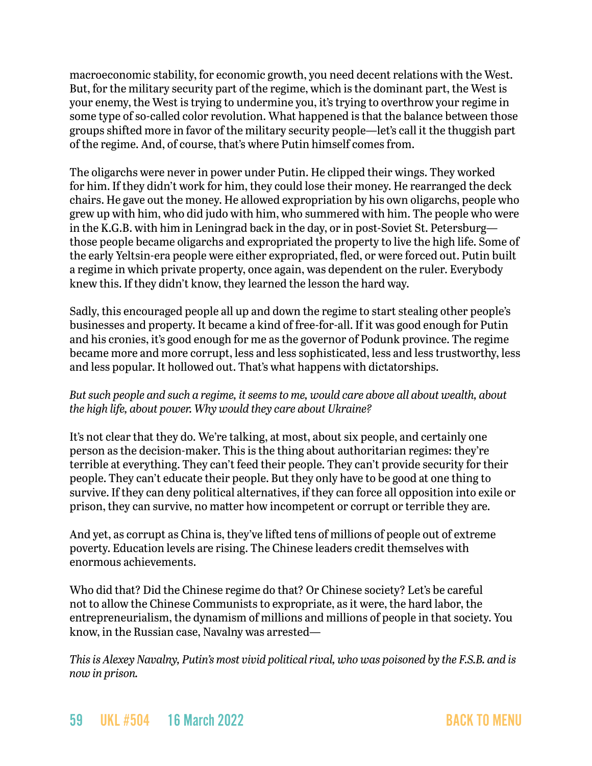macroeconomic stability, for economic growth, you need decent relations with the West. But, for the military security part of the regime, which is the dominant part, the West is your enemy, the West is trying to undermine you, it's trying to overthrow your regime in some type of so-called color revolution. What happened is that the balance between those groups shifted more in favor of the military security people—let's call it the thuggish part of the regime. And, of course, that's where Putin himself comes from.

The oligarchs were never in power under Putin. He clipped their wings. They worked for him. If they didn't work for him, they could lose their money. He rearranged the deck chairs. He gave out the money. He allowed expropriation by his own oligarchs, people who grew up with him, who did judo with him, who summered with him. The people who were in the K.G.B. with him in Leningrad back in the day, or in post-Soviet St. Petersburg those people became oligarchs and expropriated the property to live the high life. Some of the early Yeltsin-era people were either expropriated, fled, or were forced out. Putin built a regime in which private property, once again, was dependent on the ruler. Everybody knew this. If they didn't know, they learned the lesson the hard way.

Sadly, this encouraged people all up and down the regime to start stealing other people's businesses and property. It became a kind of free-for-all. If it was good enough for Putin and his cronies, it's good enough for me as the governor of Podunk province. The regime became more and more corrupt, less and less sophisticated, less and less trustworthy, less and less popular. It hollowed out. That's what happens with dictatorships.

#### *But such people and such a regime, it seems to me, would care above all about wealth, about the high life, about power. Why would they care about Ukraine?*

It's not clear that they do. We're talking, at most, about six people, and certainly one person as the decision-maker. This is the thing about authoritarian regimes: they're terrible at everything. They can't feed their people. They can't provide security for their people. They can't educate their people. But they only have to be good at one thing to survive. If they can deny political alternatives, if they can force all opposition into exile or prison, they can survive, no matter how incompetent or corrupt or terrible they are.

And yet, as corrupt as China is, they've lifted tens of millions of people out of extreme poverty. Education levels are rising. The Chinese leaders credit themselves with enormous achievements.

Who did that? Did the Chinese regime do that? Or Chinese society? Let's be careful not to allow the Chinese Communists to expropriate, as it were, the hard labor, the entrepreneurialism, the dynamism of millions and millions of people in that society. You know, in the Russian case, Navalny was arrested—

*This is Alexey Navalny, Putin's most vivid political rival, who was poisoned by the F.S.B. and is now in prison.*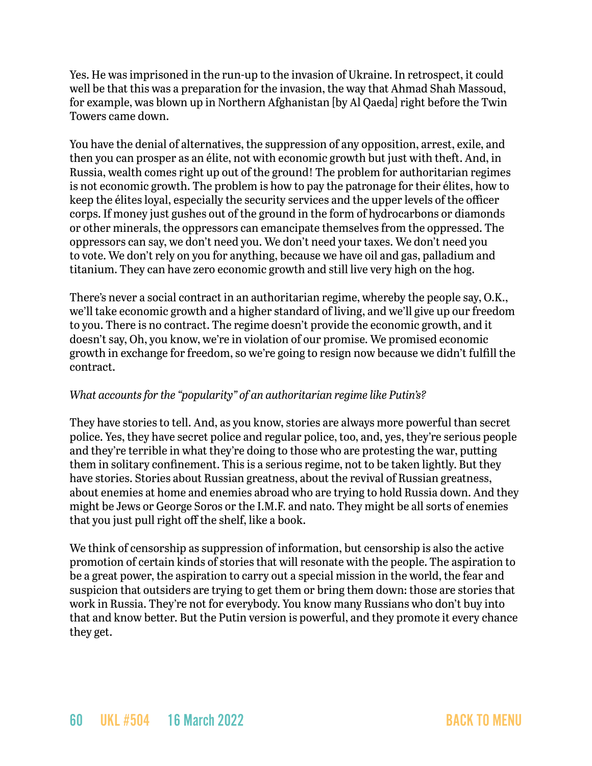Yes. He was imprisoned in the run-up to the invasion of Ukraine. In retrospect, it could well be that this was a preparation for the invasion, the way that Ahmad Shah Massoud, for example, was blown up in Northern Afghanistan [by Al Qaeda] right before the Twin Towers came down.

You have the denial of alternatives, the suppression of any opposition, arrest, exile, and then you can prosper as an élite, not with economic growth but just with theft. And, in Russia, wealth comes right up out of the ground! The problem for authoritarian regimes is not economic growth. The problem is how to pay the patronage for their élites, how to keep the élites loyal, especially the security services and the upper levels of the officer corps. If money just gushes out of the ground in the form of hydrocarbons or diamonds or other minerals, the oppressors can emancipate themselves from the oppressed. The oppressors can say, we don't need you. We don't need your taxes. We don't need you to vote. We don't rely on you for anything, because we have oil and gas, palladium and titanium. They can have zero economic growth and still live very high on the hog.

There's never a social contract in an authoritarian regime, whereby the people say, O.K., we'll take economic growth and a higher standard of living, and we'll give up our freedom to you. There is no contract. The regime doesn't provide the economic growth, and it doesn't say, Oh, you know, we're in violation of our promise. We promised economic growth in exchange for freedom, so we're going to resign now because we didn't fulfill the contract.

#### *What accounts for the "popularity" of an authoritarian regime like Putin's?*

They have stories to tell. And, as you know, stories are always more powerful than secret police. Yes, they have secret police and regular police, too, and, yes, they're serious people and they're terrible in what they're doing to those who are protesting the war, putting them in solitary confinement. This is a serious regime, not to be taken lightly. But they have stories. Stories about Russian greatness, about the revival of Russian greatness, about enemies at home and enemies abroad who are trying to hold Russia down. And they might be Jews or George Soros or the I.M.F. and nato. They might be all sorts of enemies that you just pull right off the shelf, like a book.

We think of censorship as suppression of information, but censorship is also the active promotion of certain kinds of stories that will resonate with the people. The aspiration to be a great power, the aspiration to carry out a special mission in the world, the fear and suspicion that outsiders are trying to get them or bring them down: those are stories that work in Russia. They're not for everybody. You know many Russians who don't buy into that and know better. But the Putin version is powerful, and they promote it every chance they get.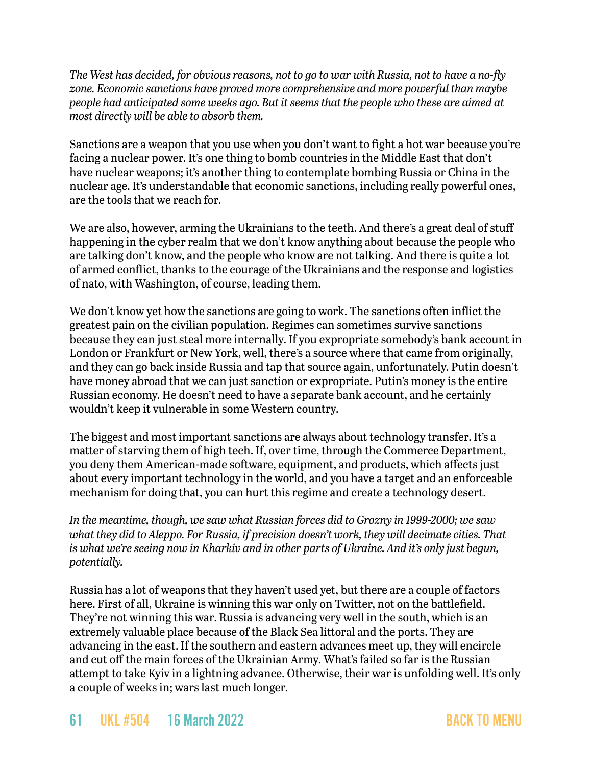*The West has decided, for obvious reasons, not to go to war with Russia, not to have a no-fly zone. Economic sanctions have proved more comprehensive and more powerful than maybe people had anticipated some weeks ago. But it seems that the people who these are aimed at most directly will be able to absorb them.*

Sanctions are a weapon that you use when you don't want to fight a hot war because you're facing a nuclear power. It's one thing to bomb countries in the Middle East that don't have nuclear weapons; it's another thing to contemplate bombing Russia or China in the nuclear age. It's understandable that economic sanctions, including really powerful ones, are the tools that we reach for.

We are also, however, arming the Ukrainians to the teeth. And there's a great deal of stuff happening in the cyber realm that we don't know anything about because the people who are talking don't know, and the people who know are not talking. And there is quite a lot of armed conflict, thanks to the courage of the Ukrainians and the response and logistics of nato, with Washington, of course, leading them.

We don't know yet how the sanctions are going to work. The sanctions often inflict the greatest pain on the civilian population. Regimes can sometimes survive sanctions because they can just steal more internally. If you expropriate somebody's bank account in London or Frankfurt or New York, well, there's a source where that came from originally, and they can go back inside Russia and tap that source again, unfortunately. Putin doesn't have money abroad that we can just sanction or expropriate. Putin's money is the entire Russian economy. He doesn't need to have a separate bank account, and he certainly wouldn't keep it vulnerable in some Western country.

The biggest and most important sanctions are always about technology transfer. It's a matter of starving them of high tech. If, over time, through the Commerce Department, you deny them American-made software, equipment, and products, which affects just about every important technology in the world, and you have a target and an enforceable mechanism for doing that, you can hurt this regime and create a technology desert.

*In the meantime, though, we saw what Russian forces did to Grozny in 1999-2000; we saw what they did to Aleppo. For Russia, if precision doesn't work, they will decimate cities. That is what we're seeing now in Kharkiv and in other parts of Ukraine. And it's only just begun, potentially.*

Russia has a lot of weapons that they haven't used yet, but there are a couple of factors here. First of all, Ukraine is winning this war only on Twitter, not on the battlefield. They're not winning this war. Russia is advancing very well in the south, which is an extremely valuable place because of the Black Sea littoral and the ports. They are advancing in the east. If the southern and eastern advances meet up, they will encircle and cut off the main forces of the Ukrainian Army. What's failed so far is the Russian attempt to take Kyiv in a lightning advance. Otherwise, their war is unfolding well. It's only a couple of weeks in; wars last much longer.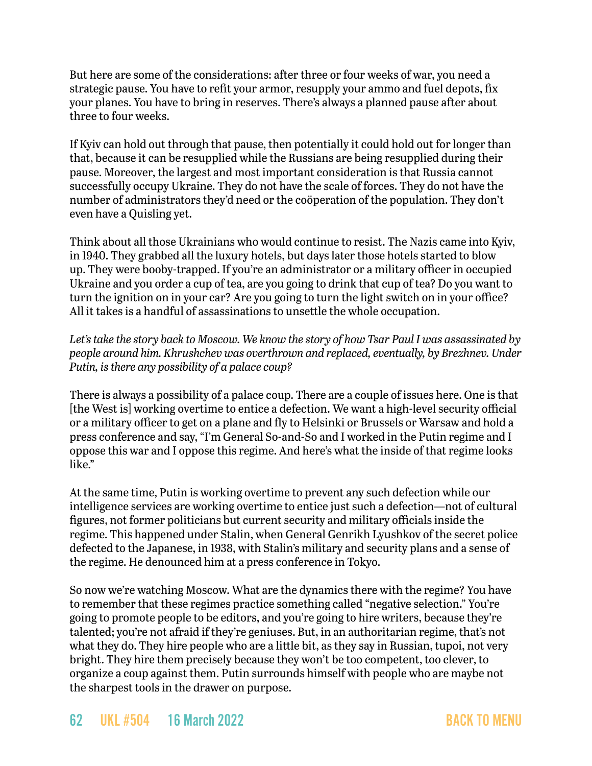But here are some of the considerations: after three or four weeks of war, you need a strategic pause. You have to refit your armor, resupply your ammo and fuel depots, fix your planes. You have to bring in reserves. There's always a planned pause after about three to four weeks.

If Kyiv can hold out through that pause, then potentially it could hold out for longer than that, because it can be resupplied while the Russians are being resupplied during their pause. Moreover, the largest and most important consideration is that Russia cannot successfully occupy Ukraine. They do not have the scale of forces. They do not have the number of administrators they'd need or the coöperation of the population. They don't even have a Quisling yet.

Think about all those Ukrainians who would continue to resist. The Nazis came into Kyiv, in 1940. They grabbed all the luxury hotels, but days later those hotels started to blow up. They were booby-trapped. If you're an administrator or a military officer in occupied Ukraine and you order a cup of tea, are you going to drink that cup of tea? Do you want to turn the ignition on in your car? Are you going to turn the light switch on in your office? All it takes is a handful of assassinations to unsettle the whole occupation.

*Let's take the story back to Moscow. We know the story of how Tsar Paul I was assassinated by people around him. Khrushchev was overthrown and replaced, eventually, by Brezhnev. Under Putin, is there any possibility of a palace coup?*

There is always a possibility of a palace coup. There are a couple of issues here. One is that [the West is] working overtime to entice a defection. We want a high-level security official or a military officer to get on a plane and fly to Helsinki or Brussels or Warsaw and hold a press conference and say, "I'm General So-and-So and I worked in the Putin regime and I oppose this war and I oppose this regime. And here's what the inside of that regime looks like."

At the same time, Putin is working overtime to prevent any such defection while our intelligence services are working overtime to entice just such a defection—not of cultural figures, not former politicians but current security and military officials inside the regime. This happened under Stalin, when General Genrikh Lyushkov of the secret police defected to the Japanese, in 1938, with Stalin's military and security plans and a sense of the regime. He denounced him at a press conference in Tokyo.

So now we're watching Moscow. What are the dynamics there with the regime? You have to remember that these regimes practice something called "negative selection." You're going to promote people to be editors, and you're going to hire writers, because they're talented; you're not afraid if they're geniuses. But, in an authoritarian regime, that's not what they do. They hire people who are a little bit, as they say in Russian, tupoi, not very bright. They hire them precisely because they won't be too competent, too clever, to organize a coup against them. Putin surrounds himself with people who are maybe not the sharpest tools in the drawer on purpose.

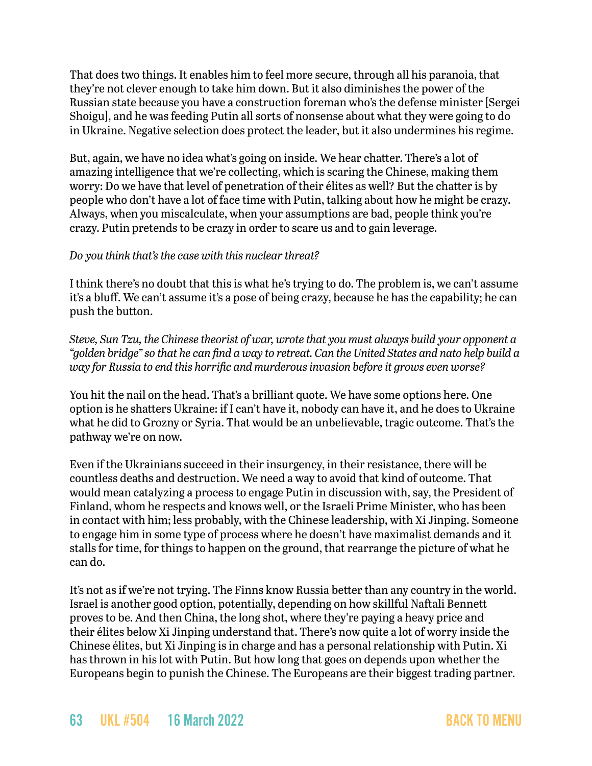That does two things. It enables him to feel more secure, through all his paranoia, that they're not clever enough to take him down. But it also diminishes the power of the Russian state because you have a construction foreman who's the defense minister [Sergei Shoigu], and he was feeding Putin all sorts of nonsense about what they were going to do in Ukraine. Negative selection does protect the leader, but it also undermines his regime.

But, again, we have no idea what's going on inside. We hear chatter. There's a lot of amazing intelligence that we're collecting, which is scaring the Chinese, making them worry: Do we have that level of penetration of their élites as well? But the chatter is by people who don't have a lot of face time with Putin, talking about how he might be crazy. Always, when you miscalculate, when your assumptions are bad, people think you're crazy. Putin pretends to be crazy in order to scare us and to gain leverage.

#### *Do you think that's the case with this nuclear threat?*

I think there's no doubt that this is what he's trying to do. The problem is, we can't assume it's a bluff. We can't assume it's a pose of being crazy, because he has the capability; he can push the button.

*Steve, Sun Tzu, the Chinese theorist of war, wrote that you must always build your opponent a "golden bridge" so that he can find a way to retreat. Can the United States and nato help build a way for Russia to end this horrific and murderous invasion before it grows even worse?*

You hit the nail on the head. That's a brilliant quote. We have some options here. One option is he shatters Ukraine: if I can't have it, nobody can have it, and he does to Ukraine what he did to Grozny or Syria. That would be an unbelievable, tragic outcome. That's the pathway we're on now.

Even if the Ukrainians succeed in their insurgency, in their resistance, there will be countless deaths and destruction. We need a way to avoid that kind of outcome. That would mean catalyzing a process to engage Putin in discussion with, say, the President of Finland, whom he respects and knows well, or the Israeli Prime Minister, who has been in contact with him; less probably, with the Chinese leadership, with Xi Jinping. Someone to engage him in some type of process where he doesn't have maximalist demands and it stalls for time, for things to happen on the ground, that rearrange the picture of what he can do.

It's not as if we're not trying. The Finns know Russia better than any country in the world. Israel is another good option, potentially, depending on how skillful [Naftali Bennett](https://www.newyorker.com/news/daily-comment/ties-with-russia-compromise-israels-stance-on-ukraine)  [proves to be](https://www.newyorker.com/news/daily-comment/ties-with-russia-compromise-israels-stance-on-ukraine). And then China, the long shot, where they're paying a heavy price and their élites below Xi Jinping understand that. There's now quite a lot of worry inside the Chinese élites, but Xi Jinping is in charge and has a personal relationship with Putin. Xi has thrown in his lot with Putin. But how long that goes on depends upon whether the Europeans begin to punish the Chinese. The Europeans are their biggest trading partner.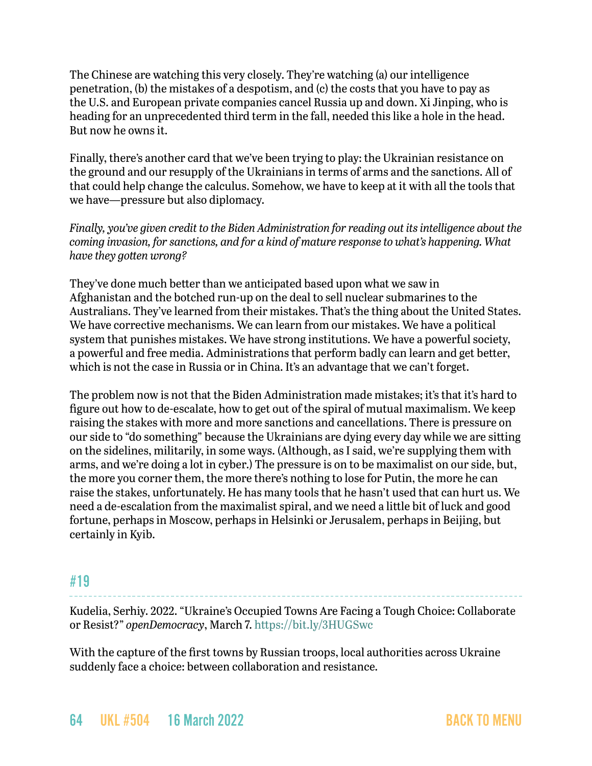The Chinese are watching this very closely. They're watching (a) our intelligence penetration, (b) the mistakes of a despotism, and (c) the costs that you have to pay as the U.S. and European private companies cancel Russia up and down. Xi Jinping, who is heading for an unprecedented third term in the fall, needed this like a hole in the head. But now he owns it.

Finally, there's another card that we've been trying to play: the Ukrainian resistance on the ground and our resupply of the Ukrainians in terms of arms and the sanctions. All of that could help change the calculus. Somehow, we have to keep at it with all the tools that we have—pressure but also diplomacy.

*Finally, you've given credit to the Biden Administration for reading out its intelligence about the coming invasion, for sanctions, and for a kind of mature response to what's happening. What have they gotten wrong?*

They've done much better than we anticipated based upon what we saw in Afghanistan and the botched run-up on the deal to sell nuclear submarines to the Australians. They've learned from their mistakes. That's the thing about the United States. We have corrective mechanisms. We can learn from our mistakes. We have a political system that punishes mistakes. We have strong institutions. We have a powerful society, a powerful and free media. Administrations that perform badly can learn and get better, which is not the case in Russia or in China. It's an advantage that we can't forget.

The problem now is not that the Biden Administration made mistakes; it's that it's hard to figure out how to de-escalate, how to get out of the spiral of mutual maximalism. We keep raising the stakes with more and more sanctions and cancellations. There is pressure on our side to "do something" because the Ukrainians are dying every day while we are sitting on the sidelines, militarily, in some ways. (Although, as I said, we're supplying them with arms, and we're doing a lot in cyber.) The pressure is on to be maximalist on our side, but, the more you corner them, the more there's nothing to lose for Putin, the more he can raise the stakes, unfortunately. He has many tools that he hasn't used that can hurt us. We need a de-escalation from the maximalist spiral, and we need a little bit of luck and good fortune, perhaps in Moscow, perhaps in Helsinki or Jerusalem, perhaps in Beijing, but certainly in Kyib.

# #19

Kudelia, Serhiy. 2022. "Ukraine's Occupied Towns Are Facing a Tough Choice: Collaborate or Resist?" *openDemocracy*, March 7.<https://bit.ly/3HUGSwc>

With the capture of the first towns by Russian troops, local authorities across Ukraine suddenly face a choice: between collaboration and resistance.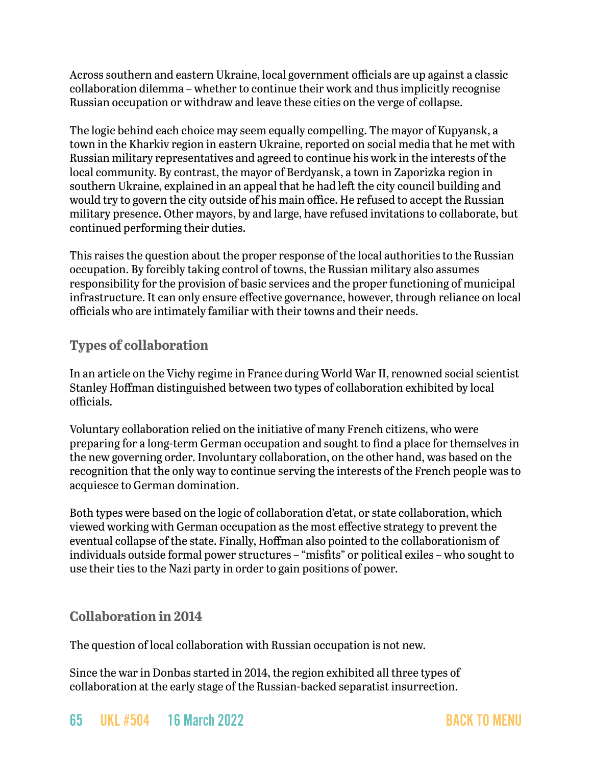Across southern and eastern Ukraine, local government officials are up against a classic collaboration dilemma – whether to continue their work and thus implicitly recognise Russian occupation or withdraw and leave these cities on the verge of collapse.

The logic behind each choice may seem equally compelling. The mayor of Kupyansk, a town in the Kharkiv region in eastern Ukraine, reported on social media that he met with Russian military representatives and agreed to continue his work in the interests of the local community. By contrast, the mayor of Berdyansk, a town in Zaporizka region in southern Ukraine, explained in an appeal that he had left the city council building and would try to govern the city outside of his main office. He refused to accept the Russian military presence. Other mayors, by and large, have refused invitations to collaborate, but continued performing their duties.

This raises the question about the proper response of the local authorities to the Russian occupation. By forcibly taking control of towns, the Russian military also assumes responsibility for the provision of basic services and the proper functioning of municipal infrastructure. It can only ensure effective governance, however, through reliance on local officials who are intimately familiar with their towns and their needs.

## **Types of collaboration**

In an article on the Vichy regime in France during World War II, renowned social scientist Stanley Hoffman distinguished between two types of collaboration exhibited by local officials.

Voluntary collaboration relied on the initiative of many French citizens, who were preparing for a long-term German occupation and sought to find a place for themselves in the new governing order. Involuntary collaboration, on the other hand, was based on the recognition that the only way to continue serving the interests of the French people was to acquiesce to German domination.

Both types were based on the logic of collaboration d'etat, or state collaboration, which viewed working with German occupation as the most effective strategy to prevent the eventual collapse of the state. Finally, Hoffman also pointed to the collaborationism of individuals outside formal power structures – "misfits" or political exiles – who sought to use their ties to the Nazi party in order to gain positions of power.

## **Collaboration in 2014**

The question of local collaboration with Russian occupation is not new.

Since the war in Donbas started in 2014, the region exhibited all three types of collaboration at the early stage of the Russian-backed separatist insurrection.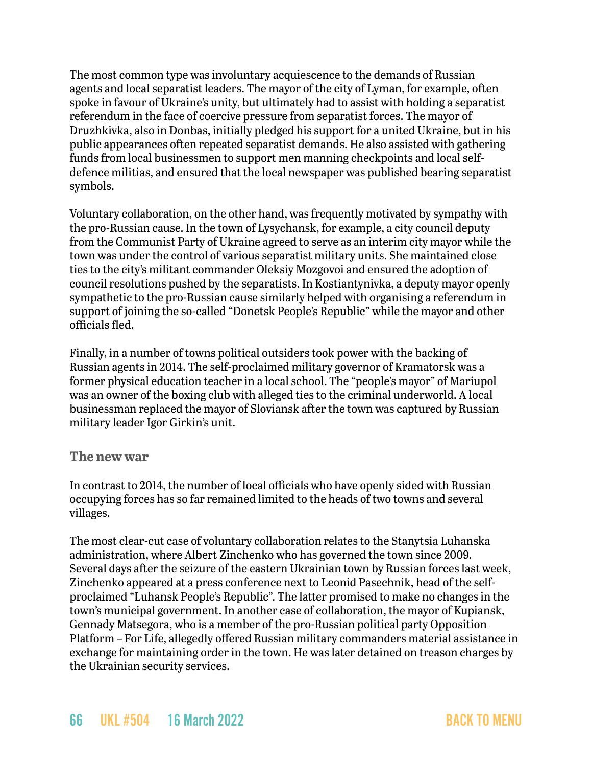The most common type was involuntary acquiescence to the demands of Russian agents and local separatist leaders. The mayor of the city of Lyman, for example, often spoke in favour of Ukraine's unity, but ultimately had to assist with holding a separatist referendum in the face of coercive pressure from separatist forces. The mayor of Druzhkivka, also in Donbas, initially pledged his support for a united Ukraine, but in his public appearances often repeated separatist demands. He also assisted with gathering funds from local businessmen to support men manning checkpoints and local selfdefence militias, and ensured that the local newspaper was published bearing separatist symbols.

Voluntary collaboration, on the other hand, was frequently motivated by sympathy with the pro-Russian cause. In the town of Lysychansk, for example, a city council deputy from the Communist Party of Ukraine agreed to serve as an interim city mayor while the town was under the control of various separatist military units. She maintained close ties to the city's militant commander Oleksiy Mozgovoi and ensured the adoption of council resolutions pushed by the separatists. In Kostiantynivka, a deputy mayor openly sympathetic to the pro-Russian cause similarly helped with organising a referendum in support of joining the so-called "Donetsk People's Republic" while the mayor and other officials fled.

Finally, in a number of towns political outsiders took power with the backing of Russian agents in 2014. The self-proclaimed military governor of Kramatorsk was a former physical education teacher in a local school. The "people's mayor" of Mariupol was an owner of the boxing club with alleged ties to the criminal underworld. A local businessman replaced the mayor of Sloviansk after the town was captured by Russian military leader Igor Girkin's unit.

#### **The new war**

In contrast to 2014, the number of local officials who have openly sided with Russian occupying forces has so far remained limited to the heads of two towns and several villages.

The most clear-cut case of voluntary collaboration relates to the Stanytsia Luhanska administration, where Albert Zinchenko who has governed the town since 2009. Several days after the seizure of the eastern Ukrainian town by Russian forces last week, Zinchenko appeared at a press conference next to Leonid Pasechnik, head of the selfproclaimed "Luhansk People's Republic". The latter promised to make no changes in the town's municipal government. In another case of collaboration, the mayor of Kupiansk, Gennady Matsegora, who is a member of the pro-Russian political party Opposition Platform – For Life, allegedly offered Russian military commanders material assistance in exchange for maintaining order in the town. He was later detained on treason charges by the Ukrainian security services.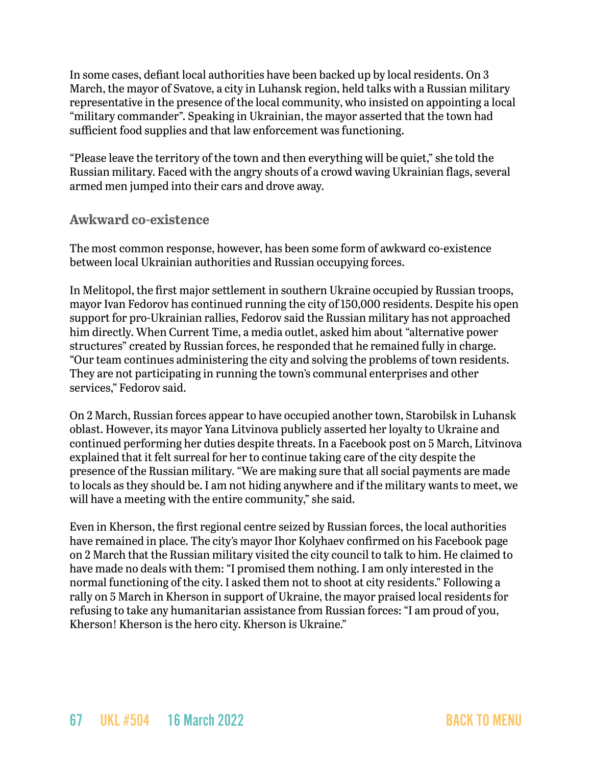In some cases, defiant local authorities have been backed up by local residents. On 3 March, the mayor of Svatove, a city in Luhansk region, held talks with a Russian military representative in the presence of the local community, who insisted on appointing a local "military commander". Speaking in Ukrainian, the mayor asserted that the town had sufficient food supplies and that law enforcement was functioning.

"Please leave the territory of the town and then everything will be quiet," she told the Russian military. Faced with the angry shouts of a crowd waving Ukrainian flags, several armed men jumped into their cars and drove away.

### **Awkward co-existence**

The most common response, however, has been some form of awkward co-existence between local Ukrainian authorities and Russian occupying forces.

In Melitopol, the first major settlement in southern Ukraine occupied by Russian troops, mayor Ivan Fedorov has continued running the city of 150,000 residents. Despite his open support for pro-Ukrainian rallies, Fedorov said the Russian military has not approached him directly. When Current Time, a media outlet, asked him about "alternative power structures" created by Russian forces, he responded that he remained fully in charge. "Our team continues administering the city and solving the problems of town residents. They are not participating in running the town's communal enterprises and other services," Fedorov said.

On 2 March, Russian forces appear to have occupied another town, Starobilsk in Luhansk oblast. However, its mayor Yana Litvinova publicly asserted her loyalty to Ukraine and continued performing her duties despite threats. In a Facebook post on 5 March, Litvinova explained that it felt surreal for her to continue taking care of the city despite the presence of the Russian military. "We are making sure that all social payments are made to locals as they should be. I am not hiding anywhere and if the military wants to meet, we will have a meeting with the entire community," she said.

Even in Kherson, the first regional centre seized by Russian forces, the local authorities have remained in place. The city's mayor Ihor Kolyhaev confirmed on his Facebook page on 2 March that the Russian military visited the city council to talk to him. He claimed to have made no deals with them: "I promised them nothing. I am only interested in the normal functioning of the city. I asked them not to shoot at city residents." Following a rally on 5 March in Kherson in support of Ukraine, the mayor praised local residents for refusing to take any humanitarian assistance from Russian forces: "I am proud of you, Kherson! Kherson is the hero city. Kherson is Ukraine."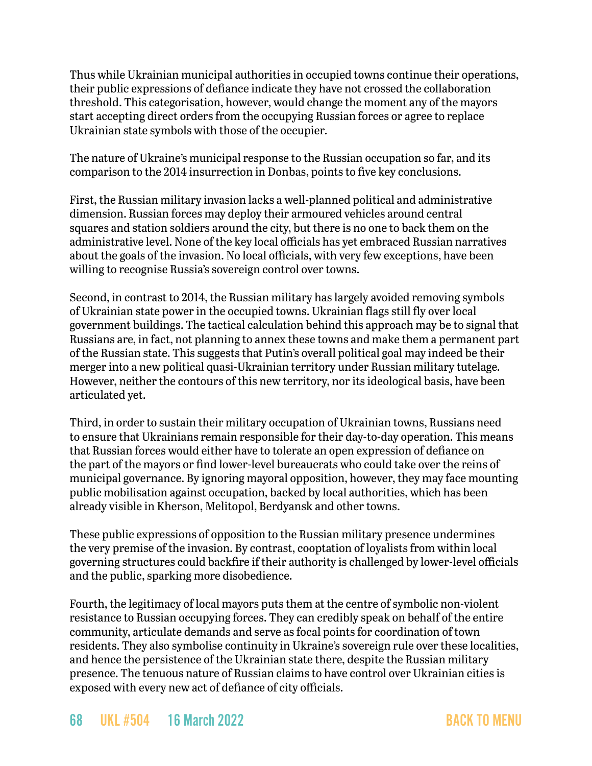Thus while Ukrainian municipal authorities in occupied towns continue their operations, their public expressions of defiance indicate they have not crossed the collaboration threshold. This categorisation, however, would change the moment any of the mayors start accepting direct orders from the occupying Russian forces or agree to replace Ukrainian state symbols with those of the occupier.

The nature of Ukraine's municipal response to the Russian occupation so far, and its comparison to the 2014 insurrection in Donbas, points to five key conclusions.

First, the Russian military invasion lacks a well-planned political and administrative dimension. Russian forces may deploy their armoured vehicles around central squares and station soldiers around the city, but there is no one to back them on the administrative level. None of the key local officials has yet embraced Russian narratives about the goals of the invasion. No local officials, with very few exceptions, have been willing to recognise Russia's sovereign control over towns.

Second, in contrast to 2014, the Russian military has largely avoided removing symbols of Ukrainian state power in the occupied towns. Ukrainian flags still fly over local government buildings. The tactical calculation behind this approach may be to signal that Russians are, in fact, not planning to annex these towns and make them a permanent part of the Russian state. This suggests that Putin's overall political goal may indeed be their merger into a new political quasi-Ukrainian territory under Russian military tutelage. However, neither the contours of this new territory, nor its ideological basis, have been articulated yet.

Third, in order to sustain their military occupation of Ukrainian towns, Russians need to ensure that Ukrainians remain responsible for their day-to-day operation. This means that Russian forces would either have to tolerate an open expression of defiance on the part of the mayors or find lower-level bureaucrats who could take over the reins of municipal governance. By ignoring mayoral opposition, however, they may face mounting public mobilisation against occupation, backed by local authorities, which has been already visible in Kherson, Melitopol, Berdyansk and other towns.

These public expressions of opposition to the Russian military presence undermines the very premise of the invasion. By contrast, cooptation of loyalists from within local governing structures could backfire if their authority is challenged by lower-level officials and the public, sparking more disobedience.

Fourth, the legitimacy of local mayors puts them at the centre of symbolic non-violent resistance to Russian occupying forces. They can credibly speak on behalf of the entire community, articulate demands and serve as focal points for coordination of town residents. They also symbolise continuity in Ukraine's sovereign rule over these localities, and hence the persistence of the Ukrainian state there, despite the Russian military presence. The tenuous nature of Russian claims to have control over Ukrainian cities is exposed with every new act of defiance of city officials.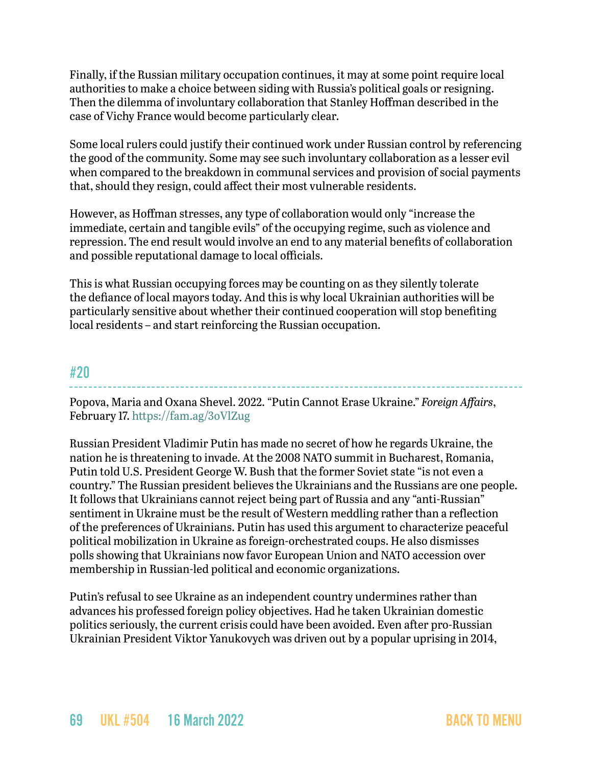Finally, if the Russian military occupation continues, it may at some point require local authorities to make a choice between siding with Russia's political goals or resigning. Then the dilemma of involuntary collaboration that Stanley Hoffman described in the case of Vichy France would become particularly clear.

Some local rulers could justify their continued work under Russian control by referencing the good of the community. Some may see such involuntary collaboration as a lesser evil when compared to the breakdown in communal services and provision of social payments that, should they resign, could affect their most vulnerable residents.

However, as Hoffman stresses, any type of collaboration would only "increase the immediate, certain and tangible evils" of the occupying regime, such as violence and repression. The end result would involve an end to any material benefits of collaboration and possible reputational damage to local officials.

This is what Russian occupying forces may be counting on as they silently tolerate the defiance of local mayors today. And this is why local Ukrainian authorities will be particularly sensitive about whether their continued cooperation will stop benefiting local residents – and start reinforcing the Russian occupation.

## #20

Popova, Maria and Oxana Shevel. 2022. "Putin Cannot Erase Ukraine." *Foreign Affairs*, February 17. <https://fam.ag/3oVlZug>

Russian President Vladimir Putin has made no secret of how he regards Ukraine, the nation he is threatening to invade. At the 2008 NATO summit in Bucharest, Romania, Putin told U.S. President George W. Bush that the former Soviet state "is not even a country." The Russian president believes the Ukrainians and the Russians are one people. It follows that Ukrainians cannot reject being part of Russia and any "anti-Russian" sentiment in Ukraine must be the result of Western meddling rather than a reflection of the preferences of Ukrainians. Putin has used this argument to characterize peaceful political mobilization in Ukraine as foreign-orchestrated coups. He also dismisses polls showing that Ukrainians now favor European Union and NATO accession over membership in Russian-led political and economic organizations.

Putin's refusal to see Ukraine as an independent country undermines rather than advances his professed foreign policy objectives. Had he taken Ukrainian domestic politics seriously, the current crisis could have been avoided. Even after pro-Russian Ukrainian President Viktor Yanukovych was driven out by a popular uprising in 2014,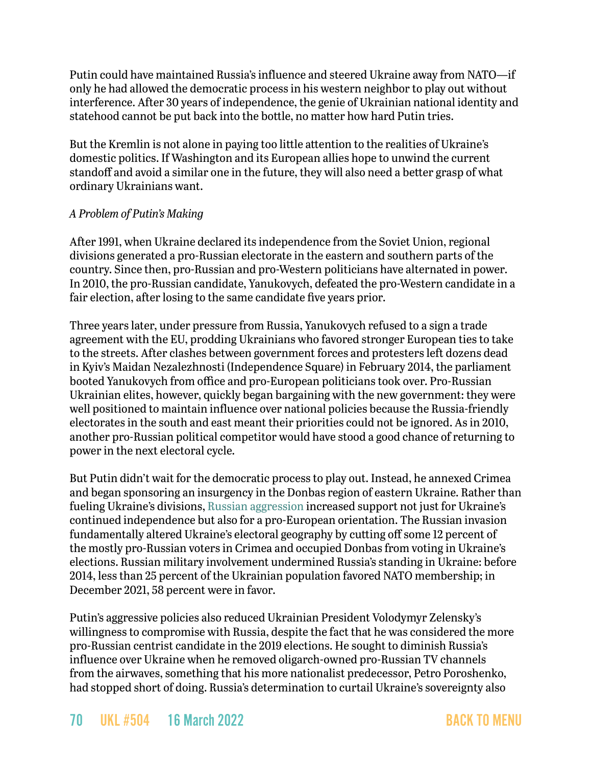Putin could have maintained Russia's influence and steered Ukraine away from NATO—if only he had allowed the democratic process in his western neighbor to play out without interference. After 30 years of independence, the genie of Ukrainian national identity and statehood cannot be put back into the bottle, no matter how hard Putin tries.

But the Kremlin is not alone in paying too little attention to the realities of Ukraine's domestic politics. If Washington and its European allies hope to unwind the current standoff and avoid a similar one in the future, they will also need a better grasp of what ordinary Ukrainians want.

#### *A Problem of Putin's Making*

After 1991, when Ukraine declared its independence from the Soviet Union, regional divisions generated a pro-Russian electorate in the eastern and southern parts of the country. Since then, pro-Russian and pro-Western politicians have alternated in power. In 2010, the pro-Russian candidate, Yanukovych, defeated the pro-Western candidate in a fair election, after losing to the same candidate five years prior.

Three years later, under pressure from Russia, Yanukovych refused to a sign a trade agreement with the EU, prodding Ukrainians who favored stronger European ties to take to the streets. After clashes between government forces and protesters left dozens dead in Kyiv's Maidan Nezalezhnosti (Independence Square) in February 2014, the parliament booted Yanukovych from office and pro-European politicians took over. Pro-Russian Ukrainian elites, however, quickly began bargaining with the new government: they were well positioned to maintain influence over national policies because the Russia-friendly electorates in the south and east meant their priorities could not be ignored. As in 2010, another pro-Russian political competitor would have stood a good chance of returning to power in the next electoral cycle.

But Putin didn't wait for the democratic process to play out. Instead, he annexed Crimea and began sponsoring an insurgency in the Donbas region of eastern Ukraine. Rather than fueling Ukraine's divisions, [Russian aggression](https://www.foreignaffairs.com/articles/russia-fsu/2022-02-07/how-break-cycle-conflict-russia) increased support not just for Ukraine's continued independence but also for a pro-European orientation. The Russian invasion fundamentally altered Ukraine's electoral geography by cutting off some 12 percent of the mostly pro-Russian voters in Crimea and occupied Donbas from voting in Ukraine's elections. Russian military involvement undermined Russia's standing in Ukraine: before 2014, less than 25 percent of the Ukrainian population favored NATO membership; in December 2021, 58 percent were in favor.

Putin's aggressive policies also reduced Ukrainian President Volodymyr Zelensky's willingness to compromise with Russia, despite the fact that he was considered the more pro-Russian centrist candidate in the 2019 elections. He sought to diminish Russia's influence over Ukraine when he removed oligarch-owned pro-Russian TV channels from the airwaves, something that his more nationalist predecessor, Petro Poroshenko, had stopped short of doing. Russia's determination to curtail Ukraine's sovereignty also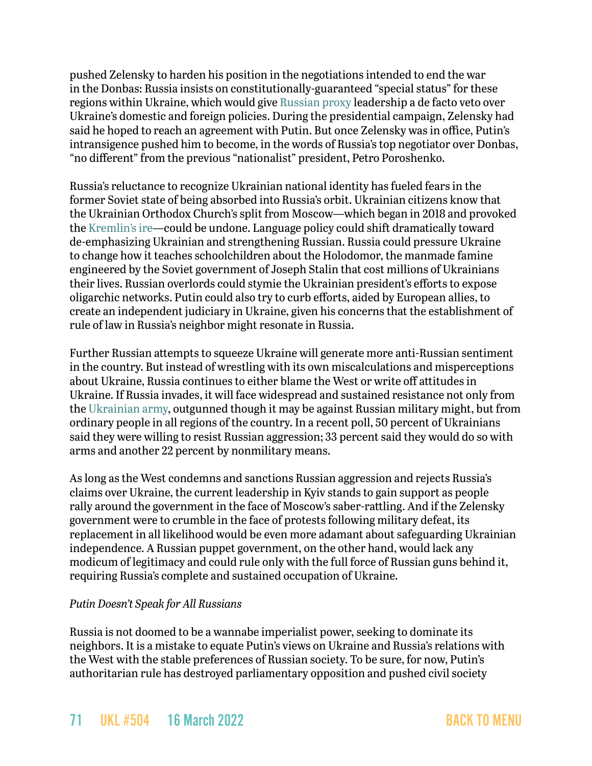pushed Zelensky to harden his position in the negotiations intended to end the war in the Donbas: Russia insists on constitutionally-guaranteed "special status" for these regions within Ukraine, which would give [Russian proxy](https://www.foreignaffairs.com/articles/middle-east/2021-10-18/russia-no-mideast-superpower) leadership a de facto veto over Ukraine's domestic and foreign policies. During the presidential campaign, Zelensky had said he hoped to reach an agreement with Putin. But once Zelensky was in office, Putin's intransigence pushed him to become, in the words of Russia's top negotiator over Donbas, "no different" from the previous "nationalist" president, Petro Poroshenko.

Russia's reluctance to recognize Ukrainian national identity has fueled fears in the former Soviet state of being absorbed into Russia's orbit. Ukrainian citizens know that the Ukrainian Orthodox Church's split from Moscow—which began in 2018 and provoked the [Kremlin's ire—](https://www.foreignaffairs.com/articles/united-states/2021-09-27/kremlins-strange-victory)could be undone. Language policy could shift dramatically toward de-emphasizing Ukrainian and strengthening Russian. Russia could pressure Ukraine to change how it teaches schoolchildren about the Holodomor, the manmade famine engineered by the Soviet government of Joseph Stalin that cost millions of Ukrainians their lives. Russian overlords could stymie the Ukrainian president's efforts to expose oligarchic networks. Putin could also try to curb efforts, aided by European allies, to create an independent judiciary in Ukraine, given his concerns that the establishment of rule of law in Russia's neighbor might resonate in Russia.

Further Russian attempts to squeeze Ukraine will generate more anti-Russian sentiment in the country. But instead of wrestling with its own miscalculations and misperceptions about Ukraine, Russia continues to either blame the West or write off attitudes in Ukraine. If Russia invades, it will face widespread and sustained resistance not only from the [Ukrainian army,](https://www.foreignaffairs.com/articles/ukraine/2021-12-10/dont-sell-out-ukraine) outgunned though it may be against Russian military might, but from ordinary people in all regions of the country. In a recent poll, 50 percent of Ukrainians said they were willing to resist Russian aggression; 33 percent said they would do so with arms and another 22 percent by nonmilitary means.

As long as the West condemns and sanctions Russian aggression and rejects Russia's claims over Ukraine, the current leadership in Kyiv stands to gain support as people rally around the government in the face of Moscow's saber-rattling. And if the Zelensky government were to crumble in the face of protests following military defeat, its replacement in all likelihood would be even more adamant about safeguarding Ukrainian independence. A Russian puppet government, on the other hand, would lack any modicum of legitimacy and could rule only with the full force of Russian guns behind it, requiring Russia's complete and sustained occupation of Ukraine.

#### *Putin Doesn't Speak for All Russians*

Russia is not doomed to be a wannabe imperialist power, seeking to dominate its neighbors. It is a mistake to equate Putin's views on Ukraine and Russia's relations with the West with the stable preferences of Russian society. To be sure, for now, Putin's authoritarian rule has destroyed parliamentary opposition and pushed civil society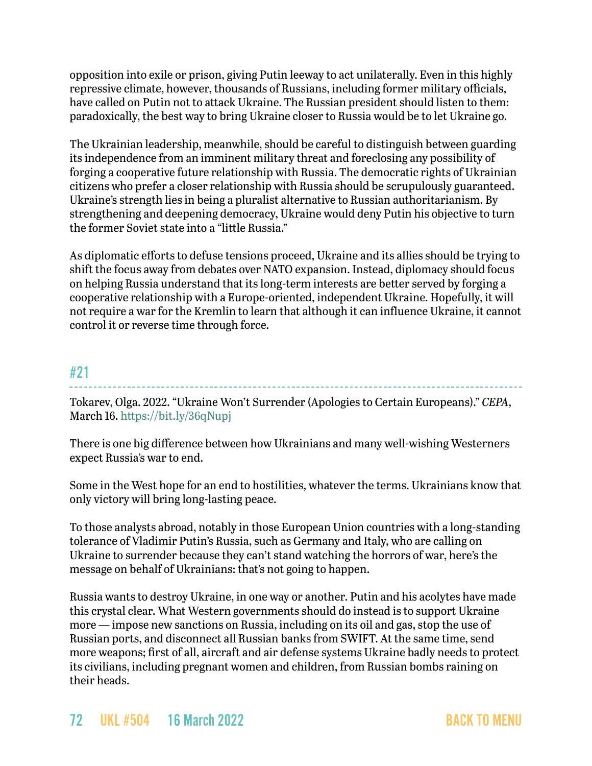opposition into exile or prison, giving Putin leeway to act unilaterally. Even in this highly repressive climate, however, thousands of Russians, including former military officials, have called on Putin not to attack Ukraine. The Russian president should listen to them: paradoxically, the best way to bring Ukraine closer to Russia would be to let Ukraine go.

The Ukrainian leadership, meanwhile, should be careful to distinguish between guarding its independence from an imminent military threat and foreclosing any possibility of forging a cooperative future relationship with Russia. The democratic rights of Ukrainian citizens who prefer a closer relationship with Russia should be scrupulously guaranteed. Ukraine's strength lies in being a pluralist alternative to Russian authoritarianism. By strengthening and deepening democracy, Ukraine would deny Putin his objective to turn the former Soviet state into a "little Russia."

As diplomatic efforts to defuse tensions proceed, Ukraine and its allies should be trying to shift the focus away from debates over NATO expansion. Instead, diplomacy should focus on helping Russia understand that its long-term interests are better served by forging a cooperative relationship with a Europe-oriented, independent Ukraine. Hopefully, it will not require a war for the Kremlin to learn that although it can influence Ukraine, it cannot control it or reverse time through force.

# #21

Tokarev, Olga. 2022. "Ukraine Won't Surrender (Apologies to Certain Europeans)." *CEPA*,

March 16. <https://bit.ly/36qNupj>

There is one big difference between how Ukrainians and many well-wishing Westerners expect Russia's war to end.

Some in the West hope for an end to hostilities, whatever the terms. Ukrainians know that only victory will bring long-lasting peace.

To those analysts abroad, notably in those European Union countries with a long-standing tolerance of Vladimir Putin's Russia, such as Germany and Italy, who are calling on Ukraine to surrender because they can't stand watching the horrors of war, here's the message on behalf of Ukrainians: that's not going to happen.

Russia wants to destroy Ukraine, in one way or another. Putin and his acolytes have made this crystal clear. What Western governments should do instead is to support Ukraine more — impose new sanctions on Russia, including on its oil and gas, stop the use of Russian ports, and disconnect all Russian banks from SWIFT. At the same time, send more weapons; first of all, aircraft and air defense systems Ukraine badly needs to protect its civilians, including pregnant women and children, from Russian bombs raining on their heads.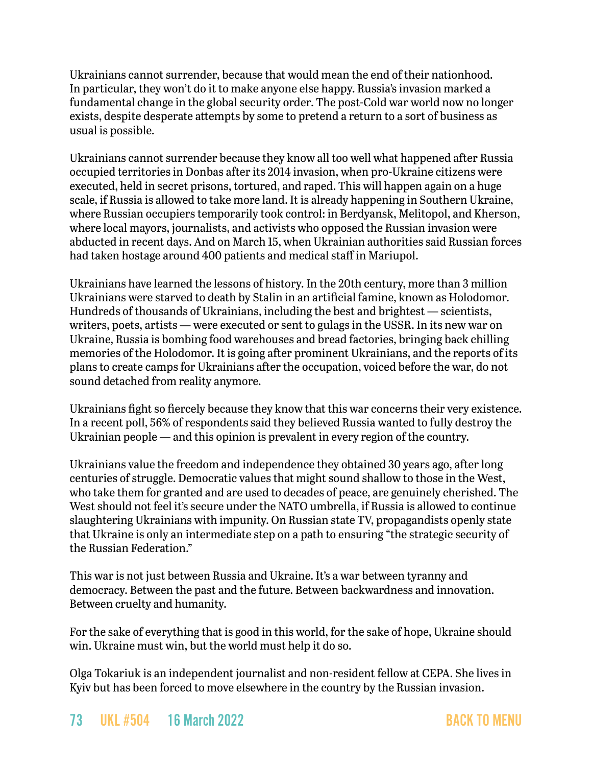Ukrainians cannot surrender, because that would mean the end of their nationhood. In particular, they won't do it to make anyone else happy. Russia's invasion marked a fundamental change in the global security order. The post-Cold war world now no longer exists, despite desperate attempts by some to pretend a return to a sort of business as usual is possible.

Ukrainians cannot surrender because they know all too well what happened after Russia occupied territories in Donbas after its 2014 invasion, when pro-Ukraine citizens were executed, held in secret prisons, tortured, and raped. This will happen again on a huge scale, if Russia is allowed to take more land. It is already happening in Southern Ukraine, where Russian occupiers temporarily took control: in Berdyansk, Melitopol, and Kherson, where local mayors, journalists, and activists who opposed the Russian invasion were abducted in recent days. And on March 15, when Ukrainian authorities said Russian forces had taken hostage around 400 patients and medical staff in Mariupol.

Ukrainians have learned the lessons of history. In the 20th century, more than 3 million Ukrainians were starved to death by Stalin in an artificial famine, known as Holodomor. Hundreds of thousands of Ukrainians, including the best and brightest — scientists, writers, poets, artists — were executed or sent to gulags in the USSR. In its new war on Ukraine, Russia is bombing food warehouses and bread factories, bringing back chilling memories of the Holodomor. It is going after prominent Ukrainians, and the reports of its plans to create camps for Ukrainians after the occupation, voiced before the war, do not sound detached from reality anymore.

Ukrainians fight so fiercely because they know that this war concerns their very existence. In a recent poll, 56% of respondents said they believed Russia wanted to fully destroy the Ukrainian people — and this opinion is prevalent in every region of the country.

Ukrainians value the freedom and independence they obtained 30 years ago, after long centuries of struggle. Democratic values that might sound shallow to those in the West, who take them for granted and are used to decades of peace, are genuinely cherished. The West should not feel it's secure under the NATO umbrella, if Russia is allowed to continue slaughtering Ukrainians with impunity. On Russian state TV, propagandists openly state that Ukraine is only an intermediate step on a path to ensuring "the strategic security of the Russian Federation."

This war is not just between Russia and Ukraine. It's a war between tyranny and democracy. Between the past and the future. Between backwardness and innovation. Between cruelty and humanity.

For the sake of everything that is good in this world, for the sake of hope, Ukraine should win. Ukraine must win, but the world must help it do so.

Olga Tokariuk is an independent journalist and non-resident fellow at CEPA. She lives in Kyiv but has been forced to move elsewhere in the country by the Russian invasion.